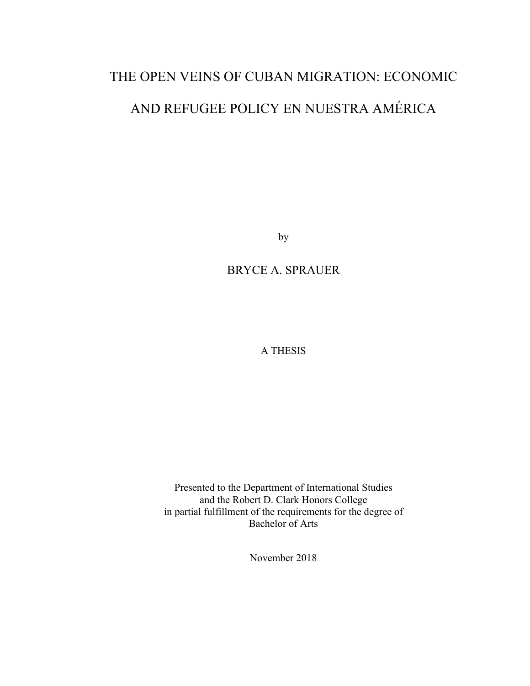# THE OPEN VEINS OF CUBAN MIGRATION: ECONOMIC AND REFUGEE POLICY EN NUESTRA AMÉRICA

by

## BRYCE A. SPRAUER

A THESIS

Presented to the Department of International Studies and the Robert D. Clark Honors College in partial fulfillment of the requirements for the degree of Bachelor of Arts

November 2018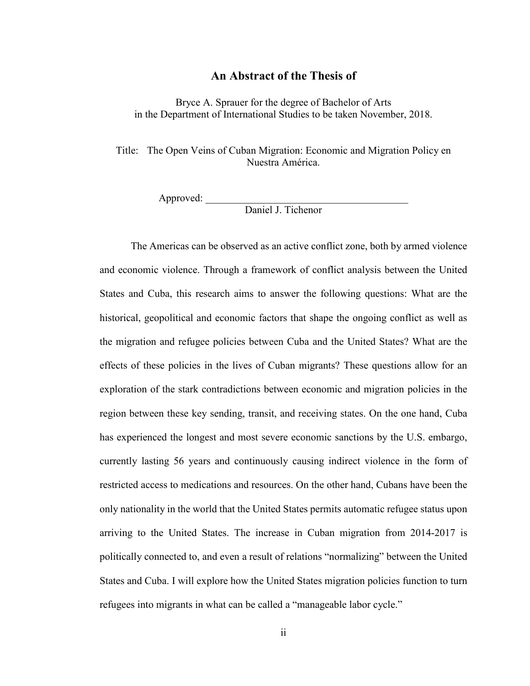### **An Abstract of the Thesis of**

Bryce A. Sprauer for the degree of Bachelor of Arts in the Department of International Studies to be taken November, 2018.

Title: The Open Veins of Cuban Migration: Economic and Migration Policy en Nuestra América.

Approved:

Daniel J. Tichenor

The Americas can be observed as an active conflict zone, both by armed violence and economic violence. Through a framework of conflict analysis between the United States and Cuba, this research aims to answer the following questions: What are the historical, geopolitical and economic factors that shape the ongoing conflict as well as the migration and refugee policies between Cuba and the United States? What are the effects of these policies in the lives of Cuban migrants? These questions allow for an exploration of the stark contradictions between economic and migration policies in the region between these key sending, transit, and receiving states. On the one hand, Cuba has experienced the longest and most severe economic sanctions by the U.S. embargo, currently lasting 56 years and continuously causing indirect violence in the form of restricted access to medications and resources. On the other hand, Cubans have been the only nationality in the world that the United States permits automatic refugee status upon arriving to the United States. The increase in Cuban migration from 2014-2017 is politically connected to, and even a result of relations "normalizing" between the United States and Cuba. I will explore how the United States migration policies function to turn refugees into migrants in what can be called a "manageable labor cycle."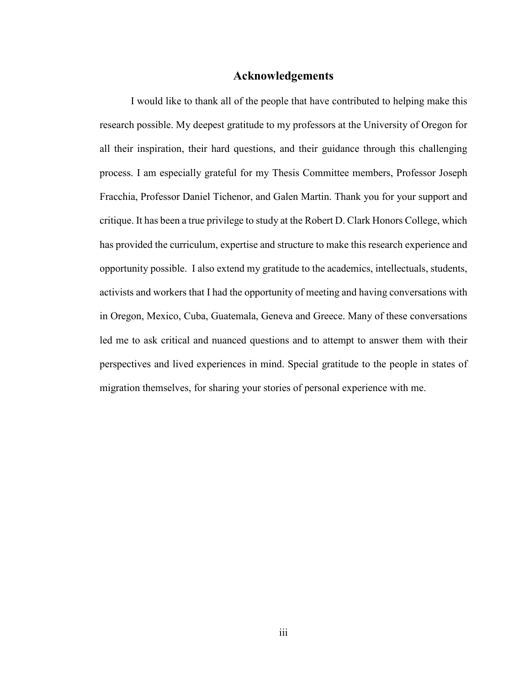### **Acknowledgements**

I would like to thank all of the people that have contributed to helping make this research possible. My deepest gratitude to my professors at the University of Oregon for all their inspiration, their hard questions, and their guidance through this challenging process. I am especially grateful for my Thesis Committee members, Professor Joseph Fracchia, Professor Daniel Tichenor, and Galen Martin. Thank you for your support and critique. It has been a true privilege to study at the Robert D. Clark Honors College, which has provided the curriculum, expertise and structure to make this research experience and opportunity possible. I also extend my gratitude to the academics, intellectuals, students, activists and workers that I had the opportunity of meeting and having conversations with in Oregon, Mexico, Cuba, Guatemala, Geneva and Greece. Many of these conversations led me to ask critical and nuanced questions and to attempt to answer them with their perspectives and lived experiences in mind. Special gratitude to the people in states of migration themselves, for sharing your stories of personal experience with me.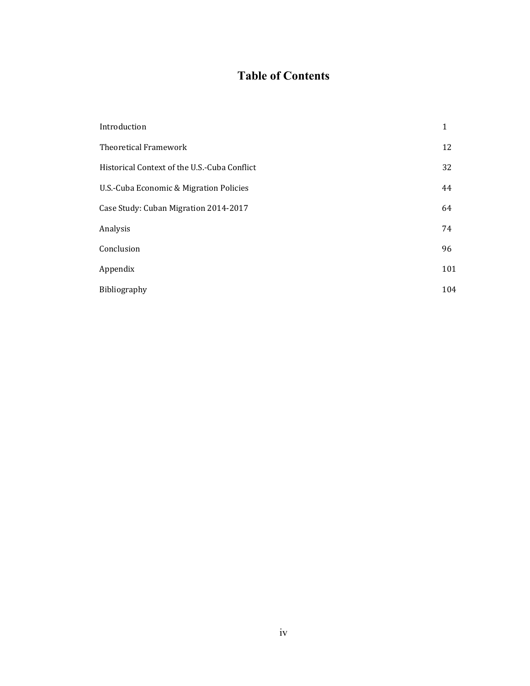### **Table of Contents**

| Introduction                                 | 1   |
|----------------------------------------------|-----|
| Theoretical Framework                        | 12  |
| Historical Context of the U.S.-Cuba Conflict | 32  |
| U.S.-Cuba Economic & Migration Policies      | 44  |
| Case Study: Cuban Migration 2014-2017        | 64  |
| Analysis                                     | 74  |
| Conclusion                                   | 96  |
| Appendix                                     | 101 |
| Bibliography                                 | 104 |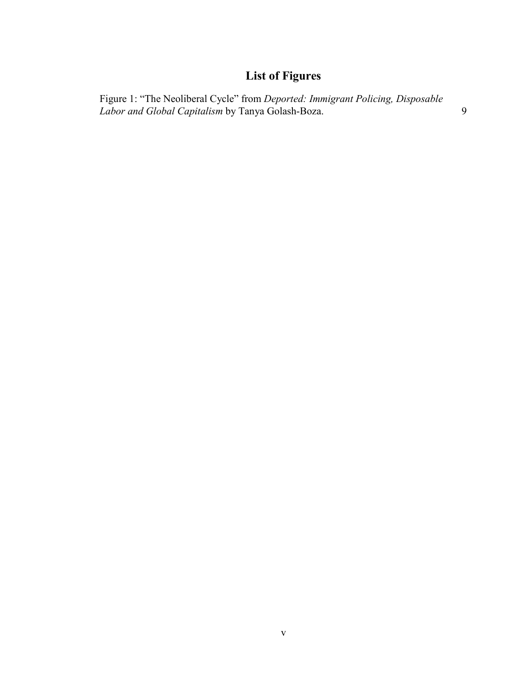# **List of Figures**

[Figure 1: "](https://docs.google.com/document/d/1Vna_dzqQOlXruF9FPCqcDKrjSgTd9zbT2NkAjXODDSk/edit#heading=h.1y810tw)The Neoliberal Cycle" from *Deported: Immigrant Policing, Disposable Labor and Global Capitalism* by Tanya Golash-Boza. 9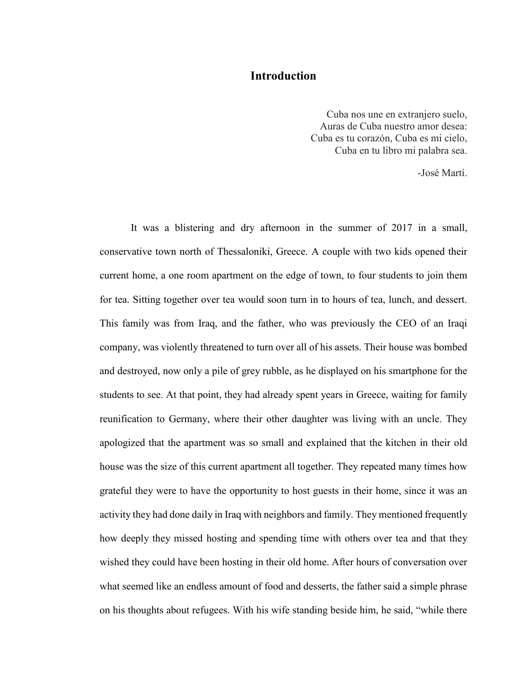### **Introduction**

Cuba nos une en extranjero suelo, Auras de Cuba nuestro amor desea: Cuba es tu corazón, Cuba es mi cielo, Cuba en tu libro mi palabra sea.

-José Martí.

It was a blistering and dry afternoon in the summer of 2017 in a small, conservative town north of Thessaloniki, Greece. A couple with two kids opened their current home, a one room apartment on the edge of town, to four students to join them for tea. Sitting together over tea would soon turn in to hours of tea, lunch, and dessert. This family was from Iraq, and the father, who was previously the CEO of an Iraqi company, was violently threatened to turn over all of his assets. Their house was bombed and destroyed, now only a pile of grey rubble, as he displayed on his smartphone for the students to see. At that point, they had already spent years in Greece, waiting for family reunification to Germany, where their other daughter was living with an uncle. They apologized that the apartment was so small and explained that the kitchen in their old house was the size of this current apartment all together. They repeated many times how grateful they were to have the opportunity to host guests in their home, since it was an activity they had done daily in Iraq with neighbors and family. They mentioned frequently how deeply they missed hosting and spending time with others over tea and that they wished they could have been hosting in their old home. After hours of conversation over what seemed like an endless amount of food and desserts, the father said a simple phrase on his thoughts about refugees. With his wife standing beside him, he said, "while there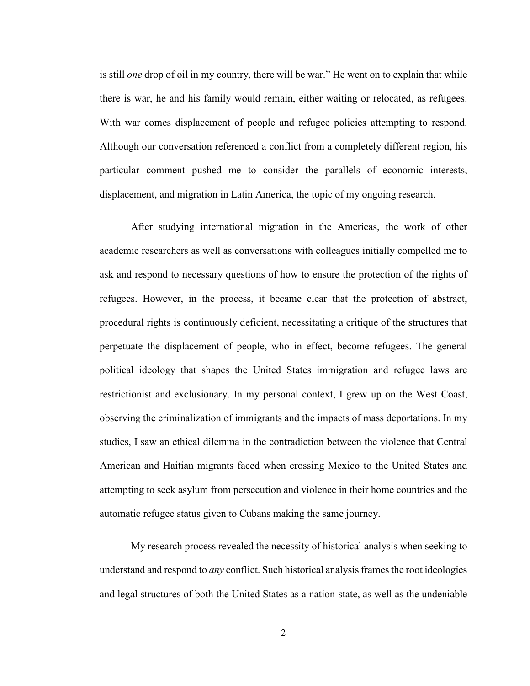is still *one* drop of oil in my country, there will be war." He went on to explain that while there is war, he and his family would remain, either waiting or relocated, as refugees. With war comes displacement of people and refugee policies attempting to respond. Although our conversation referenced a conflict from a completely different region, his particular comment pushed me to consider the parallels of economic interests, displacement, and migration in Latin America, the topic of my ongoing research.

After studying international migration in the Americas, the work of other academic researchers as well as conversations with colleagues initially compelled me to ask and respond to necessary questions of how to ensure the protection of the rights of refugees. However, in the process, it became clear that the protection of abstract, procedural rights is continuously deficient, necessitating a critique of the structures that perpetuate the displacement of people, who in effect, become refugees. The general political ideology that shapes the United States immigration and refugee laws are restrictionist and exclusionary. In my personal context, I grew up on the West Coast, observing the criminalization of immigrants and the impacts of mass deportations. In my studies, I saw an ethical dilemma in the contradiction between the violence that Central American and Haitian migrants faced when crossing Mexico to the United States and attempting to seek asylum from persecution and violence in their home countries and the automatic refugee status given to Cubans making the same journey.

My research process revealed the necessity of historical analysis when seeking to understand and respond to *any* conflict. Such historical analysis frames the root ideologies and legal structures of both the United States as a nation-state, as well as the undeniable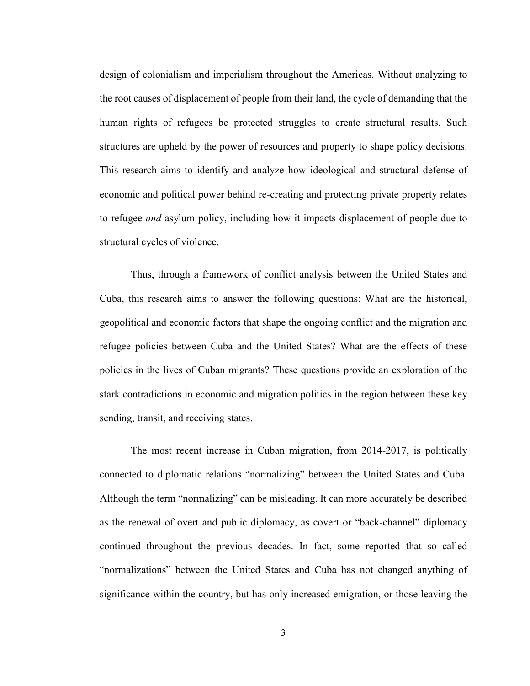design of colonialism and imperialism throughout the Americas. Without analyzing to the root causes of displacement of people from their land, the cycle of demanding that the human rights of refugees be protected struggles to create structural results. Such structures are upheld by the power of resources and property to shape policy decisions. This research aims to identify and analyze how ideological and structural defense of economic and political power behind re-creating and protecting private property relates to refugee *and* asylum policy, including how it impacts displacement of people due to structural cycles of violence.

Thus, through a framework of conflict analysis between the United States and Cuba, this research aims to answer the following questions: What are the historical, geopolitical and economic factors that shape the ongoing conflict and the migration and refugee policies between Cuba and the United States? What are the effects of these policies in the lives of Cuban migrants? These questions provide an exploration of the stark contradictions in economic and migration politics in the region between these key sending, transit, and receiving states.

The most recent increase in Cuban migration, from 2014-2017, is politically connected to diplomatic relations "normalizing" between the United States and Cuba. Although the term "normalizing" can be misleading. It can more accurately be described as the renewal of overt and public diplomacy, as covert or "back-channel" diplomacy continued throughout the previous decades. In fact, some reported that so called "normalizations" between the United States and Cuba has not changed anything of significance within the country, but has only increased emigration, or those leaving the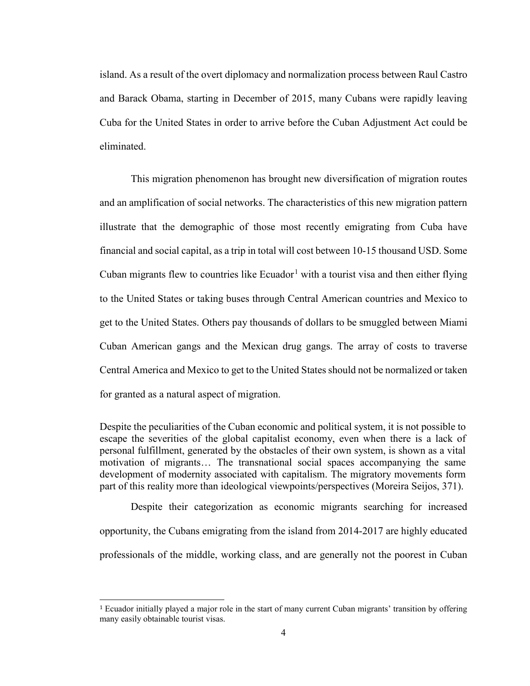island. As a result of the overt diplomacy and normalization process between Raul Castro and Barack Obama, starting in December of 2015, many Cubans were rapidly leaving Cuba for the United States in order to arrive before the Cuban Adjustment Act could be eliminated.

This migration phenomenon has brought new diversification of migration routes and an amplification of social networks. The characteristics of this new migration pattern illustrate that the demographic of those most recently emigrating from Cuba have financial and social capital, as a trip in total will cost between 10-15 thousand USD. Some Cuban migrants flew to countries like  $Ecuador<sup>1</sup>$  $Ecuador<sup>1</sup>$  $Ecuador<sup>1</sup>$  with a tourist visa and then either flying to the United States or taking buses through Central American countries and Mexico to get to the United States. Others pay thousands of dollars to be smuggled between Miami Cuban American gangs and the Mexican drug gangs. The array of costs to traverse Central America and Mexico to get to the United States should not be normalized or taken for granted as a natural aspect of migration.

Despite the peculiarities of the Cuban economic and political system, it is not possible to escape the severities of the global capitalist economy, even when there is a lack of personal fulfillment, generated by the obstacles of their own system, is shown as a vital motivation of migrants… The transnational social spaces accompanying the same development of modernity associated with capitalism. The migratory movements form part of this reality more than ideological viewpoints/perspectives (Moreira Seijos, 371).

Despite their categorization as economic migrants searching for increased opportunity, the Cubans emigrating from the island from 2014-2017 are highly educated professionals of the middle, working class, and are generally not the poorest in Cuban

<span id="page-8-0"></span> <sup>1</sup> Ecuador initially played a major role in the start of many current Cuban migrants' transition by offering many easily obtainable tourist visas.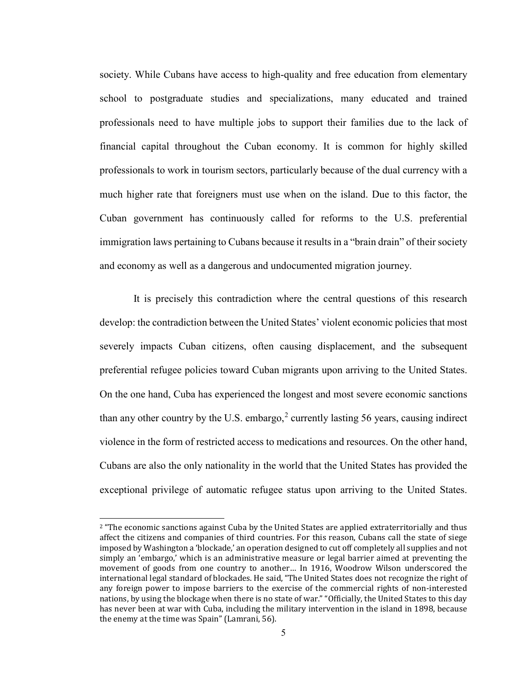society. While Cubans have access to high-quality and free education from elementary school to postgraduate studies and specializations, many educated and trained professionals need to have multiple jobs to support their families due to the lack of financial capital throughout the Cuban economy. It is common for highly skilled professionals to work in tourism sectors, particularly because of the dual currency with a much higher rate that foreigners must use when on the island. Due to this factor, the Cuban government has continuously called for reforms to the U.S. preferential immigration laws pertaining to Cubans because it results in a "brain drain" of their society and economy as well as a dangerous and undocumented migration journey.

It is precisely this contradiction where the central questions of this research develop: the contradiction between the United States' violent economic policies that most severely impacts Cuban citizens, often causing displacement, and the subsequent preferential refugee policies toward Cuban migrants upon arriving to the United States. On the one hand, Cuba has experienced the longest and most severe economic sanctions than any other country by the U.S. embargo,<sup>[2](#page-9-0)</sup> currently lasting 56 years, causing indirect violence in the form of restricted access to medications and resources. On the other hand, Cubans are also the only nationality in the world that the United States has provided the exceptional privilege of automatic refugee status upon arriving to the United States.

<span id="page-9-0"></span><sup>&</sup>lt;sup>2</sup> "The economic sanctions against Cuba by the United States are applied extraterritorially and thus affect the citizens and companies of third countries. For this reason, Cubans call the state of siege imposed by Washington a 'blockade,' an operation designed to cut off completely all supplies and not simply an 'embargo,' which is an administrative measure or legal barrier aimed at preventing the movement of goods from one country to another… In 1916, Woodrow Wilson underscored the international legal standard of blockades. He said, "The United States does not recognize the right of any foreign power to impose barriers to the exercise of the commercial rights of non-interested nations, by using the blockage when there is no state of war." "Officially, the United States to this day has never been at war with Cuba, including the military intervention in the island in 1898, because the enemy at the time was Spain" (Lamrani, 56).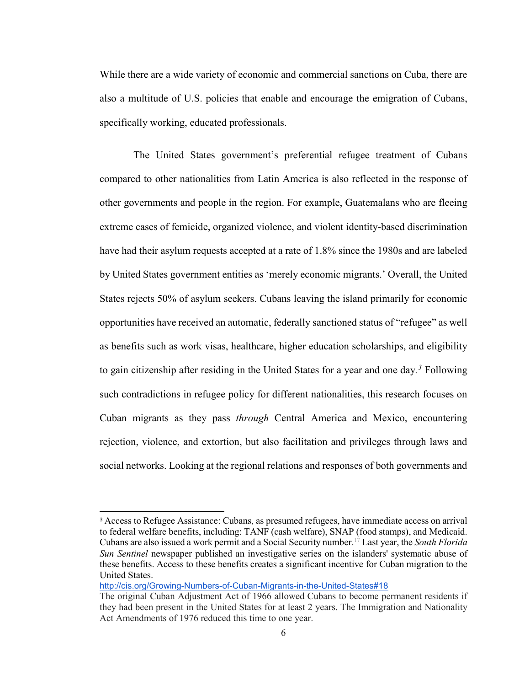While there are a wide variety of economic and commercial sanctions on Cuba, there are also a multitude of U.S. policies that enable and encourage the emigration of Cubans, specifically working, educated professionals.

The United States government's preferential refugee treatment of Cubans compared to other nationalities from Latin America is also reflected in the response of other governments and people in the region. For example, Guatemalans who are fleeing extreme cases of femicide, organized violence, and violent identity-based discrimination have had their asylum requests accepted at a rate of 1.8% since the 1980s and are labeled by United States government entities as 'merely economic migrants.' Overall, the United States rejects 50% of asylum seekers. Cubans leaving the island primarily for economic opportunities have received an automatic, federally sanctioned status of "refugee" as well as benefits such as work visas, healthcare, higher education scholarships, and eligibility to gain citizenship after residing in the United States for a year and one day*. [3](#page-10-0)* Following such contradictions in refugee policy for different nationalities, this research focuses on Cuban migrants as they pass *through* Central America and Mexico, encountering rejection, violence, and extortion, but also facilitation and privileges through laws and social networks. Looking at the regional relations and responses of both governments and

<http://cis.org/Growing-Numbers-of-Cuban-Migrants-in-the-United-States#18>

<span id="page-10-0"></span> <sup>3</sup> Access to Refugee Assistance: Cubans, as presumed refugees, have immediate access on arrival to federal welfare benefits, including: TANF (cash welfare), SNAP (food stamps), and Medicaid. Cubans are also issued a work permit and a Social Security number[.17](http://cis.org/Growing-Numbers-of-Cuban-Migrants-in-the-United-States#17) Last year, the *South Florida Sun Sentinel* newspaper published an investigative series on the islanders' systematic abuse of these benefits. Access to these benefits creates a significant incentive for Cuban migration to the United States.

The original Cuban Adjustment Act of 1966 allowed Cubans to become permanent residents if they had been present in the United States for at least 2 years. The Immigration and Nationality Act Amendments of 1976 reduced this time to one year.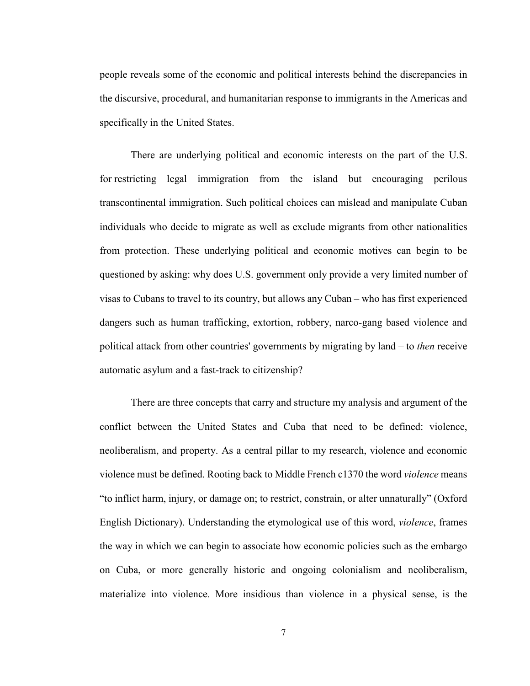people reveals some of the economic and political interests behind the discrepancies in the discursive, procedural, and humanitarian response to immigrants in the Americas and specifically in the United States.

There are underlying political and economic interests on the part of the U.S. for restricting legal immigration from the island but encouraging perilous transcontinental immigration. Such political choices can mislead and manipulate Cuban individuals who decide to migrate as well as exclude migrants from other nationalities from protection. These underlying political and economic motives can begin to be questioned by asking: why does U.S. government only provide a very limited number of visas to Cubans to travel to its country, but allows any Cuban – who has first experienced dangers such as human trafficking, extortion, robbery, narco-gang based violence and political attack from other countries' governments by migrating by land – to *then* receive automatic asylum and a fast-track to citizenship?

There are three concepts that carry and structure my analysis and argument of the conflict between the United States and Cuba that need to be defined: violence, neoliberalism, and property. As a central pillar to my research, violence and economic violence must be defined. Rooting back to Middle French c1370 the word *violence* means "to inflict harm, injury, or damage on; to restrict, constrain, or alter unnaturally" (Oxford English Dictionary). Understanding the etymological use of this word, *violence*, frames the way in which we can begin to associate how economic policies such as the embargo on Cuba, or more generally historic and ongoing colonialism and neoliberalism, materialize into violence. More insidious than violence in a physical sense, is the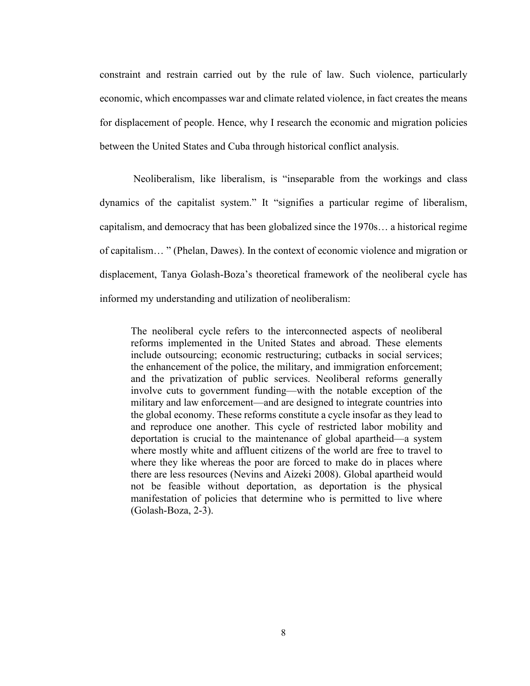constraint and restrain carried out by the rule of law. Such violence, particularly economic, which encompasses war and climate related violence, in fact creates the means for displacement of people. Hence, why I research the economic and migration policies between the United States and Cuba through historical conflict analysis.

Neoliberalism, like liberalism, is "inseparable from the workings and class dynamics of the capitalist system." It "signifies a particular regime of liberalism, capitalism, and democracy that has been globalized since the 1970s… a historical regime of capitalism… " (Phelan, Dawes). In the context of economic violence and migration or displacement, Tanya Golash-Boza's theoretical framework of the neoliberal cycle has informed my understanding and utilization of neoliberalism:

The neoliberal cycle refers to the interconnected aspects of neoliberal reforms implemented in the United States and abroad. These elements include outsourcing; economic restructuring; cutbacks in social services; the enhancement of the police, the military, and immigration enforcement; and the privatization of public services. Neoliberal reforms generally involve cuts to government funding—with the notable exception of the military and law enforcement—and are designed to integrate countries into the global economy. These reforms constitute a cycle insofar as they lead to and reproduce one another. This cycle of restricted labor mobility and deportation is crucial to the maintenance of global apartheid—a system where mostly white and affluent citizens of the world are free to travel to where they like whereas the poor are forced to make do in places where there are less resources (Nevins and Aizeki 2008). Global apartheid would not be feasible without deportation, as deportation is the physical manifestation of policies that determine who is permitted to live where (Golash-Boza, 2-3).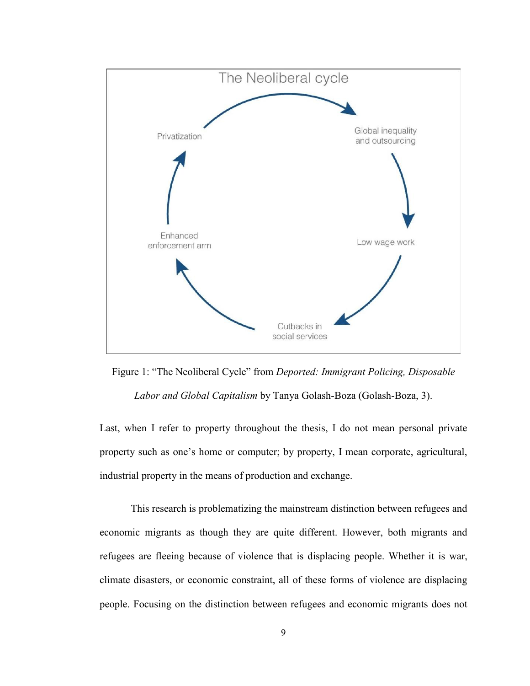

[Figure 1: "](https://docs.google.com/document/d/1Vna_dzqQOlXruF9FPCqcDKrjSgTd9zbT2NkAjXODDSk/edit#heading=h.1y810tw)The Neoliberal Cycle" from *Deported: Immigrant Policing, Disposable Labor and Global Capitalism* by Tanya Golash-Boza (Golash-Boza, 3).

Last, when I refer to property throughout the thesis, I do not mean personal private property such as one's home or computer; by property, I mean corporate, agricultural, industrial property in the means of production and exchange.

This research is problematizing the mainstream distinction between refugees and economic migrants as though they are quite different. However, both migrants and refugees are fleeing because of violence that is displacing people. Whether it is war, climate disasters, or economic constraint, all of these forms of violence are displacing people. Focusing on the distinction between refugees and economic migrants does not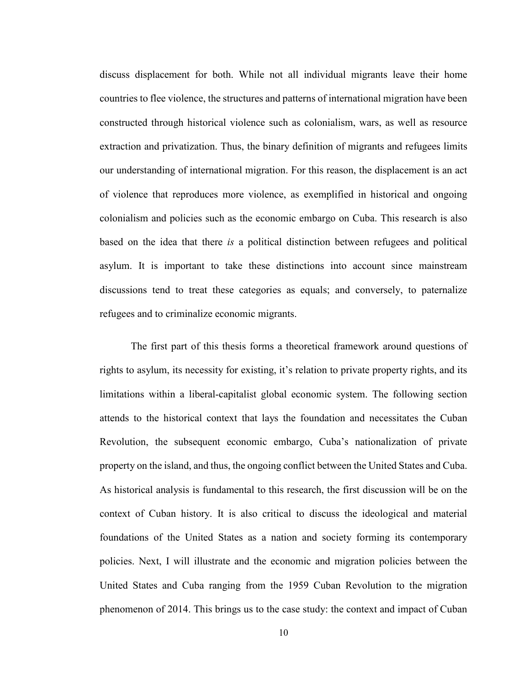discuss displacement for both. While not all individual migrants leave their home countries to flee violence, the structures and patterns of international migration have been constructed through historical violence such as colonialism, wars, as well as resource extraction and privatization. Thus, the binary definition of migrants and refugees limits our understanding of international migration. For this reason, the displacement is an act of violence that reproduces more violence, as exemplified in historical and ongoing colonialism and policies such as the economic embargo on Cuba. This research is also based on the idea that there *is* a political distinction between refugees and political asylum. It is important to take these distinctions into account since mainstream discussions tend to treat these categories as equals; and conversely, to paternalize refugees and to criminalize economic migrants.

The first part of this thesis forms a theoretical framework around questions of rights to asylum, its necessity for existing, it's relation to private property rights, and its limitations within a liberal-capitalist global economic system. The following section attends to the historical context that lays the foundation and necessitates the Cuban Revolution, the subsequent economic embargo, Cuba's nationalization of private property on the island, and thus, the ongoing conflict between the United States and Cuba. As historical analysis is fundamental to this research, the first discussion will be on the context of Cuban history. It is also critical to discuss the ideological and material foundations of the United States as a nation and society forming its contemporary policies. Next, I will illustrate and the economic and migration policies between the United States and Cuba ranging from the 1959 Cuban Revolution to the migration phenomenon of 2014. This brings us to the case study: the context and impact of Cuban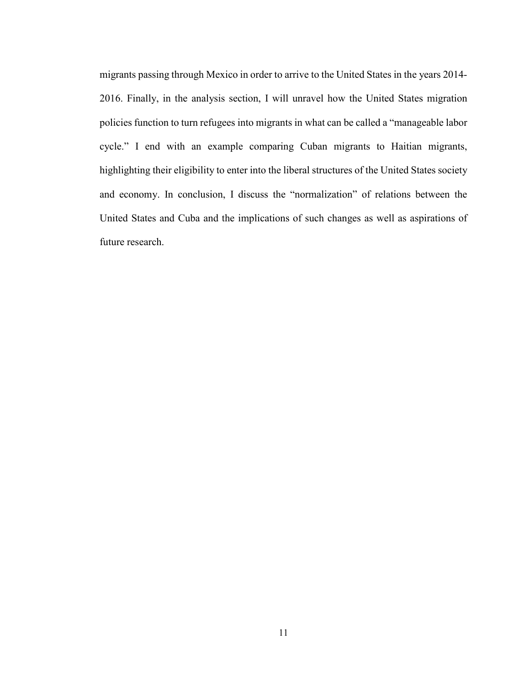migrants passing through Mexico in order to arrive to the United States in the years 2014- 2016. Finally, in the analysis section, I will unravel how the United States migration policies function to turn refugees into migrants in what can be called a "manageable labor cycle." I end with an example comparing Cuban migrants to Haitian migrants, highlighting their eligibility to enter into the liberal structures of the United States society and economy. In conclusion, I discuss the "normalization" of relations between the United States and Cuba and the implications of such changes as well as aspirations of future research.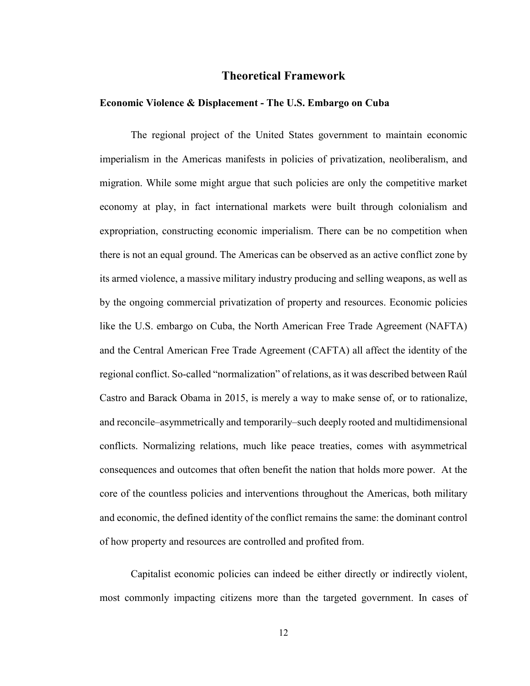### **Theoretical Framework**

### **Economic Violence & Displacement - The U.S. Embargo on Cuba**

The regional project of the United States government to maintain economic imperialism in the Americas manifests in policies of privatization, neoliberalism, and migration. While some might argue that such policies are only the competitive market economy at play, in fact international markets were built through colonialism and expropriation, constructing economic imperialism. There can be no competition when there is not an equal ground. The Americas can be observed as an active conflict zone by its armed violence, a massive military industry producing and selling weapons, as well as by the ongoing commercial privatization of property and resources. Economic policies like the U.S. embargo on Cuba, the North American Free Trade Agreement (NAFTA) and the Central American Free Trade Agreement (CAFTA) all affect the identity of the regional conflict. So-called "normalization" of relations, as it was described between Raúl Castro and Barack Obama in 2015, is merely a way to make sense of, or to rationalize, and reconcile–asymmetrically and temporarily–such deeply rooted and multidimensional conflicts. Normalizing relations, much like peace treaties, comes with asymmetrical consequences and outcomes that often benefit the nation that holds more power. At the core of the countless policies and interventions throughout the Americas, both military and economic, the defined identity of the conflict remains the same: the dominant control of how property and resources are controlled and profited from.

Capitalist economic policies can indeed be either directly or indirectly violent, most commonly impacting citizens more than the targeted government. In cases of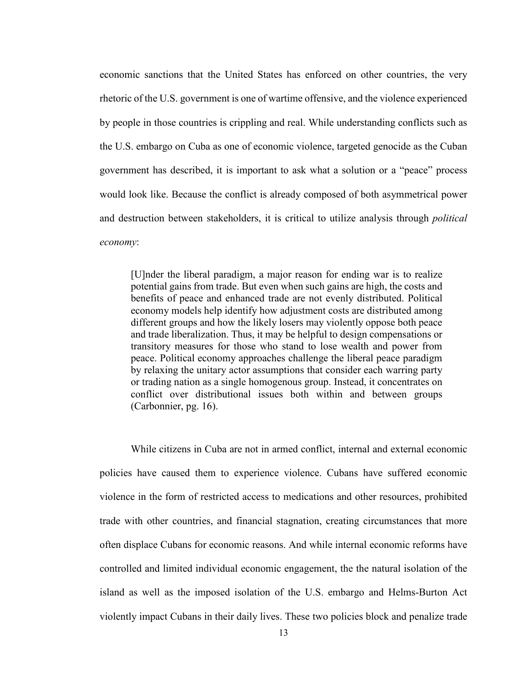economic sanctions that the United States has enforced on other countries, the very rhetoric of the U.S. government is one of wartime offensive, and the violence experienced by people in those countries is crippling and real. While understanding conflicts such as the U.S. embargo on Cuba as one of economic violence, targeted genocide as the Cuban government has described, it is important to ask what a solution or a "peace" process would look like. Because the conflict is already composed of both asymmetrical power and destruction between stakeholders, it is critical to utilize analysis through *political economy*:

[U]nder the liberal paradigm, a major reason for ending war is to realize potential gains from trade. But even when such gains are high, the costs and benefits of peace and enhanced trade are not evenly distributed. Political economy models help identify how adjustment costs are distributed among different groups and how the likely losers may violently oppose both peace and trade liberalization. Thus, it may be helpful to design compensations or transitory measures for those who stand to lose wealth and power from peace. Political economy approaches challenge the liberal peace paradigm by relaxing the unitary actor assumptions that consider each warring party or trading nation as a single homogenous group. Instead, it concentrates on conflict over distributional issues both within and between groups (Carbonnier, pg. 16).

While citizens in Cuba are not in armed conflict, internal and external economic policies have caused them to experience violence. Cubans have suffered economic violence in the form of restricted access to medications and other resources, prohibited trade with other countries, and financial stagnation, creating circumstances that more often displace Cubans for economic reasons. And while internal economic reforms have controlled and limited individual economic engagement, the the natural isolation of the island as well as the imposed isolation of the U.S. embargo and Helms-Burton Act violently impact Cubans in their daily lives. These two policies block and penalize trade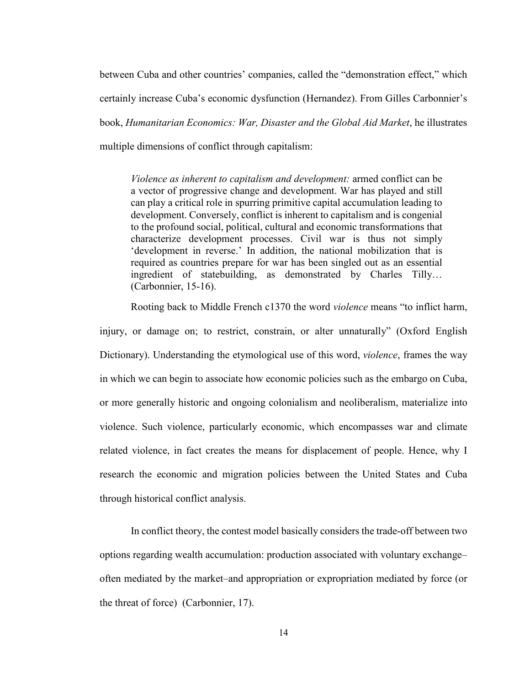between Cuba and other countries' companies, called the "demonstration effect," which certainly increase Cuba's economic dysfunction (Hernandez). From Gilles Carbonnier's book, *Humanitarian Economics: War, Disaster and the Global Aid Market*, he illustrates multiple dimensions of conflict through capitalism:

*Violence as inherent to capitalism and development:* armed conflict can be a vector of progressive change and development. War has played and still can play a critical role in spurring primitive capital accumulation leading to development. Conversely, conflict is inherent to capitalism and is congenial to the profound social, political, cultural and economic transformations that characterize development processes. Civil war is thus not simply 'development in reverse.' In addition, the national mobilization that is required as countries prepare for war has been singled out as an essential ingredient of statebuilding, as demonstrated by Charles Tilly… (Carbonnier, 15-16).

Rooting back to Middle French c1370 the word *violence* means "to inflict harm,

injury, or damage on; to restrict, constrain, or alter unnaturally" (Oxford English Dictionary). Understanding the etymological use of this word, *violence*, frames the way in which we can begin to associate how economic policies such as the embargo on Cuba, or more generally historic and ongoing colonialism and neoliberalism, materialize into violence. Such violence, particularly economic, which encompasses war and climate related violence, in fact creates the means for displacement of people. Hence, why I research the economic and migration policies between the United States and Cuba through historical conflict analysis.

In conflict theory, the contest model basically considers the trade-off between two options regarding wealth accumulation: production associated with voluntary exchange– often mediated by the market–and appropriation or expropriation mediated by force (or the threat of force) (Carbonnier, 17).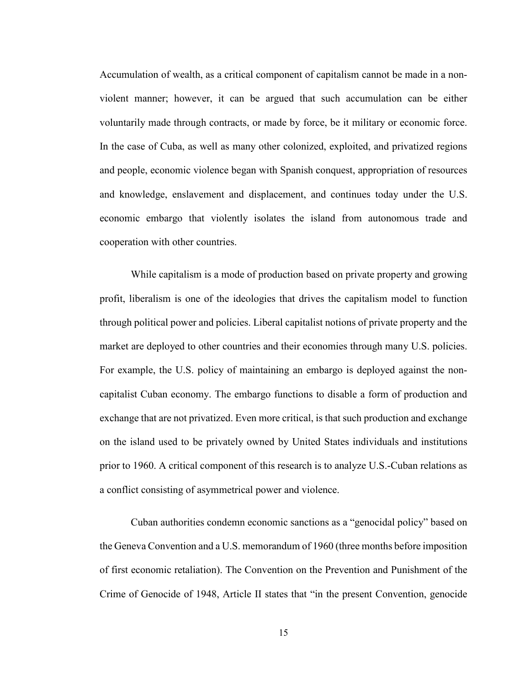Accumulation of wealth, as a critical component of capitalism cannot be made in a nonviolent manner; however, it can be argued that such accumulation can be either voluntarily made through contracts, or made by force, be it military or economic force. In the case of Cuba, as well as many other colonized, exploited, and privatized regions and people, economic violence began with Spanish conquest, appropriation of resources and knowledge, enslavement and displacement, and continues today under the U.S. economic embargo that violently isolates the island from autonomous trade and cooperation with other countries.

While capitalism is a mode of production based on private property and growing profit, liberalism is one of the ideologies that drives the capitalism model to function through political power and policies. Liberal capitalist notions of private property and the market are deployed to other countries and their economies through many U.S. policies. For example, the U.S. policy of maintaining an embargo is deployed against the noncapitalist Cuban economy. The embargo functions to disable a form of production and exchange that are not privatized. Even more critical, is that such production and exchange on the island used to be privately owned by United States individuals and institutions prior to 1960. A critical component of this research is to analyze U.S.-Cuban relations as a conflict consisting of asymmetrical power and violence.

Cuban authorities condemn economic sanctions as a "genocidal policy" based on the Geneva Convention and a U.S. memorandum of 1960 (three months before imposition of first economic retaliation). The Convention on the Prevention and Punishment of the Crime of Genocide of 1948, Article II states that "in the present Convention, genocide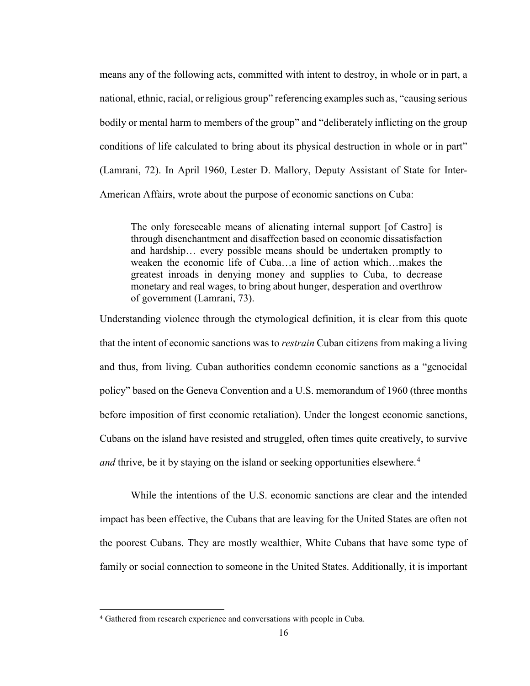means any of the following acts, committed with intent to destroy, in whole or in part, a national, ethnic, racial, or religious group" referencing examples such as, "causing serious bodily or mental harm to members of the group" and "deliberately inflicting on the group conditions of life calculated to bring about its physical destruction in whole or in part" (Lamrani, 72). In April 1960, Lester D. Mallory, Deputy Assistant of State for Inter-American Affairs, wrote about the purpose of economic sanctions on Cuba:

The only foreseeable means of alienating internal support [of Castro] is through disenchantment and disaffection based on economic dissatisfaction and hardship… every possible means should be undertaken promptly to weaken the economic life of Cuba…a line of action which…makes the greatest inroads in denying money and supplies to Cuba, to decrease monetary and real wages, to bring about hunger, desperation and overthrow of government (Lamrani, 73).

Understanding violence through the etymological definition, it is clear from this quote that the intent of economic sanctions was to *restrain* Cuban citizens from making a living and thus, from living. Cuban authorities condemn economic sanctions as a "genocidal policy" based on the Geneva Convention and a U.S. memorandum of 1960 (three months before imposition of first economic retaliation). Under the longest economic sanctions, Cubans on the island have resisted and struggled, often times quite creatively, to survive *and* thrive, be it by staying on the island or seeking opportunities elsewhere.<sup>[4](#page-20-0)</sup>

While the intentions of the U.S. economic sanctions are clear and the intended impact has been effective, the Cubans that are leaving for the United States are often not the poorest Cubans. They are mostly wealthier, White Cubans that have some type of family or social connection to someone in the United States. Additionally, it is important

<span id="page-20-0"></span> <sup>4</sup> Gathered from research experience and conversations with people in Cuba.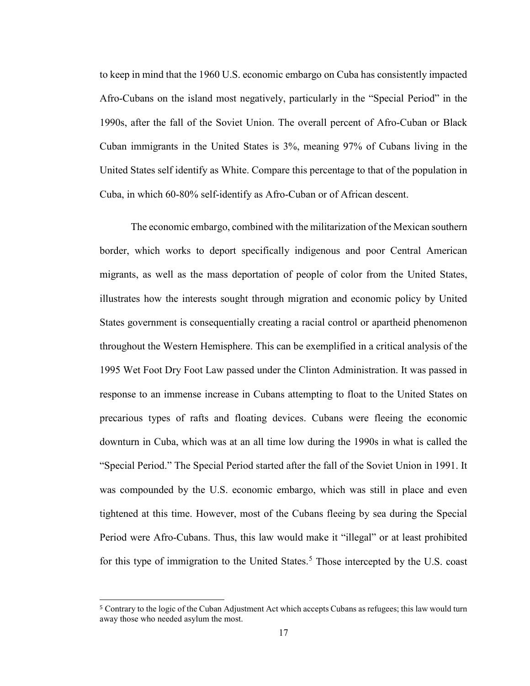to keep in mind that the 1960 U.S. economic embargo on Cuba has consistently impacted Afro-Cubans on the island most negatively, particularly in the "Special Period" in the 1990s, after the fall of the Soviet Union. The overall percent of Afro-Cuban or Black Cuban immigrants in the United States is 3%, meaning 97% of Cubans living in the United States self identify as White. Compare this percentage to that of the population in Cuba, in which 60-80% self-identify as Afro-Cuban or of African descent.

The economic embargo, combined with the militarization of the Mexican southern border, which works to deport specifically indigenous and poor Central American migrants, as well as the mass deportation of people of color from the United States, illustrates how the interests sought through migration and economic policy by United States government is consequentially creating a racial control or apartheid phenomenon throughout the Western Hemisphere. This can be exemplified in a critical analysis of the 1995 Wet Foot Dry Foot Law passed under the Clinton Administration. It was passed in response to an immense increase in Cubans attempting to float to the United States on precarious types of rafts and floating devices. Cubans were fleeing the economic downturn in Cuba, which was at an all time low during the 1990s in what is called the "Special Period." The Special Period started after the fall of the Soviet Union in 1991. It was compounded by the U.S. economic embargo, which was still in place and even tightened at this time. However, most of the Cubans fleeing by sea during the Special Period were Afro-Cubans. Thus, this law would make it "illegal" or at least prohibited for this type of immigration to the United States.<sup>[5](#page-21-0)</sup> Those intercepted by the U.S. coast

<span id="page-21-0"></span> <sup>5</sup> Contrary to the logic of the Cuban Adjustment Act which accepts Cubans as refugees; this law would turn away those who needed asylum the most.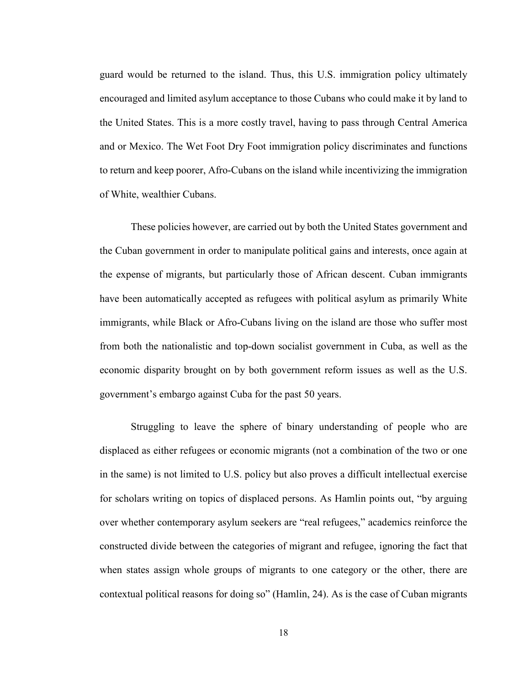guard would be returned to the island. Thus, this U.S. immigration policy ultimately encouraged and limited asylum acceptance to those Cubans who could make it by land to the United States. This is a more costly travel, having to pass through Central America and or Mexico. The Wet Foot Dry Foot immigration policy discriminates and functions to return and keep poorer, Afro-Cubans on the island while incentivizing the immigration of White, wealthier Cubans.

These policies however, are carried out by both the United States government and the Cuban government in order to manipulate political gains and interests, once again at the expense of migrants, but particularly those of African descent. Cuban immigrants have been automatically accepted as refugees with political asylum as primarily White immigrants, while Black or Afro-Cubans living on the island are those who suffer most from both the nationalistic and top-down socialist government in Cuba, as well as the economic disparity brought on by both government reform issues as well as the U.S. government's embargo against Cuba for the past 50 years.

Struggling to leave the sphere of binary understanding of people who are displaced as either refugees or economic migrants (not a combination of the two or one in the same) is not limited to U.S. policy but also proves a difficult intellectual exercise for scholars writing on topics of displaced persons. As Hamlin points out, "by arguing over whether contemporary asylum seekers are "real refugees," academics reinforce the constructed divide between the categories of migrant and refugee, ignoring the fact that when states assign whole groups of migrants to one category or the other, there are contextual political reasons for doing so" (Hamlin, 24). As is the case of Cuban migrants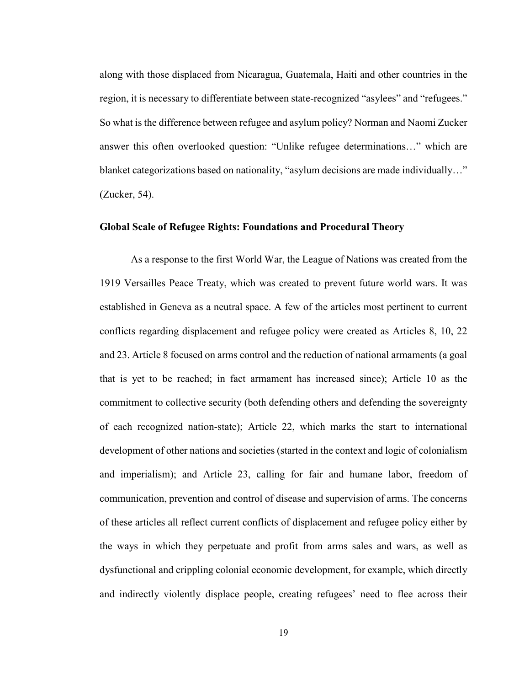along with those displaced from Nicaragua, Guatemala, Haiti and other countries in the region, it is necessary to differentiate between state-recognized "asylees" and "refugees." So what is the difference between refugee and asylum policy? Norman and Naomi Zucker answer this often overlooked question: "Unlike refugee determinations…" which are blanket categorizations based on nationality, "asylum decisions are made individually..." (Zucker, 54).

#### **Global Scale of Refugee Rights: Foundations and Procedural Theory**

As a response to the first World War, the League of Nations was created from the 1919 Versailles Peace Treaty, which was created to prevent future world wars. It was established in Geneva as a neutral space. A few of the articles most pertinent to current conflicts regarding displacement and refugee policy were created as Articles 8, 10, 22 and 23. Article 8 focused on arms control and the reduction of national armaments (a goal that is yet to be reached; in fact armament has increased since); Article 10 as the commitment to collective security (both defending others and defending the sovereignty of each recognized nation-state); Article 22, which marks the start to international development of other nations and societies (started in the context and logic of colonialism and imperialism); and Article 23, calling for fair and humane labor, freedom of communication, prevention and control of disease and supervision of arms. The concerns of these articles all reflect current conflicts of displacement and refugee policy either by the ways in which they perpetuate and profit from arms sales and wars, as well as dysfunctional and crippling colonial economic development, for example, which directly and indirectly violently displace people, creating refugees' need to flee across their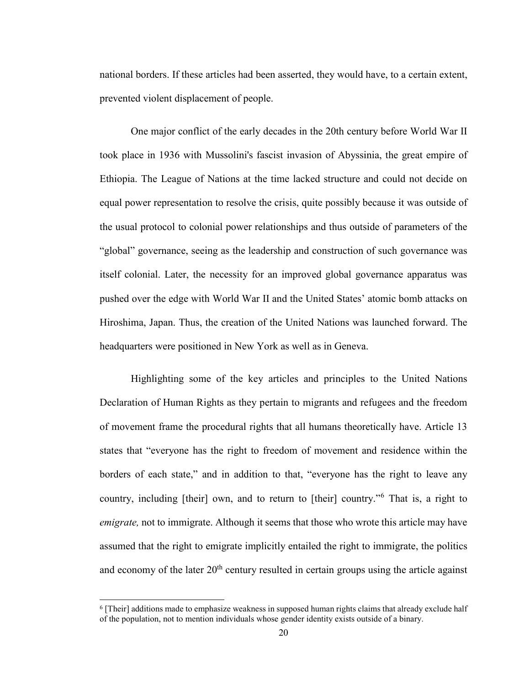national borders. If these articles had been asserted, they would have, to a certain extent, prevented violent displacement of people.

One major conflict of the early decades in the 20th century before World War II took place in 1936 with Mussolini's fascist invasion of Abyssinia, the great empire of Ethiopia. The League of Nations at the time lacked structure and could not decide on equal power representation to resolve the crisis, quite possibly because it was outside of the usual protocol to colonial power relationships and thus outside of parameters of the "global" governance, seeing as the leadership and construction of such governance was itself colonial. Later, the necessity for an improved global governance apparatus was pushed over the edge with World War II and the United States' atomic bomb attacks on Hiroshima, Japan. Thus, the creation of the United Nations was launched forward. The headquarters were positioned in New York as well as in Geneva.

Highlighting some of the key articles and principles to the United Nations Declaration of Human Rights as they pertain to migrants and refugees and the freedom of movement frame the procedural rights that all humans theoretically have. Article 13 states that "everyone has the right to freedom of movement and residence within the borders of each state," and in addition to that, "everyone has the right to leave any country, including [their] own, and to return to [their] country."[6](#page-24-0) That is, a right to *emigrate,* not to immigrate. Although it seems that those who wrote this article may have assumed that the right to emigrate implicitly entailed the right to immigrate, the politics and economy of the later  $20<sup>th</sup>$  century resulted in certain groups using the article against

<span id="page-24-0"></span> <sup>6</sup> [Their] additions made to emphasize weakness in supposed human rights claims that already exclude half of the population, not to mention individuals whose gender identity exists outside of a binary.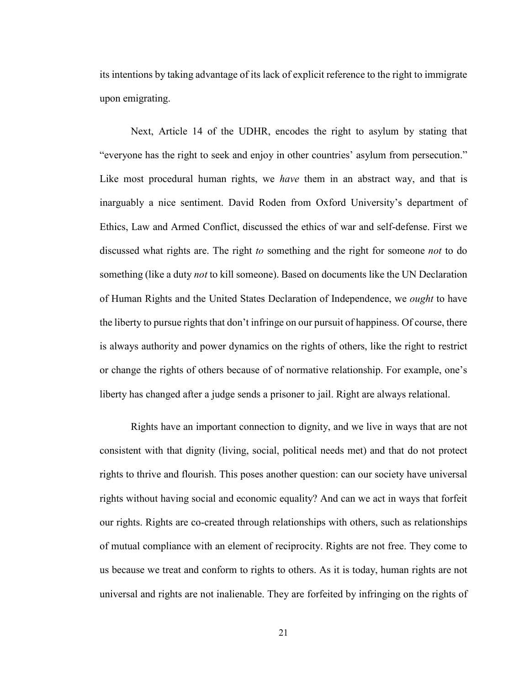its intentions by taking advantage of its lack of explicit reference to the right to immigrate upon emigrating.

Next, Article 14 of the UDHR, encodes the right to asylum by stating that "everyone has the right to seek and enjoy in other countries' asylum from persecution." Like most procedural human rights, we *have* them in an abstract way, and that is inarguably a nice sentiment. David Roden from Oxford University's department of Ethics, Law and Armed Conflict, discussed the ethics of war and self-defense. First we discussed what rights are. The right *to* something and the right for someone *not* to do something (like a duty *not* to kill someone). Based on documents like the UN Declaration of Human Rights and the United States Declaration of Independence, we *ought* to have the liberty to pursue rights that don't infringe on our pursuit of happiness. Of course, there is always authority and power dynamics on the rights of others, like the right to restrict or change the rights of others because of of normative relationship. For example, one's liberty has changed after a judge sends a prisoner to jail. Right are always relational.

Rights have an important connection to dignity, and we live in ways that are not consistent with that dignity (living, social, political needs met) and that do not protect rights to thrive and flourish. This poses another question: can our society have universal rights without having social and economic equality? And can we act in ways that forfeit our rights. Rights are co-created through relationships with others, such as relationships of mutual compliance with an element of reciprocity. Rights are not free. They come to us because we treat and conform to rights to others. As it is today, human rights are not universal and rights are not inalienable. They are forfeited by infringing on the rights of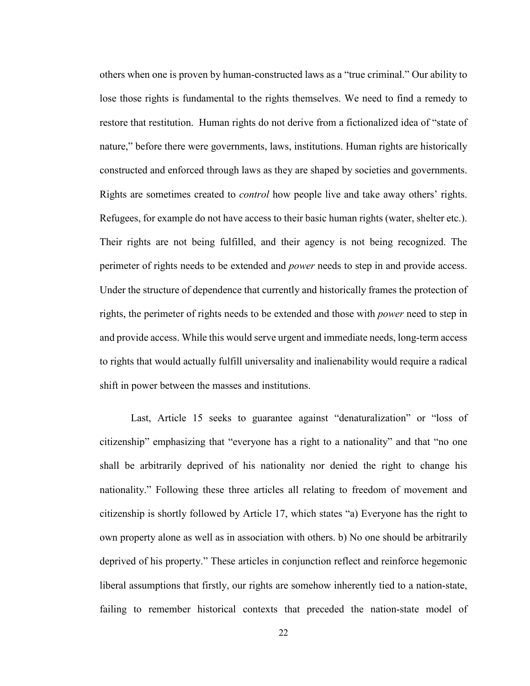others when one is proven by human-constructed laws as a "true criminal." Our ability to lose those rights is fundamental to the rights themselves. We need to find a remedy to restore that restitution. Human rights do not derive from a fictionalized idea of "state of nature," before there were governments, laws, institutions. Human rights are historically constructed and enforced through laws as they are shaped by societies and governments. Rights are sometimes created to *control* how people live and take away others' rights. Refugees, for example do not have access to their basic human rights (water, shelter etc.). Their rights are not being fulfilled, and their agency is not being recognized. The perimeter of rights needs to be extended and *power* needs to step in and provide access. Under the structure of dependence that currently and historically frames the protection of rights, the perimeter of rights needs to be extended and those with *power* need to step in and provide access. While this would serve urgent and immediate needs, long-term access to rights that would actually fulfill universality and inalienability would require a radical shift in power between the masses and institutions.

Last, Article 15 seeks to guarantee against "denaturalization" or "loss of citizenship" emphasizing that "everyone has a right to a nationality" and that "no one shall be arbitrarily deprived of his nationality nor denied the right to change his nationality." Following these three articles all relating to freedom of movement and citizenship is shortly followed by Article 17, which states "a) Everyone has the right to own property alone as well as in association with others. b) No one should be arbitrarily deprived of his property." These articles in conjunction reflect and reinforce hegemonic liberal assumptions that firstly, our rights are somehow inherently tied to a nation-state, failing to remember historical contexts that preceded the nation-state model of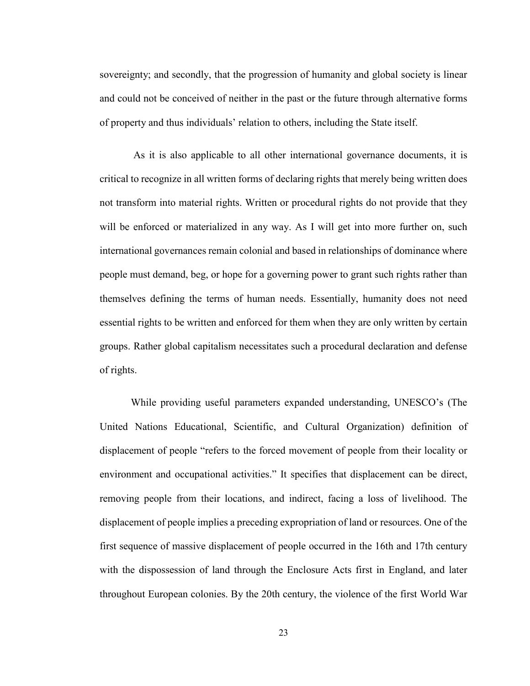sovereignty; and secondly, that the progression of humanity and global society is linear and could not be conceived of neither in the past or the future through alternative forms of property and thus individuals' relation to others, including the State itself.

As it is also applicable to all other international governance documents, it is critical to recognize in all written forms of declaring rights that merely being written does not transform into material rights. Written or procedural rights do not provide that they will be enforced or materialized in any way. As I will get into more further on, such international governances remain colonial and based in relationships of dominance where people must demand, beg, or hope for a governing power to grant such rights rather than themselves defining the terms of human needs. Essentially, humanity does not need essential rights to be written and enforced for them when they are only written by certain groups. Rather global capitalism necessitates such a procedural declaration and defense of rights.

While providing useful parameters expanded understanding, UNESCO's (The United Nations Educational, Scientific, and Cultural Organization) definition of displacement of people "refers to the forced movement of people from their locality or environment and occupational activities." It specifies that displacement can be direct, removing people from their locations, and indirect, facing a loss of livelihood. The displacement of people implies a preceding expropriation of land or resources. One of the first sequence of massive displacement of people occurred in the 16th and 17th century with the dispossession of land through the Enclosure Acts first in England, and later throughout European colonies. By the 20th century, the violence of the first World War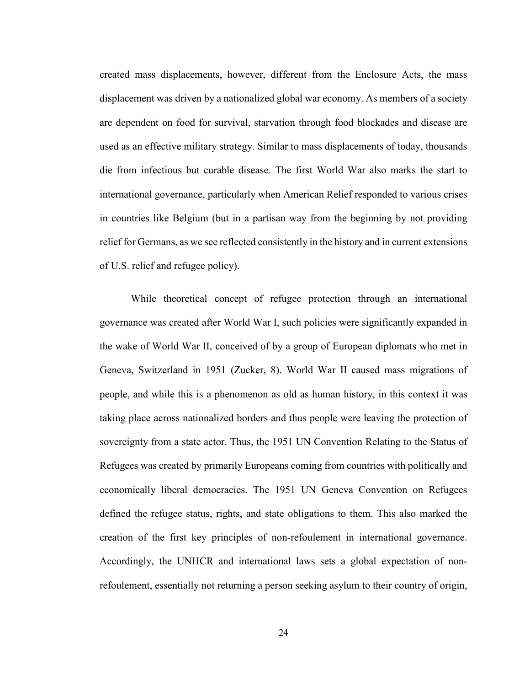created mass displacements, however, different from the Enclosure Acts, the mass displacement was driven by a nationalized global war economy. As members of a society are dependent on food for survival, starvation through food blockades and disease are used as an effective military strategy. Similar to mass displacements of today, thousands die from infectious but curable disease. The first World War also marks the start to international governance, particularly when American Relief responded to various crises in countries like Belgium (but in a partisan way from the beginning by not providing relief for Germans, as we see reflected consistently in the history and in current extensions of U.S. relief and refugee policy).

While theoretical concept of refugee protection through an international governance was created after World War I, such policies were significantly expanded in the wake of World War II, conceived of by a group of European diplomats who met in Geneva, Switzerland in 1951 (Zucker, 8). World War II caused mass migrations of people, and while this is a phenomenon as old as human history, in this context it was taking place across nationalized borders and thus people were leaving the protection of sovereignty from a state actor. Thus, the 1951 UN Convention Relating to the Status of Refugees was created by primarily Europeans coming from countries with politically and economically liberal democracies. The 1951 UN Geneva Convention on Refugees defined the refugee status, rights, and state obligations to them. This also marked the creation of the first key principles of non-refoulement in international governance. Accordingly, the UNHCR and international laws sets a global expectation of nonrefoulement, essentially not returning a person seeking asylum to their country of origin,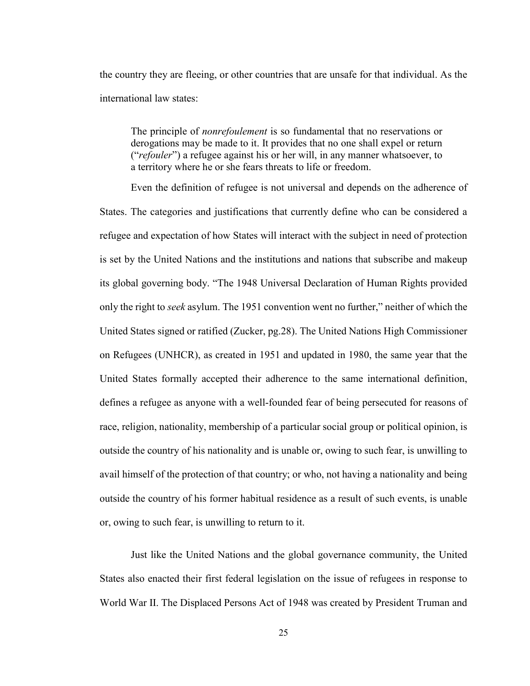the country they are fleeing, or other countries that are unsafe for that individual. As the international law states:

The principle of *nonrefoulement* is so fundamental that no reservations or derogations may be made to it. It provides that no one shall expel or return ("*refouler*") a refugee against his or her will, in any manner whatsoever, to a territory where he or she fears threats to life or freedom.

Even the definition of refugee is not universal and depends on the adherence of States. The categories and justifications that currently define who can be considered a refugee and expectation of how States will interact with the subject in need of protection is set by the United Nations and the institutions and nations that subscribe and makeup its global governing body. "The 1948 Universal Declaration of Human Rights provided only the right to *seek* asylum. The 1951 convention went no further," neither of which the United States signed or ratified (Zucker, pg.28). The United Nations High Commissioner on Refugees (UNHCR), as created in 1951 and updated in 1980, the same year that the United States formally accepted their adherence to the same international definition, defines a refugee as anyone with a well-founded fear of being persecuted for reasons of race, religion, nationality, membership of a particular social group or political opinion, is outside the country of his nationality and is unable or, owing to such fear, is unwilling to avail himself of the protection of that country; or who, not having a nationality and being outside the country of his former habitual residence as a result of such events, is unable or, owing to such fear, is unwilling to return to it.

Just like the United Nations and the global governance community, the United States also enacted their first federal legislation on the issue of refugees in response to World War II. The Displaced Persons Act of 1948 was created by President Truman and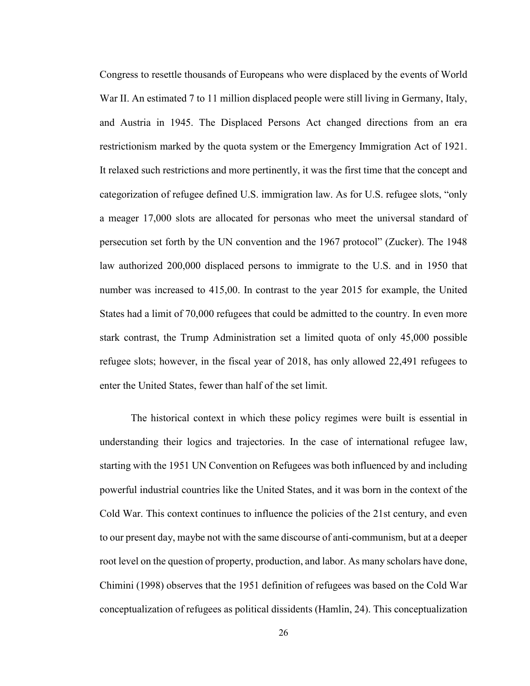Congress to resettle thousands of Europeans who were displaced by the events of World War II. An estimated 7 to 11 million displaced people were still living in Germany, Italy, and Austria in 1945. The Displaced Persons Act changed directions from an era restrictionism marked by the quota system or the Emergency Immigration Act of 1921. It relaxed such restrictions and more pertinently, it was the first time that the concept and categorization of refugee defined U.S. immigration law. As for U.S. refugee slots, "only a meager 17,000 slots are allocated for personas who meet the universal standard of persecution set forth by the UN convention and the 1967 protocol" (Zucker). The 1948 law authorized 200,000 displaced persons to immigrate to the U.S. and in 1950 that number was increased to 415,00. In contrast to the year 2015 for example, the United States had a limit of 70,000 refugees that could be admitted to the country. In even more stark contrast, the Trump Administration set a limited quota of only 45,000 possible refugee slots; however, in the fiscal year of 2018, has only allowed 22,491 refugees to enter the United States, fewer than half of the set limit.

The historical context in which these policy regimes were built is essential in understanding their logics and trajectories. In the case of international refugee law, starting with the 1951 UN Convention on Refugees was both influenced by and including powerful industrial countries like the United States, and it was born in the context of the Cold War. This context continues to influence the policies of the 21st century, and even to our present day, maybe not with the same discourse of anti-communism, but at a deeper root level on the question of property, production, and labor. As many scholars have done, Chimini (1998) observes that the 1951 definition of refugees was based on the Cold War conceptualization of refugees as political dissidents (Hamlin, 24). This conceptualization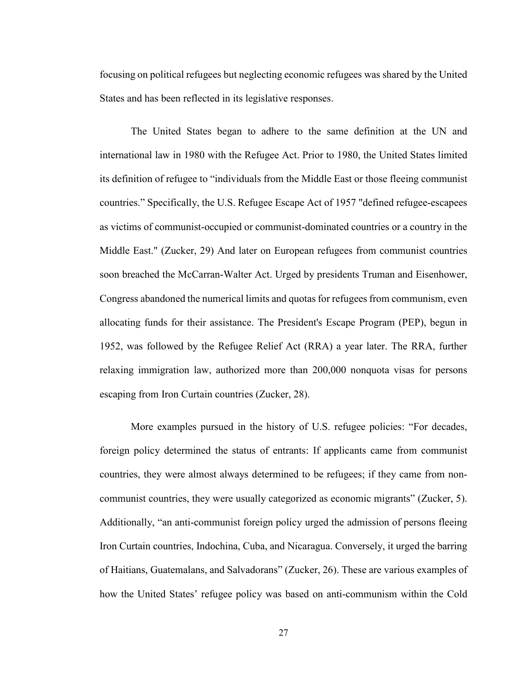focusing on political refugees but neglecting economic refugees was shared by the United States and has been reflected in its legislative responses.

The United States began to adhere to the same definition at the UN and international law in 1980 with the Refugee Act. Prior to 1980, the United States limited its definition of refugee to "individuals from the Middle East or those fleeing communist countries." Specifically, the U.S. Refugee Escape Act of 1957 "defined refugee-escapees as victims of communist-occupied or communist-dominated countries or a country in the Middle East." (Zucker, 29) And later on European refugees from communist countries soon breached the McCarran-Walter Act. Urged by presidents Truman and Eisenhower, Congress abandoned the numerical limits and quotas for refugees from communism, even allocating funds for their assistance. The President's Escape Program (PEP), begun in 1952, was followed by the Refugee Relief Act (RRA) a year later. The RRA, further relaxing immigration law, authorized more than 200,000 nonquota visas for persons escaping from Iron Curtain countries (Zucker, 28).

More examples pursued in the history of U.S. refugee policies: "For decades, foreign policy determined the status of entrants: If applicants came from communist countries, they were almost always determined to be refugees; if they came from noncommunist countries, they were usually categorized as economic migrants" (Zucker, 5). Additionally, "an anti-communist foreign policy urged the admission of persons fleeing Iron Curtain countries, Indochina, Cuba, and Nicaragua. Conversely, it urged the barring of Haitians, Guatemalans, and Salvadorans" (Zucker, 26). These are various examples of how the United States' refugee policy was based on anti-communism within the Cold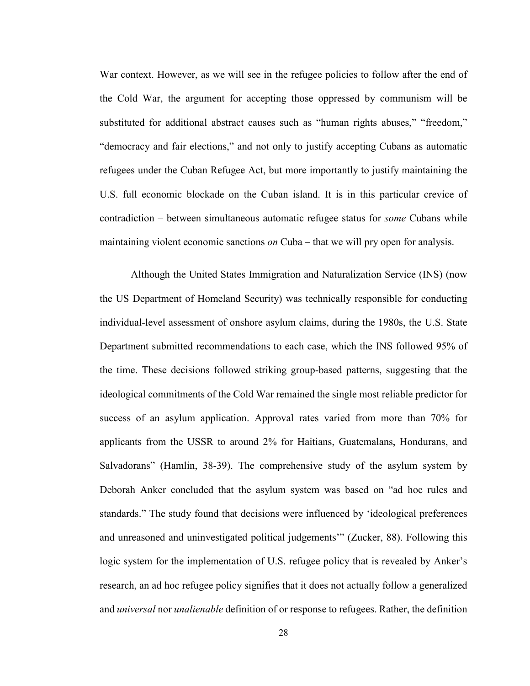War context. However, as we will see in the refugee policies to follow after the end of the Cold War, the argument for accepting those oppressed by communism will be substituted for additional abstract causes such as "human rights abuses," "freedom," "democracy and fair elections," and not only to justify accepting Cubans as automatic refugees under the Cuban Refugee Act, but more importantly to justify maintaining the U.S. full economic blockade on the Cuban island. It is in this particular crevice of contradiction – between simultaneous automatic refugee status for *some* Cubans while maintaining violent economic sanctions *on* Cuba – that we will pry open for analysis.

Although the United States Immigration and Naturalization Service (INS) (now the US Department of Homeland Security) was technically responsible for conducting individual-level assessment of onshore asylum claims, during the 1980s, the U.S. State Department submitted recommendations to each case, which the INS followed 95% of the time. These decisions followed striking group-based patterns, suggesting that the ideological commitments of the Cold War remained the single most reliable predictor for success of an asylum application. Approval rates varied from more than 70% for applicants from the USSR to around 2% for Haitians, Guatemalans, Hondurans, and Salvadorans" (Hamlin, 38-39). The comprehensive study of the asylum system by Deborah Anker concluded that the asylum system was based on "ad hoc rules and standards." The study found that decisions were influenced by 'ideological preferences and unreasoned and uninvestigated political judgements'" (Zucker, 88). Following this logic system for the implementation of U.S. refugee policy that is revealed by Anker's research, an ad hoc refugee policy signifies that it does not actually follow a generalized and *universal* nor *unalienable* definition of or response to refugees. Rather, the definition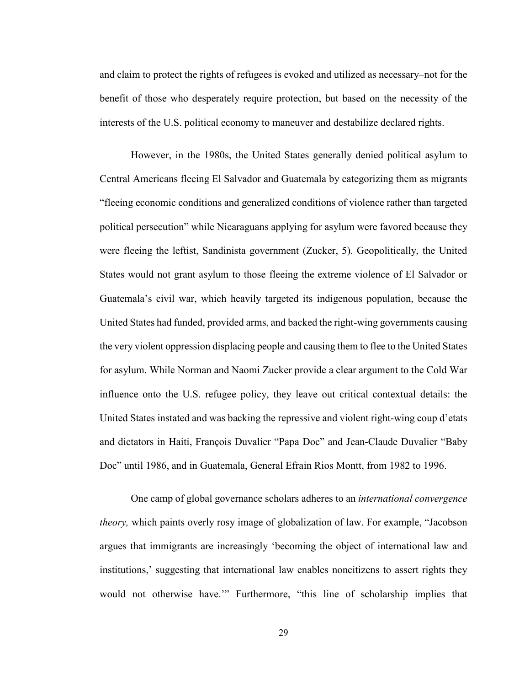and claim to protect the rights of refugees is evoked and utilized as necessary–not for the benefit of those who desperately require protection, but based on the necessity of the interests of the U.S. political economy to maneuver and destabilize declared rights.

However, in the 1980s, the United States generally denied political asylum to Central Americans fleeing El Salvador and Guatemala by categorizing them as migrants "fleeing economic conditions and generalized conditions of violence rather than targeted political persecution" while Nicaraguans applying for asylum were favored because they were fleeing the leftist, Sandinista government (Zucker, 5). Geopolitically, the United States would not grant asylum to those fleeing the extreme violence of El Salvador or Guatemala's civil war, which heavily targeted its indigenous population, because the United States had funded, provided arms, and backed the right-wing governments causing the very violent oppression displacing people and causing them to flee to the United States for asylum. While Norman and Naomi Zucker provide a clear argument to the Cold War influence onto the U.S. refugee policy, they leave out critical contextual details: the United States instated and was backing the repressive and violent right-wing coup d'etats and dictators in Haiti, François Duvalier "Papa Doc" and Jean-Claude Duvalier "Baby Doc" until 1986, and in Guatemala, General Efrain Rios Montt, from 1982 to 1996.

One camp of global governance scholars adheres to an *international convergence theory,* which paints overly rosy image of globalization of law. For example, "Jacobson argues that immigrants are increasingly 'becoming the object of international law and institutions,' suggesting that international law enables noncitizens to assert rights they would not otherwise have.'" Furthermore, "this line of scholarship implies that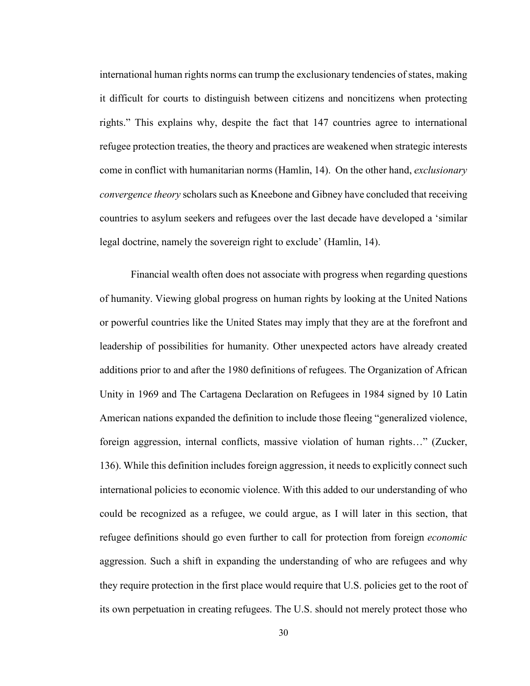international human rights norms can trump the exclusionary tendencies of states, making it difficult for courts to distinguish between citizens and noncitizens when protecting rights." This explains why, despite the fact that 147 countries agree to international refugee protection treaties, the theory and practices are weakened when strategic interests come in conflict with humanitarian norms (Hamlin, 14). On the other hand, *exclusionary convergence theory* scholars such as Kneebone and Gibney have concluded that receiving countries to asylum seekers and refugees over the last decade have developed a 'similar legal doctrine, namely the sovereign right to exclude' (Hamlin, 14).

Financial wealth often does not associate with progress when regarding questions of humanity. Viewing global progress on human rights by looking at the United Nations or powerful countries like the United States may imply that they are at the forefront and leadership of possibilities for humanity. Other unexpected actors have already created additions prior to and after the 1980 definitions of refugees. The Organization of African Unity in 1969 and The Cartagena Declaration on Refugees in 1984 signed by 10 Latin American nations expanded the definition to include those fleeing "generalized violence, foreign aggression, internal conflicts, massive violation of human rights…" (Zucker, 136). While this definition includes foreign aggression, it needs to explicitly connect such international policies to economic violence. With this added to our understanding of who could be recognized as a refugee, we could argue, as I will later in this section, that refugee definitions should go even further to call for protection from foreign *economic*  aggression. Such a shift in expanding the understanding of who are refugees and why they require protection in the first place would require that U.S. policies get to the root of its own perpetuation in creating refugees. The U.S. should not merely protect those who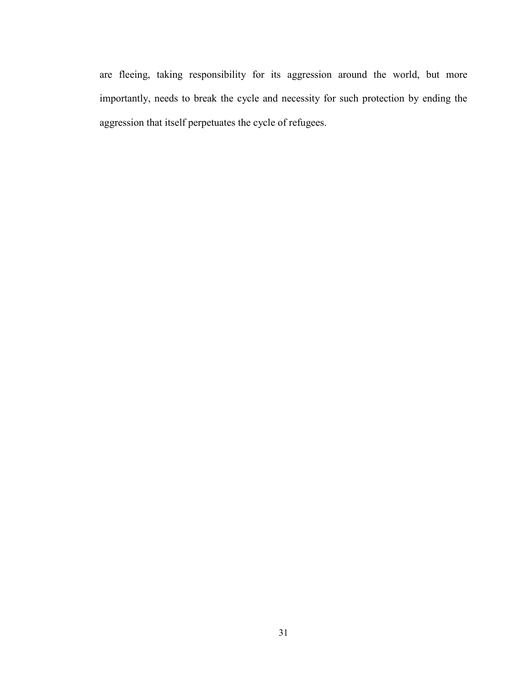are fleeing, taking responsibility for its aggression around the world, but more importantly, needs to break the cycle and necessity for such protection by ending the aggression that itself perpetuates the cycle of refugees.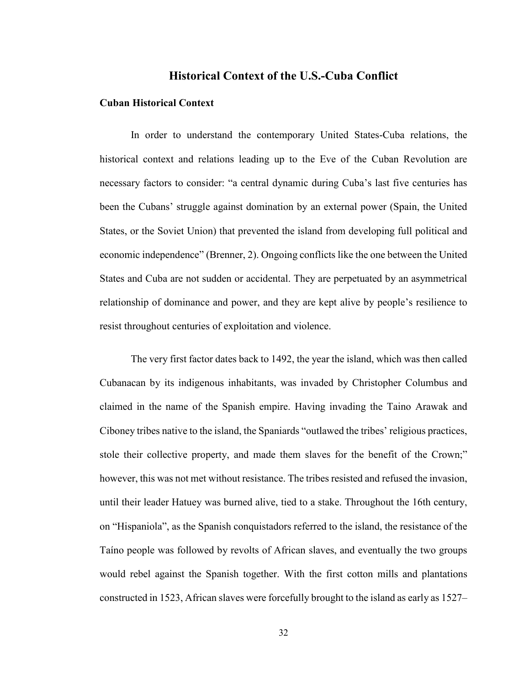### **Historical Context of the U.S.-Cuba Conflict**

### **Cuban Historical Context**

In order to understand the contemporary United States-Cuba relations, the historical context and relations leading up to the Eve of the Cuban Revolution are necessary factors to consider: "a central dynamic during Cuba's last five centuries has been the Cubans' struggle against domination by an external power (Spain, the United States, or the Soviet Union) that prevented the island from developing full political and economic independence" (Brenner, 2). Ongoing conflicts like the one between the United States and Cuba are not sudden or accidental. They are perpetuated by an asymmetrical relationship of dominance and power, and they are kept alive by people's resilience to resist throughout centuries of exploitation and violence.

The very first factor dates back to 1492, the year the island, which was then called Cubanacan by its indigenous inhabitants, was invaded by Christopher Columbus and claimed in the name of the Spanish empire. Having invading the Taino Arawak and Ciboney tribes native to the island, the Spaniards "outlawed the tribes' religious practices, stole their collective property, and made them slaves for the benefit of the Crown;" however, this was not met without resistance. The tribes resisted and refused the invasion, until their leader Hatuey was burned alive, tied to a stake. Throughout the 16th century, on "Hispaniola", as the Spanish conquistadors referred to the island, the resistance of the Taíno people was followed by revolts of African slaves, and eventually the two groups would rebel against the Spanish together. With the first cotton mills and plantations constructed in 1523, African slaves were forcefully brought to the island as early as 1527–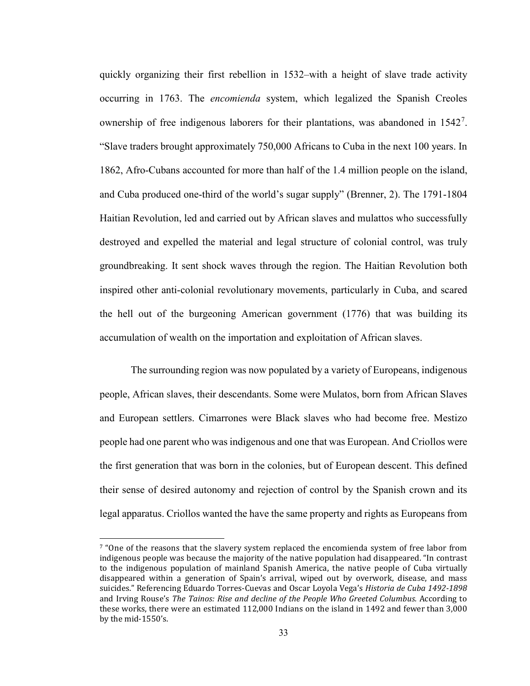quickly organizing their first rebellion in 1532–with a height of slave trade activity occurring in 1763. The *encomienda* system, which legalized the Spanish Creoles ownership of free indigenous laborers for their plantations, was abandoned in 1542<sup>[7](#page-37-0)</sup>. "Slave traders brought approximately 750,000 Africans to Cuba in the next 100 years. In 1862, Afro-Cubans accounted for more than half of the 1.4 million people on the island, and Cuba produced one-third of the world's sugar supply" (Brenner, 2). The 1791-1804 Haitian Revolution, led and carried out by African slaves and mulattos who successfully destroyed and expelled the material and legal structure of colonial control, was truly groundbreaking. It sent shock waves through the region. The Haitian Revolution both inspired other anti-colonial revolutionary movements, particularly in Cuba, and scared the hell out of the burgeoning American government (1776) that was building its accumulation of wealth on the importation and exploitation of African slaves.

The surrounding region was now populated by a variety of Europeans, indigenous people, African slaves, their descendants. Some were Mulatos, born from African Slaves and European settlers. Cimarrones were Black slaves who had become free. Mestizo people had one parent who was indigenous and one that was European. And Criollos were the first generation that was born in the colonies, but of European descent. This defined their sense of desired autonomy and rejection of control by the Spanish crown and its legal apparatus. Criollos wanted the have the same property and rights as Europeans from

<span id="page-37-0"></span><sup>&</sup>lt;sup>7</sup> "One of the reasons that the slavery system replaced the encomienda system of free labor from indigenous people was because the majority of the native population had disappeared. "In contrast to the indigenous population of mainland Spanish America, the native people of Cuba virtually disappeared within a generation of Spain's arrival, wiped out by overwork, disease, and mass suicides." Referencing Eduardo Torres-Cuevas and Oscar Loyola Vega's *Historia de Cuba 1492-1898* and Irving Rouse's *The Tainos: Rise and decline of the People Who Greeted Columbus.* According to these works, there were an estimated 112,000 Indians on the island in 1492 and fewer than 3,000 by the mid-1550's.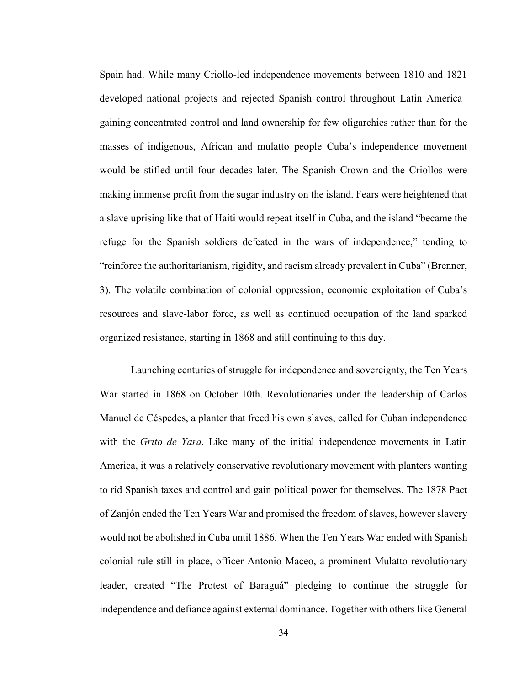Spain had. While many Criollo-led independence movements between 1810 and 1821 developed national projects and rejected Spanish control throughout Latin America– gaining concentrated control and land ownership for few oligarchies rather than for the masses of indigenous, African and mulatto people–Cuba's independence movement would be stifled until four decades later. The Spanish Crown and the Criollos were making immense profit from the sugar industry on the island. Fears were heightened that a slave uprising like that of Haiti would repeat itself in Cuba, and the island "became the refuge for the Spanish soldiers defeated in the wars of independence," tending to "reinforce the authoritarianism, rigidity, and racism already prevalent in Cuba" (Brenner, 3). The volatile combination of colonial oppression, economic exploitation of Cuba's resources and slave-labor force, as well as continued occupation of the land sparked organized resistance, starting in 1868 and still continuing to this day.

Launching centuries of struggle for independence and sovereignty, the Ten Years War started in 1868 on October 10th. Revolutionaries under the leadership of Carlos Manuel de Céspedes, a planter that freed his own slaves, called for Cuban independence with the *Grito de Yara*. Like many of the initial independence movements in Latin America, it was a relatively conservative revolutionary movement with planters wanting to rid Spanish taxes and control and gain political power for themselves. The 1878 Pact of Zanjón ended the Ten Years War and promised the freedom of slaves, however slavery would not be abolished in Cuba until 1886. When the Ten Years War ended with Spanish colonial rule still in place, officer Antonio Maceo, a prominent Mulatto revolutionary leader, created "The Protest of Baraguá" pledging to continue the struggle for independence and defiance against external dominance. Together with others like General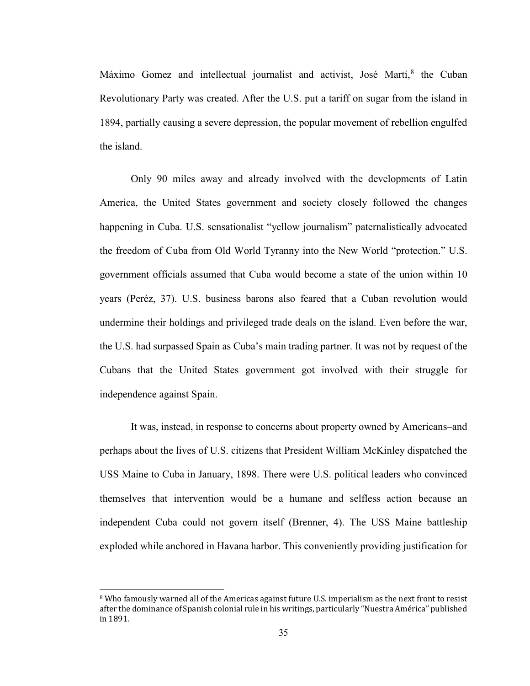Máximo Gomez and intellectual journalist and activist, José Martí,<sup>[8](#page-39-0)</sup> the Cuban Revolutionary Party was created. After the U.S. put a tariff on sugar from the island in 1894, partially causing a severe depression, the popular movement of rebellion engulfed the island.

Only 90 miles away and already involved with the developments of Latin America, the United States government and society closely followed the changes happening in Cuba. U.S. sensationalist "yellow journalism" paternalistically advocated the freedom of Cuba from Old World Tyranny into the New World "protection." U.S. government officials assumed that Cuba would become a state of the union within 10 years (Peréz, 37). U.S. business barons also feared that a Cuban revolution would undermine their holdings and privileged trade deals on the island. Even before the war, the U.S. had surpassed Spain as Cuba's main trading partner. It was not by request of the Cubans that the United States government got involved with their struggle for independence against Spain.

It was, instead, in response to concerns about property owned by Americans–and perhaps about the lives of U.S. citizens that President William McKinley dispatched the USS Maine to Cuba in January, 1898. There were U.S. political leaders who convinced themselves that intervention would be a humane and selfless action because an independent Cuba could not govern itself (Brenner, 4). The USS Maine battleship exploded while anchored in Havana harbor. This conveniently providing justification for

<span id="page-39-0"></span> <sup>8</sup> Who famously warned all of the Americas against future U.S. imperialism as the next front to resist after the dominance of Spanish colonial rule in his writings, particularly "Nuestra América" published in 1891.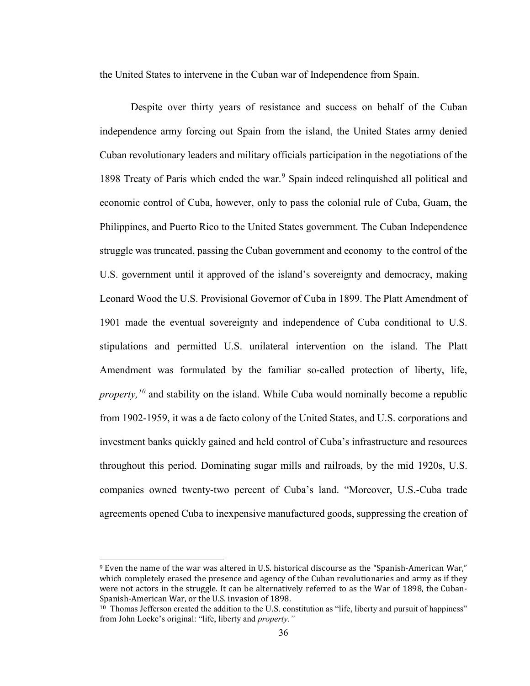the United States to intervene in the Cuban war of Independence from Spain.

Despite over thirty years of resistance and success on behalf of the Cuban independence army forcing out Spain from the island, the United States army denied Cuban revolutionary leaders and military officials participation in the negotiations of the 18[9](#page-40-0)8 Treaty of Paris which ended the war.<sup>9</sup> Spain indeed relinquished all political and economic control of Cuba, however, only to pass the colonial rule of Cuba, Guam, the Philippines, and Puerto Rico to the United States government. The Cuban Independence struggle was truncated, passing the Cuban government and economy to the control of the U.S. government until it approved of the island's sovereignty and democracy, making Leonard Wood the U.S. Provisional Governor of Cuba in 1899. The Platt Amendment of 1901 made the eventual sovereignty and independence of Cuba conditional to U.S. stipulations and permitted U.S. unilateral intervention on the island. The Platt Amendment was formulated by the familiar so-called protection of liberty, life, *property*,<sup>*[10](#page-40-1)*</sup> and stability on the island. While Cuba would nominally become a republic from 1902-1959, it was a de facto colony of the United States, and U.S. corporations and investment banks quickly gained and held control of Cuba's infrastructure and resources throughout this period. Dominating sugar mills and railroads, by the mid 1920s, U.S. companies owned twenty-two percent of Cuba's land. "Moreover, U.S.-Cuba trade agreements opened Cuba to inexpensive manufactured goods, suppressing the creation of

<span id="page-40-0"></span> <sup>9</sup> Even the name of the war was altered in U.S. historical discourse as the "Spanish-American War," which completely erased the presence and agency of the Cuban revolutionaries and army as if they were not actors in the struggle. It can be alternatively referred to as the War of 1898, the Cuban-Spanish-American War, or the U.S. invasion of 1898.

<span id="page-40-1"></span><sup>&</sup>lt;sup>10</sup> Thomas Jefferson created the addition to the U.S. constitution as "life, liberty and pursuit of happiness" from John Locke's original: "life, liberty and *property."*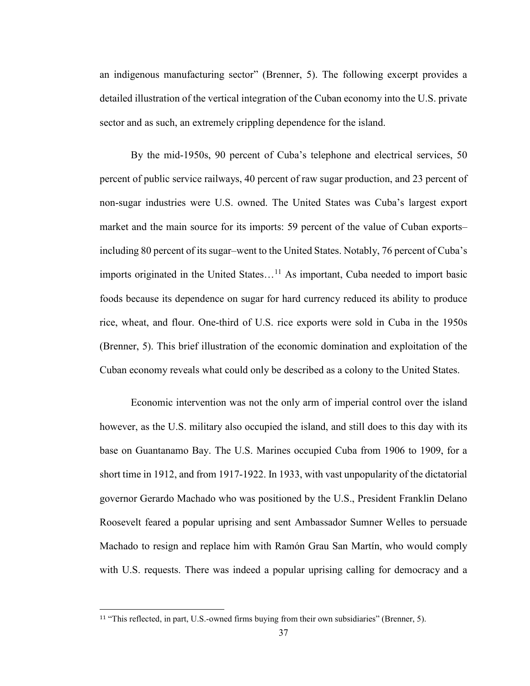an indigenous manufacturing sector" (Brenner, 5). The following excerpt provides a detailed illustration of the vertical integration of the Cuban economy into the U.S. private sector and as such, an extremely crippling dependence for the island.

By the mid-1950s, 90 percent of Cuba's telephone and electrical services, 50 percent of public service railways, 40 percent of raw sugar production, and 23 percent of non-sugar industries were U.S. owned. The United States was Cuba's largest export market and the main source for its imports: 59 percent of the value of Cuban exports– including 80 percent of its sugar–went to the United States. Notably, 76 percent of Cuba's imports originated in the United States...<sup>[11](#page-41-0)</sup> As important, Cuba needed to import basic foods because its dependence on sugar for hard currency reduced its ability to produce rice, wheat, and flour. One-third of U.S. rice exports were sold in Cuba in the 1950s (Brenner, 5). This brief illustration of the economic domination and exploitation of the Cuban economy reveals what could only be described as a colony to the United States.

Economic intervention was not the only arm of imperial control over the island however, as the U.S. military also occupied the island, and still does to this day with its base on Guantanamo Bay. The U.S. Marines occupied Cuba from 1906 to 1909, for a short time in 1912, and from 1917-1922. In 1933, with vast unpopularity of the dictatorial governor Gerardo Machado who was positioned by the U.S., President Franklin Delano Roosevelt feared a popular uprising and sent Ambassador Sumner Welles to persuade Machado to resign and replace him with Ramón Grau San Martín, who would comply with U.S. requests. There was indeed a popular uprising calling for democracy and a

<span id="page-41-0"></span> <sup>11</sup> "This reflected, in part, U.S.-owned firms buying from their own subsidiaries" (Brenner, 5).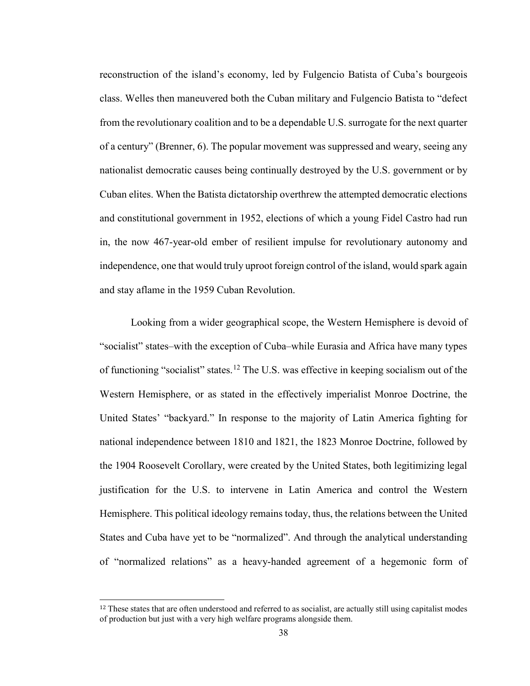reconstruction of the island's economy, led by Fulgencio Batista of Cuba's bourgeois class. Welles then maneuvered both the Cuban military and Fulgencio Batista to "defect from the revolutionary coalition and to be a dependable U.S. surrogate for the next quarter of a century" (Brenner, 6). The popular movement was suppressed and weary, seeing any nationalist democratic causes being continually destroyed by the U.S. government or by Cuban elites. When the Batista dictatorship overthrew the attempted democratic elections and constitutional government in 1952, elections of which a young Fidel Castro had run in, the now 467-year-old ember of resilient impulse for revolutionary autonomy and independence, one that would truly uproot foreign control of the island, would spark again and stay aflame in the 1959 Cuban Revolution.

Looking from a wider geographical scope, the Western Hemisphere is devoid of "socialist" states–with the exception of Cuba–while Eurasia and Africa have many types of functioning "socialist" states.[12](#page-42-0) The U.S. was effective in keeping socialism out of the Western Hemisphere, or as stated in the effectively imperialist Monroe Doctrine, the United States' "backyard." In response to the majority of Latin America fighting for national independence between 1810 and 1821, the 1823 Monroe Doctrine, followed by the 1904 Roosevelt Corollary, were created by the United States, both legitimizing legal justification for the U.S. to intervene in Latin America and control the Western Hemisphere. This political ideology remains today, thus, the relations between the United States and Cuba have yet to be "normalized". And through the analytical understanding of "normalized relations" as a heavy-handed agreement of a hegemonic form of

<span id="page-42-0"></span> $12$  These states that are often understood and referred to as socialist, are actually still using capitalist modes of production but just with a very high welfare programs alongside them.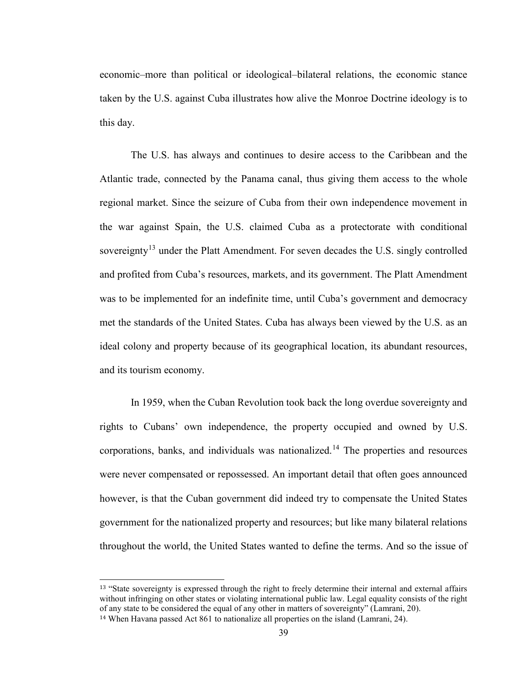economic–more than political or ideological–bilateral relations, the economic stance taken by the U.S. against Cuba illustrates how alive the Monroe Doctrine ideology is to this day.

The U.S. has always and continues to desire access to the Caribbean and the Atlantic trade, connected by the Panama canal, thus giving them access to the whole regional market. Since the seizure of Cuba from their own independence movement in the war against Spain, the U.S. claimed Cuba as a protectorate with conditional sovereignty<sup>[13](#page-43-0)</sup> under the Platt Amendment. For seven decades the U.S. singly controlled and profited from Cuba's resources, markets, and its government. The Platt Amendment was to be implemented for an indefinite time, until Cuba's government and democracy met the standards of the United States. Cuba has always been viewed by the U.S. as an ideal colony and property because of its geographical location, its abundant resources, and its tourism economy.

In 1959, when the Cuban Revolution took back the long overdue sovereignty and rights to Cubans' own independence, the property occupied and owned by U.S. corporations, banks, and individuals was nationalized.[14](#page-43-1) The properties and resources were never compensated or repossessed. An important detail that often goes announced however, is that the Cuban government did indeed try to compensate the United States government for the nationalized property and resources; but like many bilateral relations throughout the world, the United States wanted to define the terms. And so the issue of

<span id="page-43-0"></span><sup>&</sup>lt;sup>13</sup> "State sovereignty is expressed through the right to freely determine their internal and external affairs without infringing on other states or violating international public law. Legal equality consists of the right of any state to be considered the equal of any other in matters of sovereignty" (Lamrani, 20).

<span id="page-43-1"></span><sup>14</sup> When Havana passed Act 861 to nationalize all properties on the island (Lamrani, 24).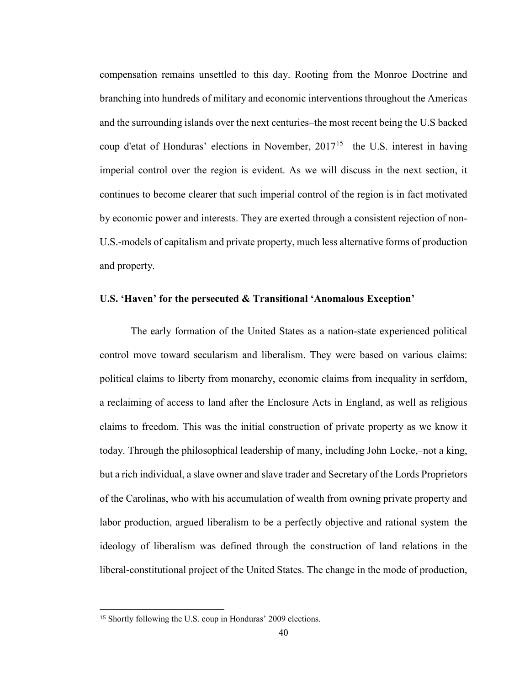compensation remains unsettled to this day. Rooting from the Monroe Doctrine and branching into hundreds of military and economic interventions throughout the Americas and the surrounding islands over the next centuries–the most recent being the U.S backed coup d'etat of Honduras' elections in November,  $2017<sup>15</sup>$  the U.S. interest in having imperial control over the region is evident. As we will discuss in the next section, it continues to become clearer that such imperial control of the region is in fact motivated by economic power and interests. They are exerted through a consistent rejection of non-U.S.-models of capitalism and private property, much less alternative forms of production and property.

### **U.S. 'Haven' for the persecuted & Transitional 'Anomalous Exception'**

The early formation of the United States as a nation-state experienced political control move toward secularism and liberalism. They were based on various claims: political claims to liberty from monarchy, economic claims from inequality in serfdom, a reclaiming of access to land after the Enclosure Acts in England, as well as religious claims to freedom. This was the initial construction of private property as we know it today. Through the philosophical leadership of many, including John Locke,–not a king, but a rich individual, a slave owner and slave trader and Secretary of the Lords Proprietors of the Carolinas, who with his accumulation of wealth from owning private property and labor production, argued liberalism to be a perfectly objective and rational system–the ideology of liberalism was defined through the construction of land relations in the liberal-constitutional project of the United States. The change in the mode of production,

<span id="page-44-0"></span> <sup>15</sup> Shortly following the U.S. coup in Honduras' 2009 elections.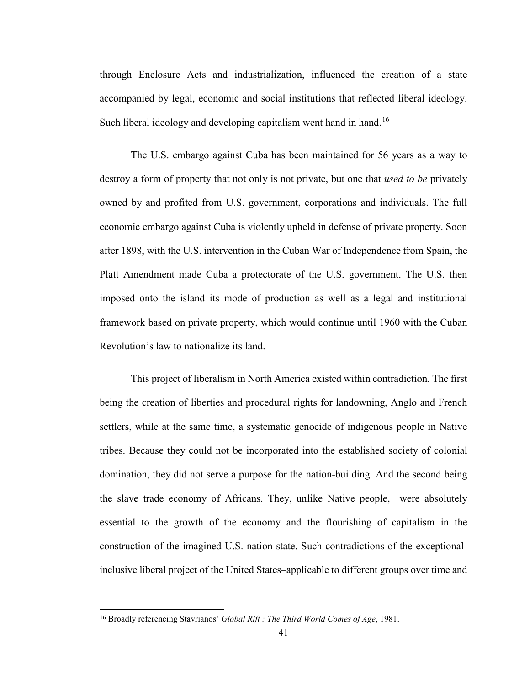through Enclosure Acts and industrialization, influenced the creation of a state accompanied by legal, economic and social institutions that reflected liberal ideology. Such liberal ideology and developing capitalism went hand in hand.<sup>[16](#page-45-0)</sup>

The U.S. embargo against Cuba has been maintained for 56 years as a way to destroy a form of property that not only is not private, but one that *used to be* privately owned by and profited from U.S. government, corporations and individuals. The full economic embargo against Cuba is violently upheld in defense of private property. Soon after 1898, with the U.S. intervention in the Cuban War of Independence from Spain, the Platt Amendment made Cuba a protectorate of the U.S. government. The U.S. then imposed onto the island its mode of production as well as a legal and institutional framework based on private property, which would continue until 1960 with the Cuban Revolution's law to nationalize its land.

This project of liberalism in North America existed within contradiction. The first being the creation of liberties and procedural rights for landowning, Anglo and French settlers, while at the same time, a systematic genocide of indigenous people in Native tribes. Because they could not be incorporated into the established society of colonial domination, they did not serve a purpose for the nation-building. And the second being the slave trade economy of Africans. They, unlike Native people, were absolutely essential to the growth of the economy and the flourishing of capitalism in the construction of the imagined U.S. nation-state. Such contradictions of the exceptionalinclusive liberal project of the United States–applicable to different groups over time and

<span id="page-45-0"></span> <sup>16</sup> Broadly referencing Stavrianos' *Global Rift : The Third World Comes of Age*, 1981.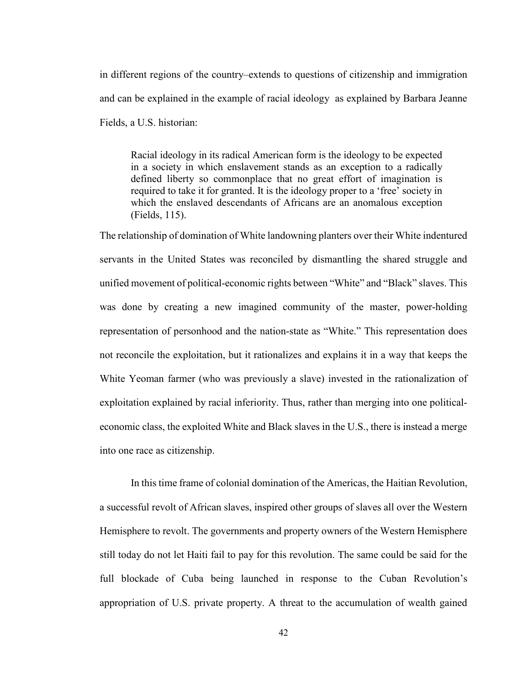in different regions of the country–extends to questions of citizenship and immigration and can be explained in the example of racial ideology as explained by Barbara Jeanne Fields, a U.S. historian:

Racial ideology in its radical American form is the ideology to be expected in a society in which enslavement stands as an exception to a radically defined liberty so commonplace that no great effort of imagination is required to take it for granted. It is the ideology proper to a 'free' society in which the enslaved descendants of Africans are an anomalous exception (Fields, 115).

The relationship of domination of White landowning planters over their White indentured servants in the United States was reconciled by dismantling the shared struggle and unified movement of political-economic rights between "White" and "Black" slaves. This was done by creating a new imagined community of the master, power-holding representation of personhood and the nation-state as "White." This representation does not reconcile the exploitation, but it rationalizes and explains it in a way that keeps the White Yeoman farmer (who was previously a slave) invested in the rationalization of exploitation explained by racial inferiority. Thus, rather than merging into one politicaleconomic class, the exploited White and Black slaves in the U.S., there is instead a merge into one race as citizenship.

In this time frame of colonial domination of the Americas, the Haitian Revolution, a successful revolt of African slaves, inspired other groups of slaves all over the Western Hemisphere to revolt. The governments and property owners of the Western Hemisphere still today do not let Haiti fail to pay for this revolution. The same could be said for the full blockade of Cuba being launched in response to the Cuban Revolution's appropriation of U.S. private property. A threat to the accumulation of wealth gained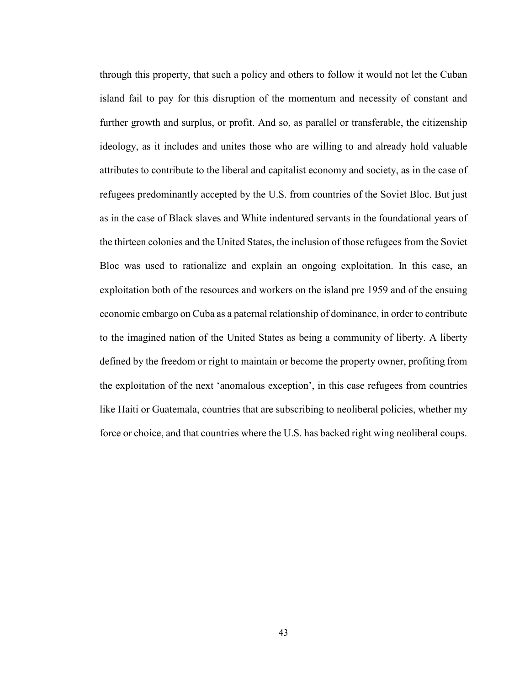through this property, that such a policy and others to follow it would not let the Cuban island fail to pay for this disruption of the momentum and necessity of constant and further growth and surplus, or profit. And so, as parallel or transferable, the citizenship ideology, as it includes and unites those who are willing to and already hold valuable attributes to contribute to the liberal and capitalist economy and society, as in the case of refugees predominantly accepted by the U.S. from countries of the Soviet Bloc. But just as in the case of Black slaves and White indentured servants in the foundational years of the thirteen colonies and the United States, the inclusion of those refugees from the Soviet Bloc was used to rationalize and explain an ongoing exploitation. In this case, an exploitation both of the resources and workers on the island pre 1959 and of the ensuing economic embargo on Cuba as a paternal relationship of dominance, in order to contribute to the imagined nation of the United States as being a community of liberty. A liberty defined by the freedom or right to maintain or become the property owner, profiting from the exploitation of the next 'anomalous exception', in this case refugees from countries like Haiti or Guatemala, countries that are subscribing to neoliberal policies, whether my force or choice, and that countries where the U.S. has backed right wing neoliberal coups.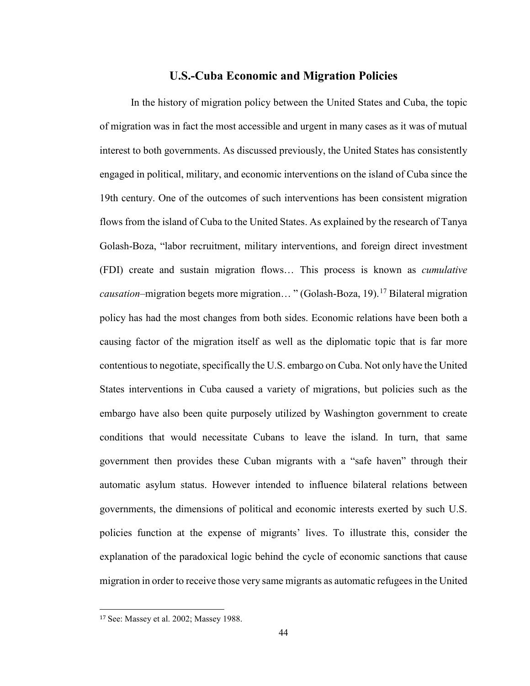## **U.S.-Cuba Economic and Migration Policies**

In the history of migration policy between the United States and Cuba, the topic of migration was in fact the most accessible and urgent in many cases as it was of mutual interest to both governments. As discussed previously, the United States has consistently engaged in political, military, and economic interventions on the island of Cuba since the 19th century. One of the outcomes of such interventions has been consistent migration flows from the island of Cuba to the United States. As explained by the research of Tanya Golash-Boza, "labor recruitment, military interventions, and foreign direct investment (FDI) create and sustain migration flows… This process is known as *cumulative causation–*migration begets more migration... " (Golash-Boza, 19).<sup>[17](#page-48-0)</sup> Bilateral migration policy has had the most changes from both sides. Economic relations have been both a causing factor of the migration itself as well as the diplomatic topic that is far more contentious to negotiate, specifically the U.S. embargo on Cuba. Not only have the United States interventions in Cuba caused a variety of migrations, but policies such as the embargo have also been quite purposely utilized by Washington government to create conditions that would necessitate Cubans to leave the island. In turn, that same government then provides these Cuban migrants with a "safe haven" through their automatic asylum status. However intended to influence bilateral relations between governments, the dimensions of political and economic interests exerted by such U.S. policies function at the expense of migrants' lives. To illustrate this, consider the explanation of the paradoxical logic behind the cycle of economic sanctions that cause migration in order to receive those very same migrants as automatic refugees in the United

<span id="page-48-0"></span> <sup>17</sup> See: Massey et al. 2002; Massey 1988.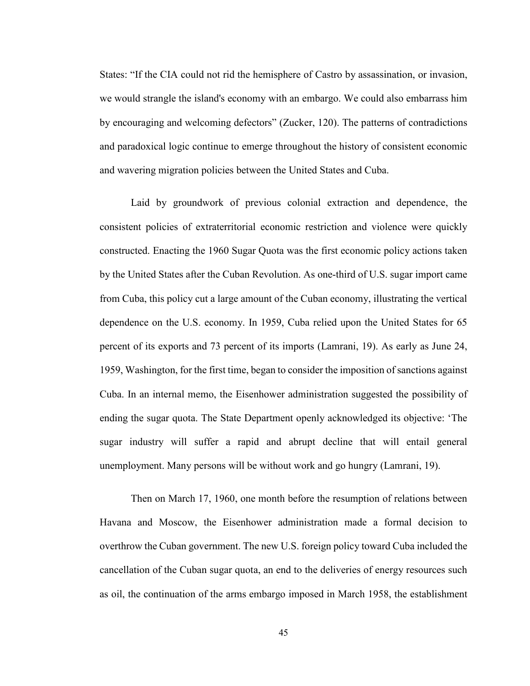States: "If the CIA could not rid the hemisphere of Castro by assassination, or invasion, we would strangle the island's economy with an embargo. We could also embarrass him by encouraging and welcoming defectors" (Zucker, 120). The patterns of contradictions and paradoxical logic continue to emerge throughout the history of consistent economic and wavering migration policies between the United States and Cuba.

Laid by groundwork of previous colonial extraction and dependence, the consistent policies of extraterritorial economic restriction and violence were quickly constructed. Enacting the 1960 Sugar Quota was the first economic policy actions taken by the United States after the Cuban Revolution. As one-third of U.S. sugar import came from Cuba, this policy cut a large amount of the Cuban economy, illustrating the vertical dependence on the U.S. economy. In 1959, Cuba relied upon the United States for 65 percent of its exports and 73 percent of its imports (Lamrani, 19). As early as June 24, 1959, Washington, for the first time, began to consider the imposition of sanctions against Cuba. In an internal memo, the Eisenhower administration suggested the possibility of ending the sugar quota. The State Department openly acknowledged its objective: 'The sugar industry will suffer a rapid and abrupt decline that will entail general unemployment. Many persons will be without work and go hungry (Lamrani, 19).

Then on March 17, 1960, one month before the resumption of relations between Havana and Moscow, the Eisenhower administration made a formal decision to overthrow the Cuban government. The new U.S. foreign policy toward Cuba included the cancellation of the Cuban sugar quota, an end to the deliveries of energy resources such as oil, the continuation of the arms embargo imposed in March 1958, the establishment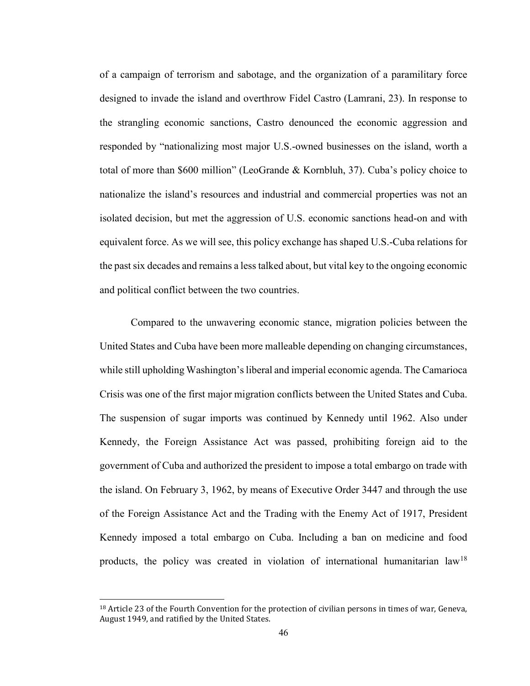of a campaign of terrorism and sabotage, and the organization of a paramilitary force designed to invade the island and overthrow Fidel Castro (Lamrani, 23). In response to the strangling economic sanctions, Castro denounced the economic aggression and responded by "nationalizing most major U.S.-owned businesses on the island, worth a total of more than \$600 million" (LeoGrande & Kornbluh, 37). Cuba's policy choice to nationalize the island's resources and industrial and commercial properties was not an isolated decision, but met the aggression of U.S. economic sanctions head-on and with equivalent force. As we will see, this policy exchange has shaped U.S.-Cuba relations for the past six decades and remains a less talked about, but vital key to the ongoing economic and political conflict between the two countries.

Compared to the unwavering economic stance, migration policies between the United States and Cuba have been more malleable depending on changing circumstances, while still upholding Washington's liberal and imperial economic agenda. The Camarioca Crisis was one of the first major migration conflicts between the United States and Cuba. The suspension of sugar imports was continued by Kennedy until 1962. Also under Kennedy, the Foreign Assistance Act was passed, prohibiting foreign aid to the government of Cuba and authorized the president to impose a total embargo on trade with the island. On February 3, 1962, by means of Executive Order 3447 and through the use of the Foreign Assistance Act and the Trading with the Enemy Act of 1917, President Kennedy imposed a total embargo on Cuba. Including a ban on medicine and food products, the policy was created in violation of international humanitarian law<sup>[18](#page-50-0)</sup>

<span id="page-50-0"></span><sup>&</sup>lt;sup>18</sup> Article 23 of the Fourth Convention for the protection of civilian persons in times of war, Geneva, August 1949, and ratified by the United States.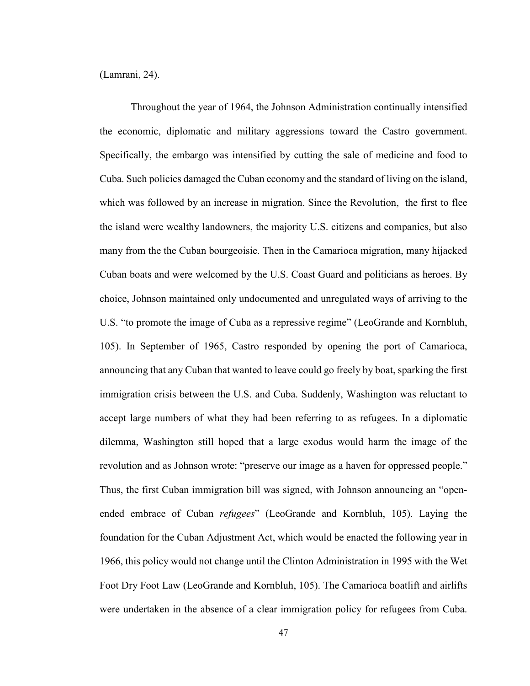(Lamrani, 24).

Throughout the year of 1964, the Johnson Administration continually intensified the economic, diplomatic and military aggressions toward the Castro government. Specifically, the embargo was intensified by cutting the sale of medicine and food to Cuba. Such policies damaged the Cuban economy and the standard of living on the island, which was followed by an increase in migration. Since the Revolution, the first to flee the island were wealthy landowners, the majority U.S. citizens and companies, but also many from the the Cuban bourgeoisie. Then in the Camarioca migration, many hijacked Cuban boats and were welcomed by the U.S. Coast Guard and politicians as heroes. By choice, Johnson maintained only undocumented and unregulated ways of arriving to the U.S. "to promote the image of Cuba as a repressive regime" (LeoGrande and Kornbluh, 105). In September of 1965, Castro responded by opening the port of Camarioca, announcing that any Cuban that wanted to leave could go freely by boat, sparking the first immigration crisis between the U.S. and Cuba. Suddenly, Washington was reluctant to accept large numbers of what they had been referring to as refugees. In a diplomatic dilemma, Washington still hoped that a large exodus would harm the image of the revolution and as Johnson wrote: "preserve our image as a haven for oppressed people." Thus, the first Cuban immigration bill was signed, with Johnson announcing an "openended embrace of Cuban *refugees*" (LeoGrande and Kornbluh, 105). Laying the foundation for the Cuban Adjustment Act, which would be enacted the following year in 1966, this policy would not change until the Clinton Administration in 1995 with the Wet Foot Dry Foot Law (LeoGrande and Kornbluh, 105). The Camarioca boatlift and airlifts were undertaken in the absence of a clear immigration policy for refugees from Cuba.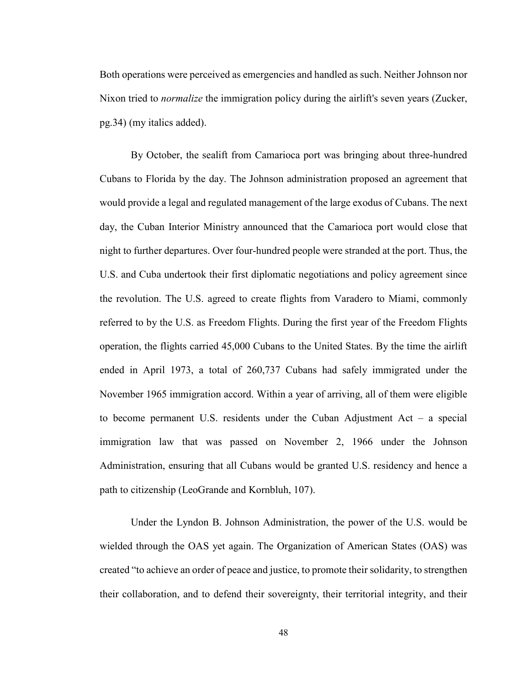Both operations were perceived as emergencies and handled as such. Neither Johnson nor Nixon tried to *normalize* the immigration policy during the airlift's seven years (Zucker, pg.34) (my italics added).

By October, the sealift from Camarioca port was bringing about three-hundred Cubans to Florida by the day. The Johnson administration proposed an agreement that would provide a legal and regulated management of the large exodus of Cubans. The next day, the Cuban Interior Ministry announced that the Camarioca port would close that night to further departures. Over four-hundred people were stranded at the port. Thus, the U.S. and Cuba undertook their first diplomatic negotiations and policy agreement since the revolution. The U.S. agreed to create flights from Varadero to Miami, commonly referred to by the U.S. as Freedom Flights. During the first year of the Freedom Flights operation, the flights carried 45,000 Cubans to the United States. By the time the airlift ended in April 1973, a total of 260,737 Cubans had safely immigrated under the November 1965 immigration accord. Within a year of arriving, all of them were eligible to become permanent U.S. residents under the Cuban Adjustment Act – a special immigration law that was passed on November 2, 1966 under the Johnson Administration, ensuring that all Cubans would be granted U.S. residency and hence a path to citizenship (LeoGrande and Kornbluh, 107).

Under the Lyndon B. Johnson Administration, the power of the U.S. would be wielded through the OAS yet again. The Organization of American States (OAS) was created "to achieve an order of peace and justice, to promote their solidarity, to strengthen their collaboration, and to defend their sovereignty, their territorial integrity, and their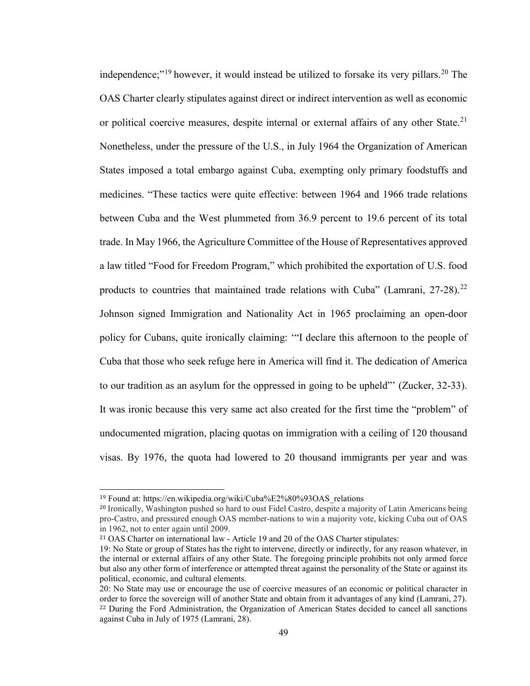independence;"<sup>[19](#page-53-0)</sup> however, it would instead be utilized to forsake its very pillars.<sup>[20](#page-53-1)</sup> The OAS Charter clearly stipulates against direct or indirect intervention as well as economic or political coercive measures, despite internal or external affairs of any other State.<sup>[21](#page-53-2)</sup> Nonetheless, under the pressure of the U.S., in July 1964 the Organization of American States imposed a total embargo against Cuba, exempting only primary foodstuffs and medicines. "These tactics were quite effective: between 1964 and 1966 trade relations between Cuba and the West plummeted from 36.9 percent to 19.6 percent of its total trade. In May 1966, the Agriculture Committee of the House of Representatives approved a law titled "Food for Freedom Program," which prohibited the exportation of U.S. food products to countries that maintained trade relations with Cuba" (Lamrani, 27-28).<sup>[22](#page-53-3)</sup> Johnson signed Immigration and Nationality Act in 1965 proclaiming an open-door policy for Cubans, quite ironically claiming: '"I declare this afternoon to the people of Cuba that those who seek refuge here in America will find it. The dedication of America to our tradition as an asylum for the oppressed in going to be upheld"' (Zucker, 32-33). It was ironic because this very same act also created for the first time the "problem" of undocumented migration, placing quotas on immigration with a ceiling of 120 thousand visas. By 1976, the quota had lowered to 20 thousand immigrants per year and was

<span id="page-53-0"></span> <sup>19</sup> Found at: https://en.wikipedia.org/wiki/Cuba%E2%80%93OAS\_relations

<span id="page-53-1"></span><sup>20</sup> Ironically, Washington pushed so hard to oust Fidel Castro, despite a majority of Latin Americans being pro-Castro, and pressured enough OAS member-nations to win a majority vote, kicking Cuba out of OAS in 1962, not to enter again until 2009.

<span id="page-53-2"></span><sup>21</sup> OAS Charter on international law - Article 19 and 20 of the OAS Charter stipulates:

<sup>19:</sup> No State or group of States has the right to intervene, directly or indirectly, for any reason whatever, in the internal or external affairs of any other State. The foregoing principle prohibits not only armed force but also any other form of interference or attempted threat against the personality of the State or against its political, economic, and cultural elements.

<span id="page-53-3"></span><sup>20:</sup> No State may use or encourage the use of coercive measures of an economic or political character in order to force the sovereign will of another State and obtain from it advantages of any kind (Lamrani, 27). <sup>22</sup> During the Ford Administration, the Organization of American States decided to cancel all sanctions against Cuba in July of 1975 (Lamrani, 28).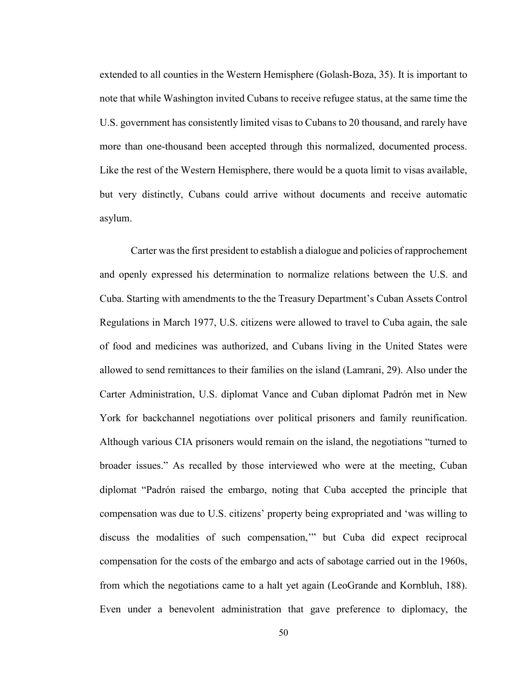extended to all counties in the Western Hemisphere (Golash-Boza, 35). It is important to note that while Washington invited Cubans to receive refugee status, at the same time the U.S. government has consistently limited visas to Cubans to 20 thousand, and rarely have more than one-thousand been accepted through this normalized, documented process. Like the rest of the Western Hemisphere, there would be a quota limit to visas available, but very distinctly, Cubans could arrive without documents and receive automatic asylum.

Carter was the first president to establish a dialogue and policies of rapprochement and openly expressed his determination to normalize relations between the U.S. and Cuba. Starting with amendments to the the Treasury Department's Cuban Assets Control Regulations in March 1977, U.S. citizens were allowed to travel to Cuba again, the sale of food and medicines was authorized, and Cubans living in the United States were allowed to send remittances to their families on the island (Lamrani, 29). Also under the Carter Administration, U.S. diplomat Vance and Cuban diplomat Padrón met in New York for backchannel negotiations over political prisoners and family reunification. Although various CIA prisoners would remain on the island, the negotiations "turned to broader issues." As recalled by those interviewed who were at the meeting, Cuban diplomat "Padrón raised the embargo, noting that Cuba accepted the principle that compensation was due to U.S. citizens' property being expropriated and 'was willing to discuss the modalities of such compensation,'" but Cuba did expect reciprocal compensation for the costs of the embargo and acts of sabotage carried out in the 1960s, from which the negotiations came to a halt yet again (LeoGrande and Kornbluh, 188). Even under a benevolent administration that gave preference to diplomacy, the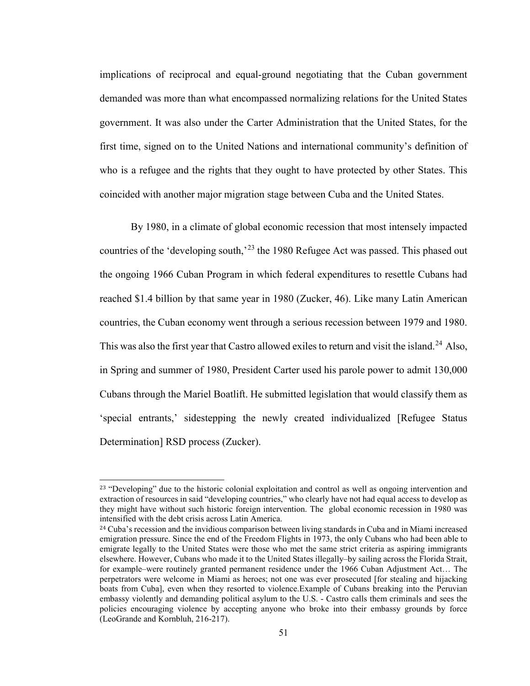implications of reciprocal and equal-ground negotiating that the Cuban government demanded was more than what encompassed normalizing relations for the United States government. It was also under the Carter Administration that the United States, for the first time, signed on to the United Nations and international community's definition of who is a refugee and the rights that they ought to have protected by other States. This coincided with another major migration stage between Cuba and the United States.

By 1980, in a climate of global economic recession that most intensely impacted countries of the 'developing south,'<sup>[23](#page-55-0)</sup> the 1980 Refugee Act was passed. This phased out the ongoing 1966 Cuban Program in which federal expenditures to resettle Cubans had reached \$1.4 billion by that same year in 1980 (Zucker, 46). Like many Latin American countries, the Cuban economy went through a serious recession between 1979 and 1980. This was also the first year that Castro allowed exiles to return and visit the island.<sup>[24](#page-55-1)</sup> Also, in Spring and summer of 1980, President Carter used his parole power to admit 130,000 Cubans through the Mariel Boatlift. He submitted legislation that would classify them as 'special entrants,' sidestepping the newly created individualized [Refugee Status Determination] RSD process (Zucker).

<span id="page-55-0"></span><sup>&</sup>lt;sup>23</sup> "Developing" due to the historic colonial exploitation and control as well as ongoing intervention and extraction of resources in said "developing countries," who clearly have not had equal access to develop as they might have without such historic foreign intervention. The global economic recession in 1980 was intensified with the debt crisis across Latin America.

<span id="page-55-1"></span><sup>&</sup>lt;sup>24</sup> Cuba's recession and the invidious comparison between living standards in Cuba and in Miami increased emigration pressure. Since the end of the Freedom Flights in 1973, the only Cubans who had been able to emigrate legally to the United States were those who met the same strict criteria as aspiring immigrants elsewhere. However, Cubans who made it to the United States illegally–by sailing across the Florida Strait, for example–were routinely granted permanent residence under the 1966 Cuban Adjustment Act… The perpetrators were welcome in Miami as heroes; not one was ever prosecuted [for stealing and hijacking boats from Cuba], even when they resorted to violence.Example of Cubans breaking into the Peruvian embassy violently and demanding political asylum to the U.S. - Castro calls them criminals and sees the policies encouraging violence by accepting anyone who broke into their embassy grounds by force (LeoGrande and Kornbluh, 216-217).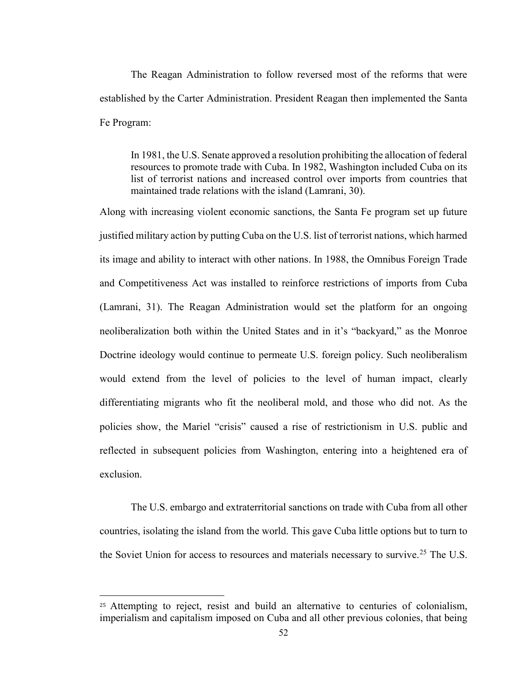The Reagan Administration to follow reversed most of the reforms that were established by the Carter Administration. President Reagan then implemented the Santa Fe Program:

In 1981, the U.S. Senate approved a resolution prohibiting the allocation of federal resources to promote trade with Cuba. In 1982, Washington included Cuba on its list of terrorist nations and increased control over imports from countries that maintained trade relations with the island (Lamrani, 30).

Along with increasing violent economic sanctions, the Santa Fe program set up future justified military action by putting Cuba on the U.S. list of terrorist nations, which harmed its image and ability to interact with other nations. In 1988, the Omnibus Foreign Trade and Competitiveness Act was installed to reinforce restrictions of imports from Cuba (Lamrani, 31). The Reagan Administration would set the platform for an ongoing neoliberalization both within the United States and in it's "backyard," as the Monroe Doctrine ideology would continue to permeate U.S. foreign policy. Such neoliberalism would extend from the level of policies to the level of human impact, clearly differentiating migrants who fit the neoliberal mold, and those who did not. As the policies show, the Mariel "crisis" caused a rise of restrictionism in U.S. public and reflected in subsequent policies from Washington, entering into a heightened era of exclusion.

The U.S. embargo and extraterritorial sanctions on trade with Cuba from all other countries, isolating the island from the world. This gave Cuba little options but to turn to the Soviet Union for access to resources and materials necessary to survive.<sup>[25](#page-56-0)</sup> The U.S.

<span id="page-56-0"></span>j <sup>25</sup> Attempting to reject, resist and build an alternative to centuries of colonialism, imperialism and capitalism imposed on Cuba and all other previous colonies, that being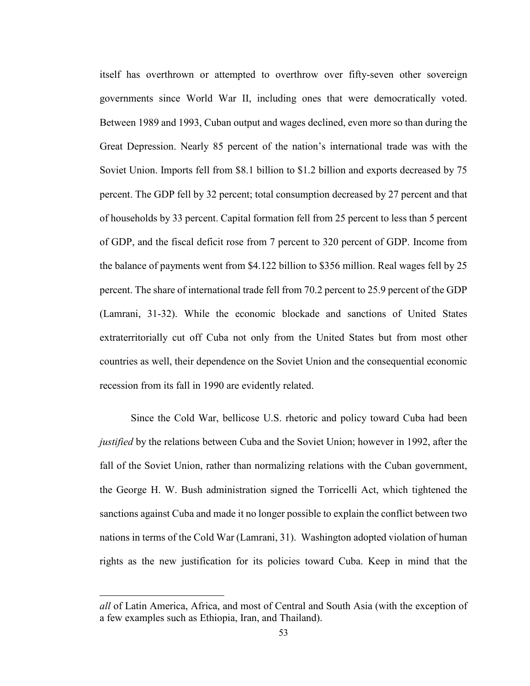itself has overthrown or attempted to overthrow over fifty-seven other sovereign governments since World War II, including ones that were democratically voted. Between 1989 and 1993, Cuban output and wages declined, even more so than during the Great Depression. Nearly 85 percent of the nation's international trade was with the Soviet Union. Imports fell from \$8.1 billion to \$1.2 billion and exports decreased by 75 percent. The GDP fell by 32 percent; total consumption decreased by 27 percent and that of households by 33 percent. Capital formation fell from 25 percent to less than 5 percent of GDP, and the fiscal deficit rose from 7 percent to 320 percent of GDP. Income from the balance of payments went from \$4.122 billion to \$356 million. Real wages fell by 25 percent. The share of international trade fell from 70.2 percent to 25.9 percent of the GDP (Lamrani, 31-32). While the economic blockade and sanctions of United States extraterritorially cut off Cuba not only from the United States but from most other countries as well, their dependence on the Soviet Union and the consequential economic recession from its fall in 1990 are evidently related.

Since the Cold War, bellicose U.S. rhetoric and policy toward Cuba had been *justified* by the relations between Cuba and the Soviet Union; however in 1992, after the fall of the Soviet Union, rather than normalizing relations with the Cuban government, the George H. W. Bush administration signed the Torricelli Act, which tightened the sanctions against Cuba and made it no longer possible to explain the conflict between two nations in terms of the Cold War (Lamrani, 31). Washington adopted violation of human rights as the new justification for its policies toward Cuba. Keep in mind that the

j

*all* of Latin America, Africa, and most of Central and South Asia (with the exception of a few examples such as Ethiopia, Iran, and Thailand).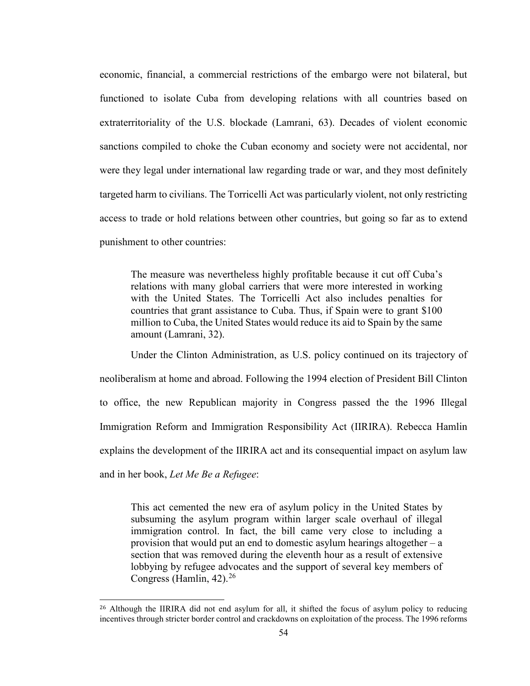economic, financial, a commercial restrictions of the embargo were not bilateral, but functioned to isolate Cuba from developing relations with all countries based on extraterritoriality of the U.S. blockade (Lamrani, 63). Decades of violent economic sanctions compiled to choke the Cuban economy and society were not accidental, nor were they legal under international law regarding trade or war, and they most definitely targeted harm to civilians. The Torricelli Act was particularly violent, not only restricting access to trade or hold relations between other countries, but going so far as to extend punishment to other countries:

The measure was nevertheless highly profitable because it cut off Cuba's relations with many global carriers that were more interested in working with the United States. The Torricelli Act also includes penalties for countries that grant assistance to Cuba. Thus, if Spain were to grant \$100 million to Cuba, the United States would reduce its aid to Spain by the same amount (Lamrani, 32).

Under the Clinton Administration, as U.S. policy continued on its trajectory of neoliberalism at home and abroad. Following the 1994 election of President Bill Clinton to office, the new Republican majority in Congress passed the the 1996 Illegal Immigration Reform and Immigration Responsibility Act (IIRIRA). Rebecca Hamlin explains the development of the IIRIRA act and its consequential impact on asylum law and in her book, *Let Me Be a Refugee*:

This act cemented the new era of asylum policy in the United States by subsuming the asylum program within larger scale overhaul of illegal immigration control. In fact, the bill came very close to including a provision that would put an end to domestic asylum hearings altogether – a section that was removed during the eleventh hour as a result of extensive lobbying by refugee advocates and the support of several key members of Congress (Hamlin,  $42$ ).<sup>[26](#page-58-0)</sup>

<span id="page-58-0"></span><sup>&</sup>lt;sup>26</sup> Although the IIRIRA did not end asylum for all, it shifted the focus of asylum policy to reducing incentives through stricter border control and crackdowns on exploitation of the process. The 1996 reforms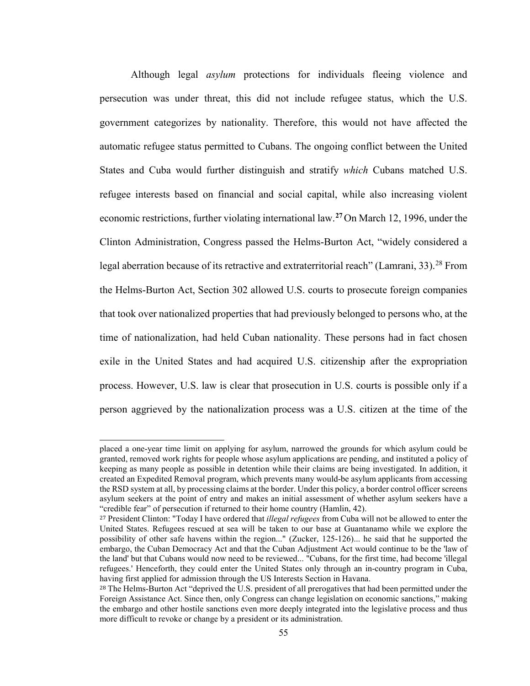Although legal *asylum* protections for individuals fleeing violence and persecution was under threat, this did not include refugee status, which the U.S. government categorizes by nationality. Therefore, this would not have affected the automatic refugee status permitted to Cubans. The ongoing conflict between the United States and Cuba would further distinguish and stratify *which* Cubans matched U.S. refugee interests based on financial and social capital, while also increasing violent economic restrictions, further violating international law.**[27](#page-59-0)** On March 12, 1996, under the Clinton Administration, Congress passed the Helms-Burton Act, "widely considered a legal aberration because of its retractive and extraterritorial reach" (Lamrani, 33).<sup>[28](#page-59-1)</sup> From the Helms-Burton Act, Section 302 allowed U.S. courts to prosecute foreign companies that took over nationalized properties that had previously belonged to persons who, at the time of nationalization, had held Cuban nationality. These persons had in fact chosen exile in the United States and had acquired U.S. citizenship after the expropriation process. However, U.S. law is clear that prosecution in U.S. courts is possible only if a person aggrieved by the nationalization process was a U.S. citizen at the time of the

j placed a one-year time limit on applying for asylum, narrowed the grounds for which asylum could be granted, removed work rights for people whose asylum applications are pending, and instituted a policy of keeping as many people as possible in detention while their claims are being investigated. In addition, it created an Expedited Removal program, which prevents many would-be asylum applicants from accessing the RSD system at all, by processing claims at the border. Under this policy, a border control officer screens asylum seekers at the point of entry and makes an initial assessment of whether asylum seekers have a "credible fear" of persecution if returned to their home country (Hamlin, 42).

<span id="page-59-0"></span><sup>27</sup> President Clinton: "Today I have ordered that *illegal refugees* from Cuba will not be allowed to enter the United States. Refugees rescued at sea will be taken to our base at Guantanamo while we explore the possibility of other safe havens within the region..." (Zucker, 125-126)... he said that he supported the embargo, the Cuban Democracy Act and that the Cuban Adjustment Act would continue to be the 'law of the land' but that Cubans would now need to be reviewed... "Cubans, for the first time, had become 'illegal refugees.' Henceforth, they could enter the United States only through an in-country program in Cuba, having first applied for admission through the US Interests Section in Havana.

<span id="page-59-1"></span><sup>&</sup>lt;sup>28</sup> The Helms-Burton Act "deprived the U.S. president of all prerogatives that had been permitted under the Foreign Assistance Act. Since then, only Congress can change legislation on economic sanctions," making the embargo and other hostile sanctions even more deeply integrated into the legislative process and thus more difficult to revoke or change by a president or its administration.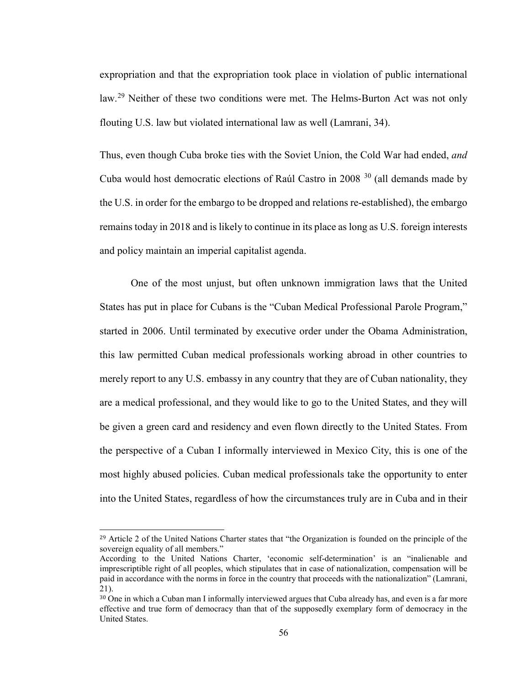expropriation and that the expropriation took place in violation of public international law.<sup>[29](#page-60-0)</sup> Neither of these two conditions were met. The Helms-Burton Act was not only flouting U.S. law but violated international law as well (Lamrani, 34).

Thus, even though Cuba broke ties with the Soviet Union, the Cold War had ended, *and* Cuba would host democratic elections of Raúl Castro in  $2008<sup>30</sup>$  $2008<sup>30</sup>$  $2008<sup>30</sup>$  (all demands made by the U.S. in order for the embargo to be dropped and relations re-established), the embargo remains today in 2018 and is likely to continue in its place as long as U.S. foreign interests and policy maintain an imperial capitalist agenda.

One of the most unjust, but often unknown immigration laws that the United States has put in place for Cubans is the "Cuban Medical Professional Parole Program," started in 2006. Until terminated by executive order under the Obama Administration, this law permitted Cuban medical professionals working abroad in other countries to merely report to any U.S. embassy in any country that they are of Cuban nationality, they are a medical professional, and they would like to go to the United States, and they will be given a green card and residency and even flown directly to the United States. From the perspective of a Cuban I informally interviewed in Mexico City, this is one of the most highly abused policies. Cuban medical professionals take the opportunity to enter into the United States, regardless of how the circumstances truly are in Cuba and in their

<span id="page-60-0"></span><sup>&</sup>lt;sup>29</sup> Article 2 of the United Nations Charter states that "the Organization is founded on the principle of the sovereign equality of all members."

According to the United Nations Charter, 'economic self-determination' is an "inalienable and imprescriptible right of all peoples, which stipulates that in case of nationalization, compensation will be paid in accordance with the norms in force in the country that proceeds with the nationalization" (Lamrani, 21).

<span id="page-60-1"></span><sup>30</sup> One in which a Cuban man I informally interviewed argues that Cuba already has, and even is a far more effective and true form of democracy than that of the supposedly exemplary form of democracy in the United States.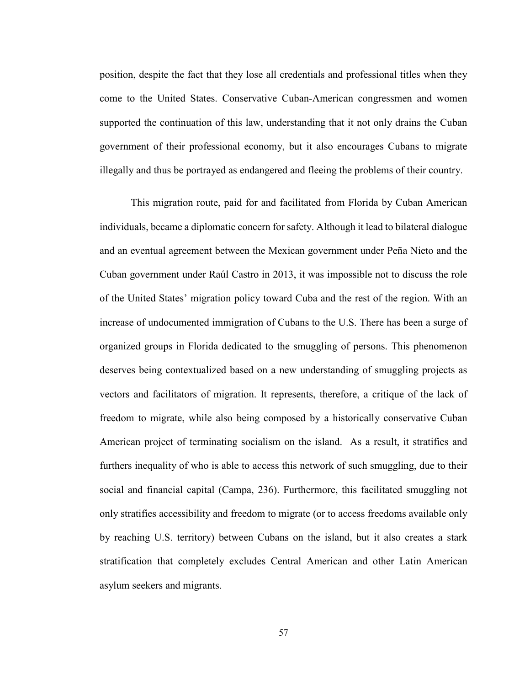position, despite the fact that they lose all credentials and professional titles when they come to the United States. Conservative Cuban-American congressmen and women supported the continuation of this law, understanding that it not only drains the Cuban government of their professional economy, but it also encourages Cubans to migrate illegally and thus be portrayed as endangered and fleeing the problems of their country.

This migration route, paid for and facilitated from Florida by Cuban American individuals, became a diplomatic concern for safety. Although it lead to bilateral dialogue and an eventual agreement between the Mexican government under Peña Nieto and the Cuban government under Raúl Castro in 2013, it was impossible not to discuss the role of the United States' migration policy toward Cuba and the rest of the region. With an increase of undocumented immigration of Cubans to the U.S. There has been a surge of organized groups in Florida dedicated to the smuggling of persons. This phenomenon deserves being contextualized based on a new understanding of smuggling projects as vectors and facilitators of migration. It represents, therefore, a critique of the lack of freedom to migrate, while also being composed by a historically conservative Cuban American project of terminating socialism on the island. As a result, it stratifies and furthers inequality of who is able to access this network of such smuggling, due to their social and financial capital (Campa, 236). Furthermore, this facilitated smuggling not only stratifies accessibility and freedom to migrate (or to access freedoms available only by reaching U.S. territory) between Cubans on the island, but it also creates a stark stratification that completely excludes Central American and other Latin American asylum seekers and migrants.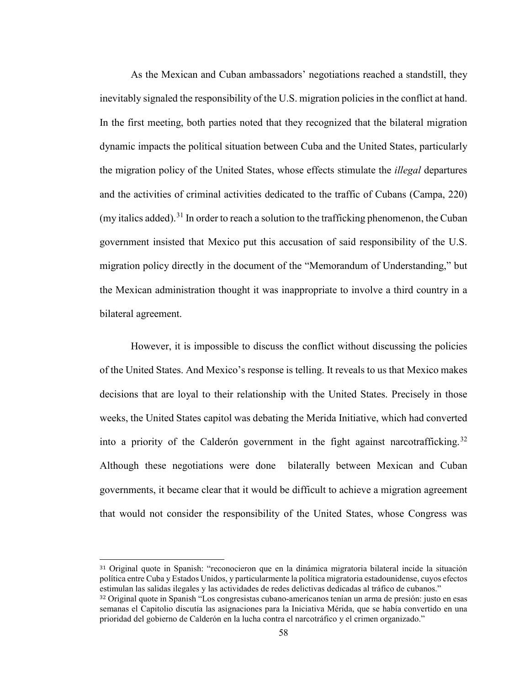As the Mexican and Cuban ambassadors' negotiations reached a standstill, they inevitably signaled the responsibility of the U.S. migration policies in the conflict at hand. In the first meeting, both parties noted that they recognized that the bilateral migration dynamic impacts the political situation between Cuba and the United States, particularly the migration policy of the United States, whose effects stimulate the *illegal* departures and the activities of criminal activities dedicated to the traffic of Cubans (Campa, 220) (my italics added).<sup>[31](#page-62-0)</sup> In order to reach a solution to the trafficking phenomenon, the Cuban government insisted that Mexico put this accusation of said responsibility of the U.S. migration policy directly in the document of the "Memorandum of Understanding," but the Mexican administration thought it was inappropriate to involve a third country in a bilateral agreement.

However, it is impossible to discuss the conflict without discussing the policies of the United States. And Mexico's response is telling. It reveals to us that Mexico makes decisions that are loyal to their relationship with the United States. Precisely in those weeks, the United States capitol was debating the Merida Initiative, which had converted into a priority of the Calderón government in the fight against narcotrafficking.<sup>[32](#page-62-1)</sup> Although these negotiations were done bilaterally between Mexican and Cuban governments, it became clear that it would be difficult to achieve a migration agreement that would not consider the responsibility of the United States, whose Congress was

<span id="page-62-0"></span> 31 Original quote in Spanish: "reconocieron que en la dinámica migratoria bilateral incide la situación política entre Cuba y Estados Unidos, y particularmente la política migratoria estadounidense, cuyos efectos estimulan las salidas ilegales y las actividades de redes delictivas dedicadas al tráfico de cubanos."

<span id="page-62-1"></span><sup>32</sup> Original quote in Spanish "Los congresistas cubano-americanos tenían un arma de presión: justo en esas semanas el Capitolio discutía las asignaciones para la Iniciativa Mérida, que se había convertido en una prioridad del gobierno de Calderón en la lucha contra el narcotráfico y el crimen organizado."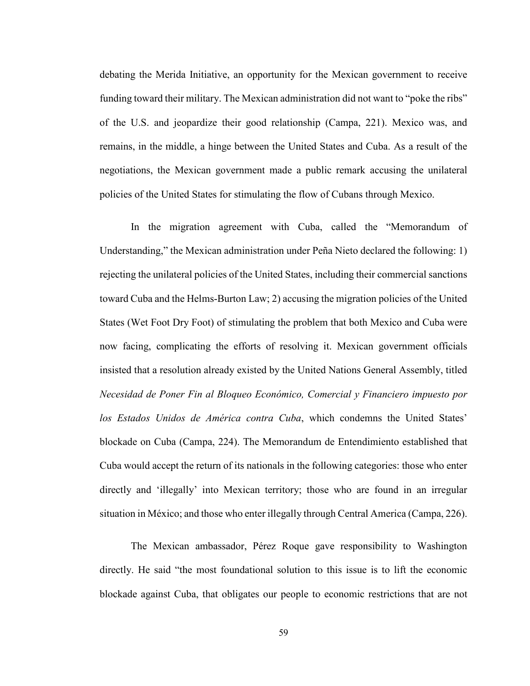debating the Merida Initiative, an opportunity for the Mexican government to receive funding toward their military. The Mexican administration did not want to "poke the ribs" of the U.S. and jeopardize their good relationship (Campa, 221). Mexico was, and remains, in the middle, a hinge between the United States and Cuba. As a result of the negotiations, the Mexican government made a public remark accusing the unilateral policies of the United States for stimulating the flow of Cubans through Mexico.

In the migration agreement with Cuba, called the "Memorandum of Understanding," the Mexican administration under Peña Nieto declared the following: 1) rejecting the unilateral policies of the United States, including their commercial sanctions toward Cuba and the Helms-Burton Law; 2) accusing the migration policies of the United States (Wet Foot Dry Foot) of stimulating the problem that both Mexico and Cuba were now facing, complicating the efforts of resolving it. Mexican government officials insisted that a resolution already existed by the United Nations General Assembly, titled *Necesidad de Poner Fin al Bloqueo Económico, Comercial y Financiero impuesto por los Estados Unidos de América contra Cuba*, which condemns the United States' blockade on Cuba (Campa, 224). The Memorandum de Entendimiento established that Cuba would accept the return of its nationals in the following categories: those who enter directly and 'illegally' into Mexican territory; those who are found in an irregular situation in México; and those who enter illegally through Central America (Campa, 226).

The Mexican ambassador, Pérez Roque gave responsibility to Washington directly. He said "the most foundational solution to this issue is to lift the economic blockade against Cuba, that obligates our people to economic restrictions that are not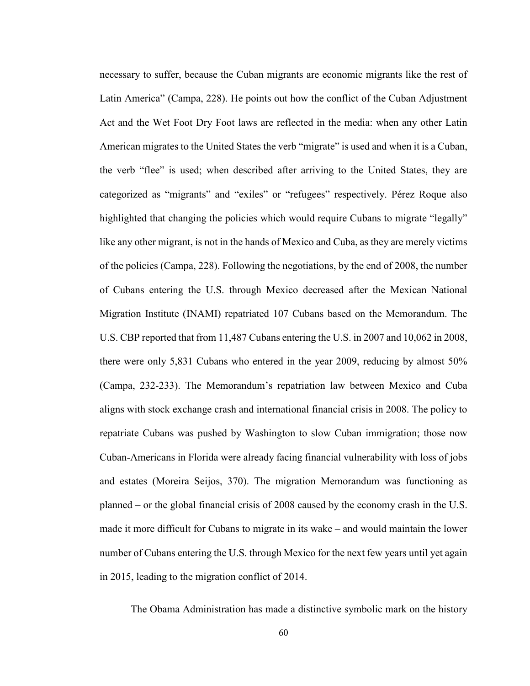necessary to suffer, because the Cuban migrants are economic migrants like the rest of Latin America" (Campa, 228). He points out how the conflict of the Cuban Adjustment Act and the Wet Foot Dry Foot laws are reflected in the media: when any other Latin American migrates to the United States the verb "migrate" is used and when it is a Cuban, the verb "flee" is used; when described after arriving to the United States, they are categorized as "migrants" and "exiles" or "refugees" respectively. Pérez Roque also highlighted that changing the policies which would require Cubans to migrate "legally" like any other migrant, is not in the hands of Mexico and Cuba, as they are merely victims of the policies (Campa, 228). Following the negotiations, by the end of 2008, the number of Cubans entering the U.S. through Mexico decreased after the Mexican National Migration Institute (INAMI) repatriated 107 Cubans based on the Memorandum. The U.S. CBP reported that from 11,487 Cubans entering the U.S. in 2007 and 10,062 in 2008, there were only 5,831 Cubans who entered in the year 2009, reducing by almost 50% (Campa, 232-233). The Memorandum's repatriation law between Mexico and Cuba aligns with stock exchange crash and international financial crisis in 2008. The policy to repatriate Cubans was pushed by Washington to slow Cuban immigration; those now Cuban-Americans in Florida were already facing financial vulnerability with loss of jobs and estates (Moreira Seijos, 370). The migration Memorandum was functioning as planned – or the global financial crisis of 2008 caused by the economy crash in the U.S. made it more difficult for Cubans to migrate in its wake – and would maintain the lower number of Cubans entering the U.S. through Mexico for the next few years until yet again in 2015, leading to the migration conflict of 2014.

The Obama Administration has made a distinctive symbolic mark on the history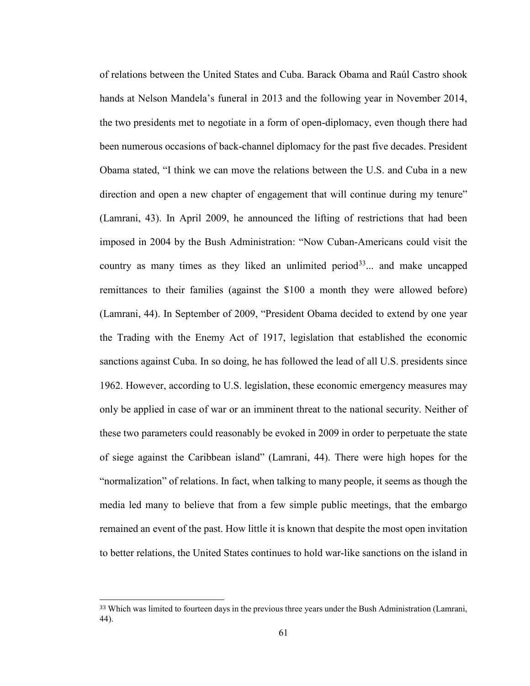of relations between the United States and Cuba. Barack Obama and Raúl Castro shook hands at Nelson Mandela's funeral in 2013 and the following year in November 2014, the two presidents met to negotiate in a form of open-diplomacy, even though there had been numerous occasions of back-channel diplomacy for the past five decades. President Obama stated, "I think we can move the relations between the U.S. and Cuba in a new direction and open a new chapter of engagement that will continue during my tenure" (Lamrani, 43). In April 2009, he announced the lifting of restrictions that had been imposed in 2004 by the Bush Administration: "Now Cuban-Americans could visit the country as many times as they liked an unlimited period $33$ ... and make uncapped remittances to their families (against the \$100 a month they were allowed before) (Lamrani, 44). In September of 2009, "President Obama decided to extend by one year the Trading with the Enemy Act of 1917, legislation that established the economic sanctions against Cuba. In so doing, he has followed the lead of all U.S. presidents since 1962. However, according to U.S. legislation, these economic emergency measures may only be applied in case of war or an imminent threat to the national security. Neither of these two parameters could reasonably be evoked in 2009 in order to perpetuate the state of siege against the Caribbean island" (Lamrani, 44). There were high hopes for the "normalization" of relations. In fact, when talking to many people, it seems as though the media led many to believe that from a few simple public meetings, that the embargo remained an event of the past. How little it is known that despite the most open invitation to better relations, the United States continues to hold war-like sanctions on the island in

<span id="page-65-0"></span><sup>&</sup>lt;sup>33</sup> Which was limited to fourteen days in the previous three years under the Bush Administration (Lamrani, 44).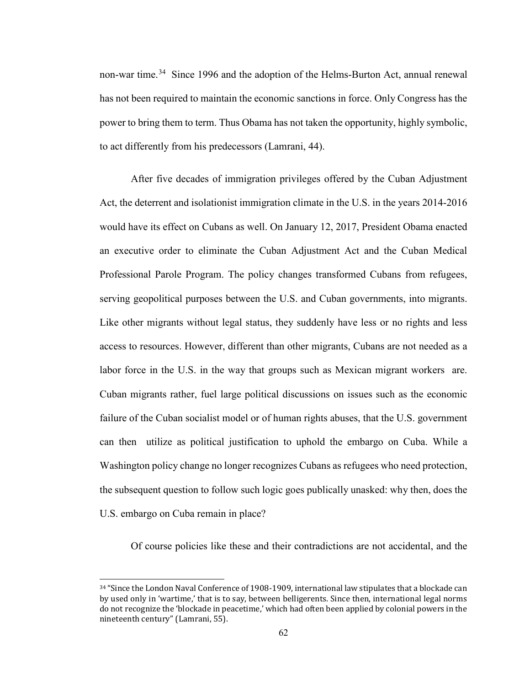non-war time.<sup>34</sup> Since 1996 and the adoption of the Helms-Burton Act, annual renewal has not been required to maintain the economic sanctions in force. Only Congress has the power to bring them to term. Thus Obama has not taken the opportunity, highly symbolic, to act differently from his predecessors (Lamrani, 44).

After five decades of immigration privileges offered by the Cuban Adjustment Act, the deterrent and isolationist immigration climate in the U.S. in the years 2014-2016 would have its effect on Cubans as well. On January 12, 2017, President Obama enacted an executive order to eliminate the Cuban Adjustment Act and the Cuban Medical Professional Parole Program. The policy changes transformed Cubans from refugees, serving geopolitical purposes between the U.S. and Cuban governments, into migrants. Like other migrants without legal status, they suddenly have less or no rights and less access to resources. However, different than other migrants, Cubans are not needed as a labor force in the U.S. in the way that groups such as Mexican migrant workers are. Cuban migrants rather, fuel large political discussions on issues such as the economic failure of the Cuban socialist model or of human rights abuses, that the U.S. government can then utilize as political justification to uphold the embargo on Cuba. While a Washington policy change no longer recognizes Cubans as refugees who need protection, the subsequent question to follow such logic goes publically unasked: why then, does the U.S. embargo on Cuba remain in place?

Of course policies like these and their contradictions are not accidental, and the

<span id="page-66-0"></span> <sup>34</sup> "Since the London Naval Conference of 1908-1909, international law stipulates that a blockade can by used only in 'wartime,' that is to say, between belligerents. Since then, international legal norms do not recognize the 'blockade in peacetime,' which had often been applied by colonial powers in the nineteenth century" (Lamrani, 55).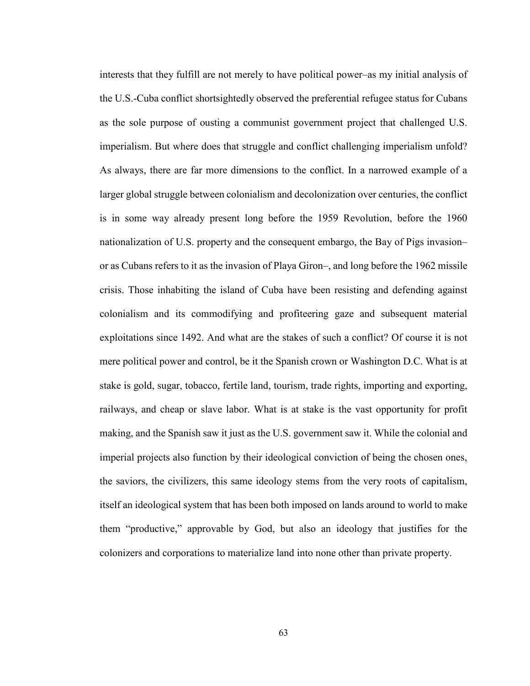interests that they fulfill are not merely to have political power–as my initial analysis of the U.S.-Cuba conflict shortsightedly observed the preferential refugee status for Cubans as the sole purpose of ousting a communist government project that challenged U.S. imperialism. But where does that struggle and conflict challenging imperialism unfold? As always, there are far more dimensions to the conflict. In a narrowed example of a larger global struggle between colonialism and decolonization over centuries, the conflict is in some way already present long before the 1959 Revolution, before the 1960 nationalization of U.S. property and the consequent embargo, the Bay of Pigs invasion– or as Cubans refers to it as the invasion of Playa Giron–, and long before the 1962 missile crisis. Those inhabiting the island of Cuba have been resisting and defending against colonialism and its commodifying and profiteering gaze and subsequent material exploitations since 1492. And what are the stakes of such a conflict? Of course it is not mere political power and control, be it the Spanish crown or Washington D.C. What is at stake is gold, sugar, tobacco, fertile land, tourism, trade rights, importing and exporting, railways, and cheap or slave labor. What is at stake is the vast opportunity for profit making, and the Spanish saw it just as the U.S. government saw it. While the colonial and imperial projects also function by their ideological conviction of being the chosen ones, the saviors, the civilizers, this same ideology stems from the very roots of capitalism, itself an ideological system that has been both imposed on lands around to world to make them "productive," approvable by God, but also an ideology that justifies for the colonizers and corporations to materialize land into none other than private property.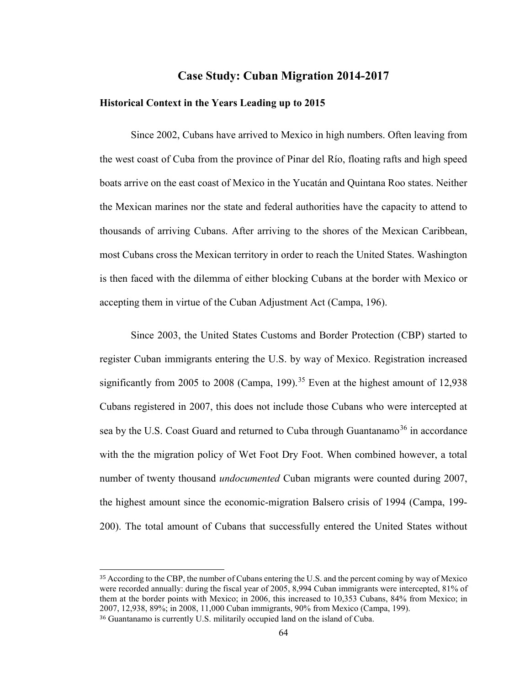# **Case Study: Cuban Migration 2014-2017**

### **Historical Context in the Years Leading up to 2015**

Since 2002, Cubans have arrived to Mexico in high numbers. Often leaving from the west coast of Cuba from the province of Pinar del Río, floating rafts and high speed boats arrive on the east coast of Mexico in the Yucatán and Quintana Roo states. Neither the Mexican marines nor the state and federal authorities have the capacity to attend to thousands of arriving Cubans. After arriving to the shores of the Mexican Caribbean, most Cubans cross the Mexican territory in order to reach the United States. Washington is then faced with the dilemma of either blocking Cubans at the border with Mexico or accepting them in virtue of the Cuban Adjustment Act (Campa, 196).

Since 2003, the United States Customs and Border Protection (CBP) started to register Cuban immigrants entering the U.S. by way of Mexico. Registration increased significantly from 2005 to 2008 (Campa, 199).<sup>[35](#page-68-0)</sup> Even at the highest amount of 12,938 Cubans registered in 2007, this does not include those Cubans who were intercepted at sea by the U.S. Coast Guard and returned to Cuba through Guantanamo<sup>[36](#page-68-1)</sup> in accordance with the the migration policy of Wet Foot Dry Foot. When combined however, a total number of twenty thousand *undocumented* Cuban migrants were counted during 2007, the highest amount since the economic-migration Balsero crisis of 1994 (Campa, 199- 200). The total amount of Cubans that successfully entered the United States without

<span id="page-68-0"></span> <sup>35</sup> According to the CBP, the number of Cubans entering the U.S. and the percent coming by way of Mexico were recorded annually: during the fiscal year of 2005, 8,994 Cuban immigrants were intercepted, 81% of them at the border points with Mexico; in 2006, this increased to 10,353 Cubans, 84% from Mexico; in 2007, 12,938, 89%; in 2008, 11,000 Cuban immigrants, 90% from Mexico (Campa, 199).

<span id="page-68-1"></span><sup>36</sup> Guantanamo is currently U.S. militarily occupied land on the island of Cuba.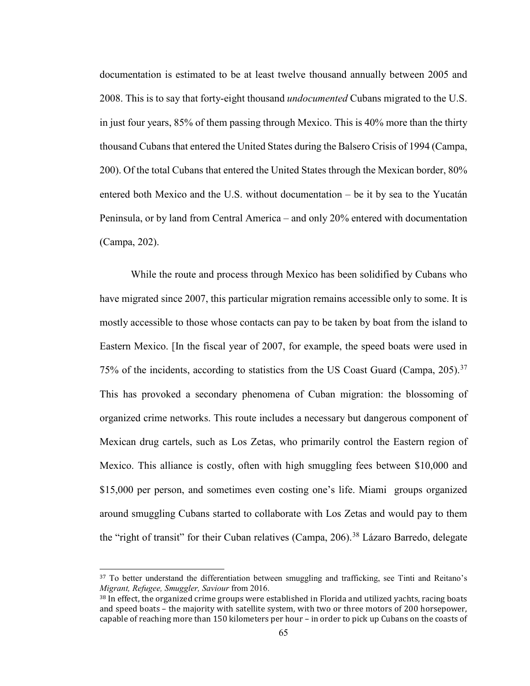documentation is estimated to be at least twelve thousand annually between 2005 and 2008. This is to say that forty-eight thousand *undocumented* Cubans migrated to the U.S. in just four years, 85% of them passing through Mexico. This is 40% more than the thirty thousand Cubans that entered the United States during the Balsero Crisis of 1994 (Campa, 200). Of the total Cubans that entered the United States through the Mexican border, 80% entered both Mexico and the U.S. without documentation – be it by sea to the Yucatán Peninsula, or by land from Central America – and only 20% entered with documentation (Campa, 202).

While the route and process through Mexico has been solidified by Cubans who have migrated since 2007, this particular migration remains accessible only to some. It is mostly accessible to those whose contacts can pay to be taken by boat from the island to Eastern Mexico. [In the fiscal year of 2007, for example, the speed boats were used in 75% of the incidents, according to statistics from the US Coast Guard (Campa, 205).<sup>[37](#page-69-0)</sup> This has provoked a secondary phenomena of Cuban migration: the blossoming of organized crime networks. This route includes a necessary but dangerous component of Mexican drug cartels, such as Los Zetas, who primarily control the Eastern region of Mexico. This alliance is costly, often with high smuggling fees between \$10,000 and \$15,000 per person, and sometimes even costing one's life. Miami groups organized around smuggling Cubans started to collaborate with Los Zetas and would pay to them the "right of transit" for their Cuban relatives (Campa, 206).<sup>[38](#page-69-1)</sup> Lázaro Barredo, delegate

<span id="page-69-0"></span><sup>&</sup>lt;sup>37</sup> To better understand the differentiation between smuggling and trafficking, see Tinti and Reitano's *Migrant, Refugee, Smuggler, Saviour* from 2016.

<span id="page-69-1"></span><sup>38</sup> In effect, the organized crime groups were established in Florida and utilized yachts, racing boats and speed boats – the majority with satellite system, with two or three motors of 200 horsepower, capable of reaching more than 150 kilometers per hour – in order to pick up Cubans on the coasts of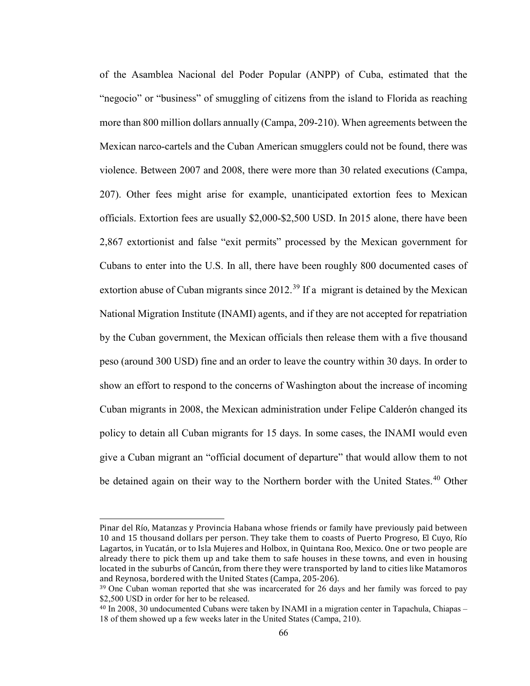of the Asamblea Nacional del Poder Popular (ANPP) of Cuba, estimated that the "negocio" or "business" of smuggling of citizens from the island to Florida as reaching more than 800 million dollars annually (Campa, 209-210). When agreements between the Mexican narco-cartels and the Cuban American smugglers could not be found, there was violence. Between 2007 and 2008, there were more than 30 related executions (Campa, 207). Other fees might arise for example, unanticipated extortion fees to Mexican officials. Extortion fees are usually \$2,000-\$2,500 USD. In 2015 alone, there have been 2,867 extortionist and false "exit permits" processed by the Mexican government for Cubans to enter into the U.S. In all, there have been roughly 800 documented cases of extortion abuse of Cuban migrants since  $2012<sup>39</sup>$  $2012<sup>39</sup>$  $2012<sup>39</sup>$  If a migrant is detained by the Mexican National Migration Institute (INAMI) agents, and if they are not accepted for repatriation by the Cuban government, the Mexican officials then release them with a five thousand peso (around 300 USD) fine and an order to leave the country within 30 days. In order to show an effort to respond to the concerns of Washington about the increase of incoming Cuban migrants in 2008, the Mexican administration under Felipe Calderón changed its policy to detain all Cuban migrants for 15 days. In some cases, the INAMI would even give a Cuban migrant an "official document of departure" that would allow them to not be detained again on their way to the Northern border with the United States.<sup>[40](#page-70-1)</sup> Other

j Pinar del Río, Matanzas y Provincia Habana whose friends or family have previously paid between 10 and 15 thousand dollars per person. They take them to coasts of Puerto Progreso, El Cuyo, Río Lagartos, in Yucatán, or to Isla Mujeres and Holbox, in Quintana Roo, Mexico. One or two people are already there to pick them up and take them to safe houses in these towns, and even in housing located in the suburbs of Cancún, from there they were transported by land to cities like Matamoros and Reynosa, bordered with the United States (Campa, 205-206).

<span id="page-70-0"></span><sup>&</sup>lt;sup>39</sup> One Cuban woman reported that she was incarcerated for 26 days and her family was forced to pay \$2,500 USD in order for her to be released.

<span id="page-70-1"></span><sup>40</sup> In 2008, 30 undocumented Cubans were taken by INAMI in a migration center in Tapachula, Chiapas – 18 of them showed up a few weeks later in the United States (Campa, 210).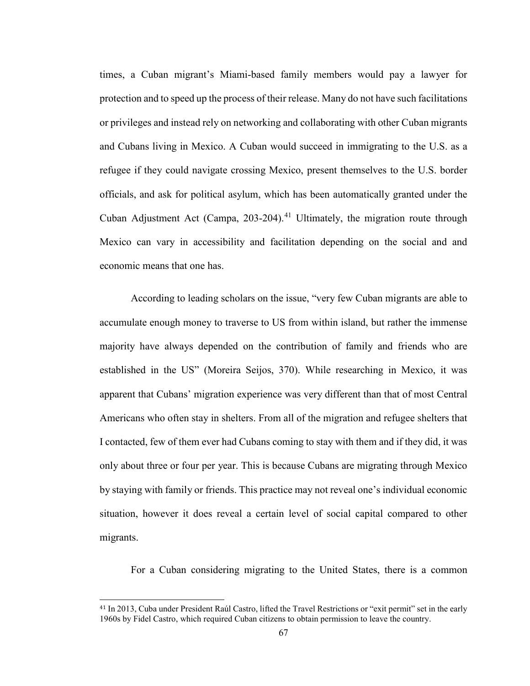times, a Cuban migrant's Miami-based family members would pay a lawyer for protection and to speed up the process of their release. Many do not have such facilitations or privileges and instead rely on networking and collaborating with other Cuban migrants and Cubans living in Mexico. A Cuban would succeed in immigrating to the U.S. as a refugee if they could navigate crossing Mexico, present themselves to the U.S. border officials, and ask for political asylum, which has been automatically granted under the Cuban Adjustment Act (Campa, 203-204).<sup>[41](#page-71-0)</sup> Ultimately, the migration route through Mexico can vary in accessibility and facilitation depending on the social and and economic means that one has.

According to leading scholars on the issue, "very few Cuban migrants are able to accumulate enough money to traverse to US from within island, but rather the immense majority have always depended on the contribution of family and friends who are established in the US" (Moreira Seijos, 370). While researching in Mexico, it was apparent that Cubans' migration experience was very different than that of most Central Americans who often stay in shelters. From all of the migration and refugee shelters that I contacted, few of them ever had Cubans coming to stay with them and if they did, it was only about three or four per year. This is because Cubans are migrating through Mexico by staying with family or friends. This practice may not reveal one's individual economic situation, however it does reveal a certain level of social capital compared to other migrants.

For a Cuban considering migrating to the United States, there is a common

<span id="page-71-0"></span> <sup>41</sup> In 2013, Cuba under President Raúl Castro, lifted the Travel Restrictions or "exit permit" set in the early 1960s by Fidel Castro, which required Cuban citizens to obtain permission to leave the country.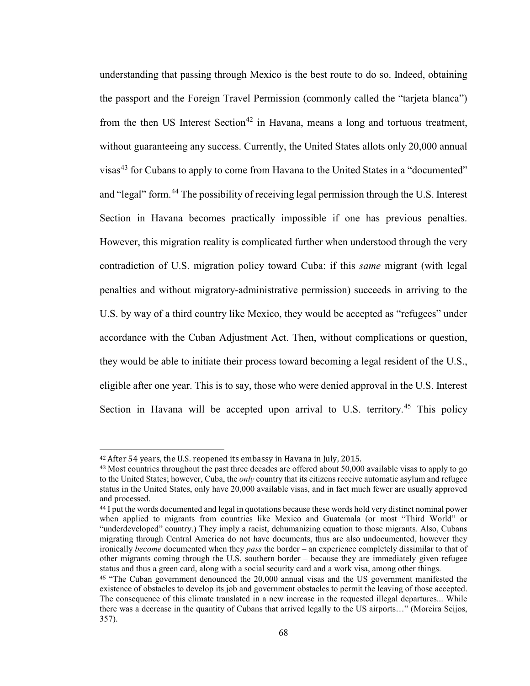understanding that passing through Mexico is the best route to do so. Indeed, obtaining the passport and the Foreign Travel Permission (commonly called the "tarjeta blanca") from the then US Interest Section<sup>[42](#page-72-0)</sup> in Havana, means a long and tortuous treatment, without guaranteeing any success. Currently, the United States allots only 20,000 annual visas<sup>[43](#page-72-1)</sup> for Cubans to apply to come from Havana to the United States in a "documented" and "legal" form.[44](#page-72-2) The possibility of receiving legal permission through the U.S. Interest Section in Havana becomes practically impossible if one has previous penalties. However, this migration reality is complicated further when understood through the very contradiction of U.S. migration policy toward Cuba: if this *same* migrant (with legal penalties and without migratory-administrative permission) succeeds in arriving to the U.S. by way of a third country like Mexico, they would be accepted as "refugees" under accordance with the Cuban Adjustment Act. Then, without complications or question, they would be able to initiate their process toward becoming a legal resident of the U.S., eligible after one year. This is to say, those who were denied approval in the U.S. Interest Section in Havana will be accepted upon arrival to U.S. territory.<sup>[45](#page-72-3)</sup> This policy

<span id="page-72-0"></span> <sup>42</sup> After 54 years, the U.S. reopened its embassy in Havana in July, 2015.

<span id="page-72-1"></span><sup>&</sup>lt;sup>43</sup> Most countries throughout the past three decades are offered about 50,000 available visas to apply to go to the United States; however, Cuba, the *only* country that its citizens receive automatic asylum and refugee status in the United States, only have 20,000 available visas, and in fact much fewer are usually approved and processed.

<span id="page-72-2"></span><sup>44</sup> I put the words documented and legal in quotations because these words hold very distinct nominal power when applied to migrants from countries like Mexico and Guatemala (or most "Third World" or "underdeveloped" country.) They imply a racist, dehumanizing equation to those migrants. Also, Cubans migrating through Central America do not have documents, thus are also undocumented, however they ironically *become* documented when they *pass* the border – an experience completely dissimilar to that of other migrants coming through the U.S. southern border – because they are immediately given refugee status and thus a green card, along with a social security card and a work visa, among other things.

<span id="page-72-3"></span><sup>45</sup> "The Cuban government denounced the 20,000 annual visas and the US government manifested the existence of obstacles to develop its job and government obstacles to permit the leaving of those accepted. The consequence of this climate translated in a new increase in the requested illegal departures... While there was a decrease in the quantity of Cubans that arrived legally to the US airports…" (Moreira Seijos, 357).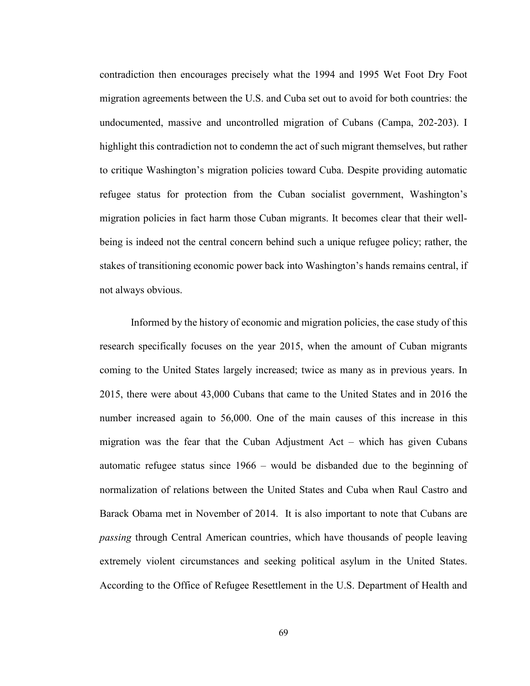contradiction then encourages precisely what the 1994 and 1995 Wet Foot Dry Foot migration agreements between the U.S. and Cuba set out to avoid for both countries: the undocumented, massive and uncontrolled migration of Cubans (Campa, 202-203). I highlight this contradiction not to condemn the act of such migrant themselves, but rather to critique Washington's migration policies toward Cuba. Despite providing automatic refugee status for protection from the Cuban socialist government, Washington's migration policies in fact harm those Cuban migrants. It becomes clear that their wellbeing is indeed not the central concern behind such a unique refugee policy; rather, the stakes of transitioning economic power back into Washington's hands remains central, if not always obvious.

Informed by the history of economic and migration policies, the case study of this research specifically focuses on the year 2015, when the amount of Cuban migrants coming to the United States largely increased; twice as many as in previous years. In 2015, there were about 43,000 Cubans that came to the United States and in 2016 the number increased again to 56,000. One of the main causes of this increase in this migration was the fear that the Cuban Adjustment Act – which has given Cubans automatic refugee status since 1966 – would be disbanded due to the beginning of normalization of relations between the United States and Cuba when Raul Castro and Barack Obama met in November of 2014. It is also important to note that Cubans are *passing* through Central American countries, which have thousands of people leaving extremely violent circumstances and seeking political asylum in the United States. According to the Office of Refugee Resettlement in the U.S. Department of Health and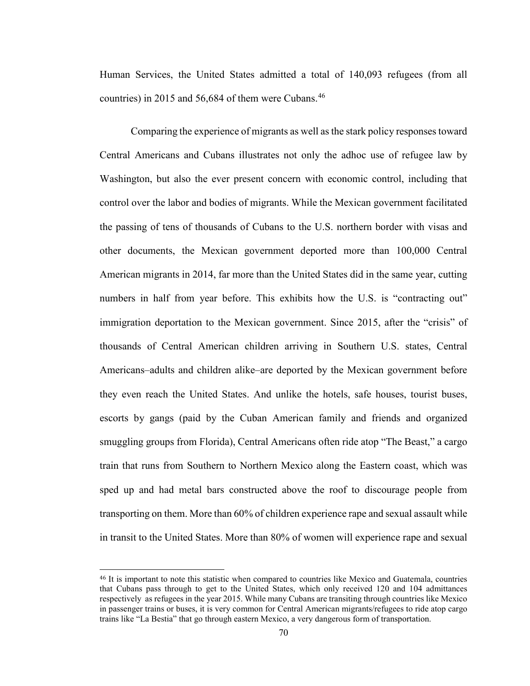Human Services, the United States admitted a total of 140,093 refugees (from all countries) in 2015 and 56,684 of them were Cubans.<sup>[46](#page-74-0)</sup>

Comparing the experience of migrants as well as the stark policy responses toward Central Americans and Cubans illustrates not only the adhoc use of refugee law by Washington, but also the ever present concern with economic control, including that control over the labor and bodies of migrants. While the Mexican government facilitated the passing of tens of thousands of Cubans to the U.S. northern border with visas and other documents, the Mexican government deported more than 100,000 Central American migrants in 2014, far more than the United States did in the same year, cutting numbers in half from year before. This exhibits how the U.S. is "contracting out" immigration deportation to the Mexican government. Since 2015, after the "crisis" of thousands of Central American children arriving in Southern U.S. states, Central Americans–adults and children alike–are deported by the Mexican government before they even reach the United States. And unlike the hotels, safe houses, tourist buses, escorts by gangs (paid by the Cuban American family and friends and organized smuggling groups from Florida), Central Americans often ride atop "The Beast," a cargo train that runs from Southern to Northern Mexico along the Eastern coast, which was sped up and had metal bars constructed above the roof to discourage people from transporting on them. More than 60% of children experience rape and sexual assault while in transit to the United States. More than 80% of women will experience rape and sexual

<span id="page-74-0"></span> <sup>46</sup> It is important to note this statistic when compared to countries like Mexico and Guatemala, countries that Cubans pass through to get to the United States, which only received 120 and 104 admittances respectively as refugees in the year 2015. While many Cubans are transiting through countries like Mexico in passenger trains or buses, it is very common for Central American migrants/refugees to ride atop cargo trains like "La Bestia" that go through eastern Mexico, a very dangerous form of transportation.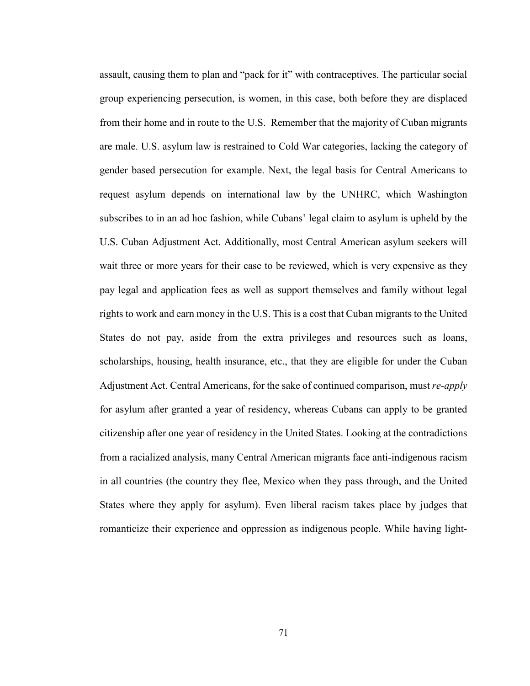assault, causing them to plan and "pack for it" with contraceptives. The particular social group experiencing persecution, is women, in this case, both before they are displaced from their home and in route to the U.S. Remember that the majority of Cuban migrants are male. U.S. asylum law is restrained to Cold War categories, lacking the category of gender based persecution for example. Next, the legal basis for Central Americans to request asylum depends on international law by the UNHRC, which Washington subscribes to in an ad hoc fashion, while Cubans' legal claim to asylum is upheld by the U.S. Cuban Adjustment Act. Additionally, most Central American asylum seekers will wait three or more years for their case to be reviewed, which is very expensive as they pay legal and application fees as well as support themselves and family without legal rights to work and earn money in the U.S. This is a cost that Cuban migrants to the United States do not pay, aside from the extra privileges and resources such as loans, scholarships, housing, health insurance, etc., that they are eligible for under the Cuban Adjustment Act. Central Americans, for the sake of continued comparison, must *re-apply* for asylum after granted a year of residency, whereas Cubans can apply to be granted citizenship after one year of residency in the United States. Looking at the contradictions from a racialized analysis, many Central American migrants face anti-indigenous racism in all countries (the country they flee, Mexico when they pass through, and the United States where they apply for asylum). Even liberal racism takes place by judges that romanticize their experience and oppression as indigenous people. While having light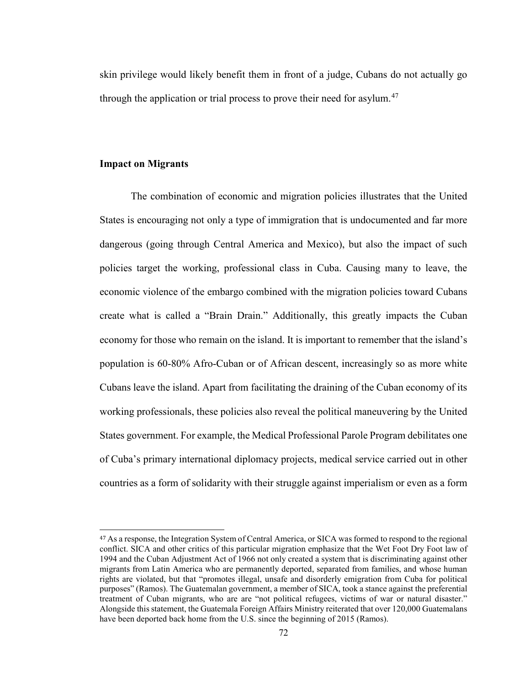skin privilege would likely benefit them in front of a judge, Cubans do not actually go through the application or trial process to prove their need for asylum.<sup>[47](#page-76-0)</sup>

## **Impact on Migrants**

The combination of economic and migration policies illustrates that the United States is encouraging not only a type of immigration that is undocumented and far more dangerous (going through Central America and Mexico), but also the impact of such policies target the working, professional class in Cuba. Causing many to leave, the economic violence of the embargo combined with the migration policies toward Cubans create what is called a "Brain Drain." Additionally, this greatly impacts the Cuban economy for those who remain on the island. It is important to remember that the island's population is 60-80% Afro-Cuban or of African descent, increasingly so as more white Cubans leave the island. Apart from facilitating the draining of the Cuban economy of its working professionals, these policies also reveal the political maneuvering by the United States government. For example, the Medical Professional Parole Program debilitates one of Cuba's primary international diplomacy projects, medical service carried out in other countries as a form of solidarity with their struggle against imperialism or even as a form

<span id="page-76-0"></span> <sup>47</sup> As a response, the Integration System of Central America, or SICA was formed to respond to the regional conflict. SICA and other critics of this particular migration emphasize that the Wet Foot Dry Foot law of 1994 and the Cuban Adjustment Act of 1966 not only created a system that is discriminating against other migrants from Latin America who are permanently deported, separated from families, and whose human rights are violated, but that "promotes illegal, unsafe and disorderly emigration from Cuba for political purposes" (Ramos). The Guatemalan government, a member of SICA, took a stance against the preferential treatment of Cuban migrants, who are are "not political refugees, victims of war or natural disaster." Alongside this statement, the Guatemala Foreign Affairs Ministry reiterated that over 120,000 Guatemalans have been deported back home from the U.S. since the beginning of 2015 (Ramos).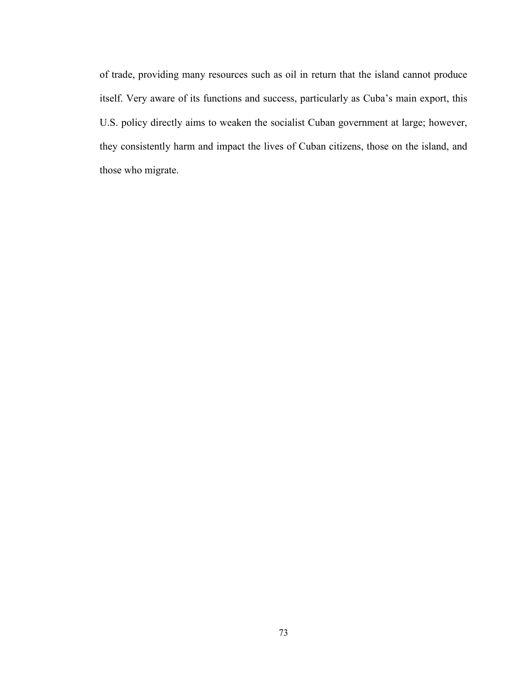of trade, providing many resources such as oil in return that the island cannot produce itself. Very aware of its functions and success, particularly as Cuba's main export, this U.S. policy directly aims to weaken the socialist Cuban government at large; however, they consistently harm and impact the lives of Cuban citizens, those on the island, and those who migrate.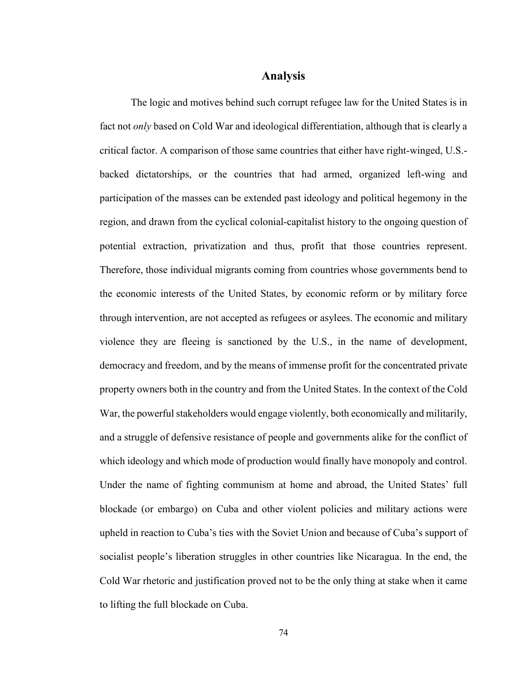# **Analysis**

The logic and motives behind such corrupt refugee law for the United States is in fact not *only* based on Cold War and ideological differentiation, although that is clearly a critical factor. A comparison of those same countries that either have right-winged, U.S. backed dictatorships, or the countries that had armed, organized left-wing and participation of the masses can be extended past ideology and political hegemony in the region, and drawn from the cyclical colonial-capitalist history to the ongoing question of potential extraction, privatization and thus, profit that those countries represent. Therefore, those individual migrants coming from countries whose governments bend to the economic interests of the United States, by economic reform or by military force through intervention, are not accepted as refugees or asylees. The economic and military violence they are fleeing is sanctioned by the U.S., in the name of development, democracy and freedom, and by the means of immense profit for the concentrated private property owners both in the country and from the United States. In the context of the Cold War, the powerful stakeholders would engage violently, both economically and militarily, and a struggle of defensive resistance of people and governments alike for the conflict of which ideology and which mode of production would finally have monopoly and control. Under the name of fighting communism at home and abroad, the United States' full blockade (or embargo) on Cuba and other violent policies and military actions were upheld in reaction to Cuba's ties with the Soviet Union and because of Cuba's support of socialist people's liberation struggles in other countries like Nicaragua. In the end, the Cold War rhetoric and justification proved not to be the only thing at stake when it came to lifting the full blockade on Cuba.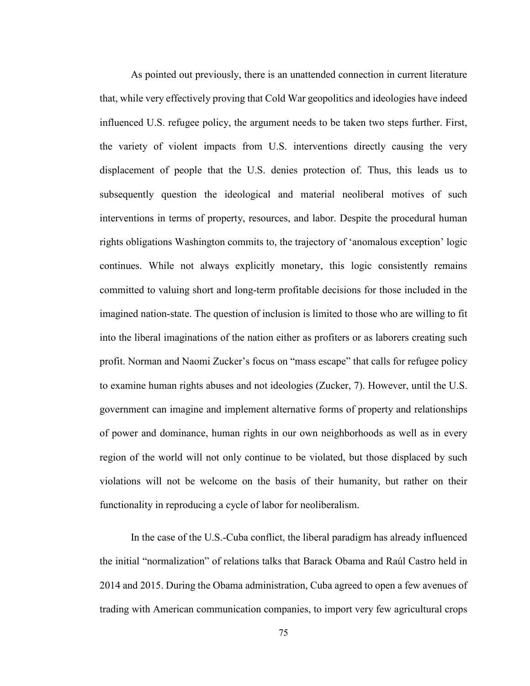As pointed out previously, there is an unattended connection in current literature that, while very effectively proving that Cold War geopolitics and ideologies have indeed influenced U.S. refugee policy, the argument needs to be taken two steps further. First, the variety of violent impacts from U.S. interventions directly causing the very displacement of people that the U.S. denies protection of. Thus, this leads us to subsequently question the ideological and material neoliberal motives of such interventions in terms of property, resources, and labor. Despite the procedural human rights obligations Washington commits to, the trajectory of 'anomalous exception' logic continues. While not always explicitly monetary, this logic consistently remains committed to valuing short and long-term profitable decisions for those included in the imagined nation-state. The question of inclusion is limited to those who are willing to fit into the liberal imaginations of the nation either as profiters or as laborers creating such profit. Norman and Naomi Zucker's focus on "mass escape" that calls for refugee policy to examine human rights abuses and not ideologies (Zucker, 7). However, until the U.S. government can imagine and implement alternative forms of property and relationships of power and dominance, human rights in our own neighborhoods as well as in every region of the world will not only continue to be violated, but those displaced by such violations will not be welcome on the basis of their humanity, but rather on their functionality in reproducing a cycle of labor for neoliberalism.

In the case of the U.S.-Cuba conflict, the liberal paradigm has already influenced the initial "normalization" of relations talks that Barack Obama and Raúl Castro held in 2014 and 2015. During the Obama administration, Cuba agreed to open a few avenues of trading with American communication companies, to import very few agricultural crops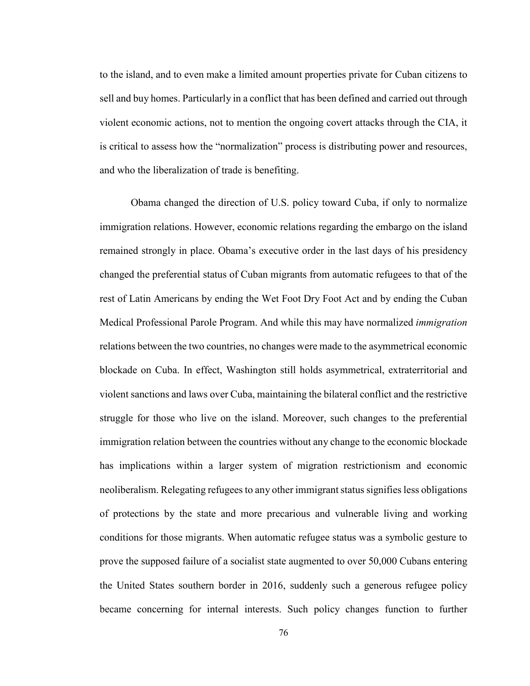to the island, and to even make a limited amount properties private for Cuban citizens to sell and buy homes. Particularly in a conflict that has been defined and carried out through violent economic actions, not to mention the ongoing covert attacks through the CIA, it is critical to assess how the "normalization" process is distributing power and resources, and who the liberalization of trade is benefiting.

Obama changed the direction of U.S. policy toward Cuba, if only to normalize immigration relations. However, economic relations regarding the embargo on the island remained strongly in place. Obama's executive order in the last days of his presidency changed the preferential status of Cuban migrants from automatic refugees to that of the rest of Latin Americans by ending the Wet Foot Dry Foot Act and by ending the Cuban Medical Professional Parole Program. And while this may have normalized *immigration* relations between the two countries, no changes were made to the asymmetrical economic blockade on Cuba. In effect, Washington still holds asymmetrical, extraterritorial and violent sanctions and laws over Cuba, maintaining the bilateral conflict and the restrictive struggle for those who live on the island. Moreover, such changes to the preferential immigration relation between the countries without any change to the economic blockade has implications within a larger system of migration restrictionism and economic neoliberalism. Relegating refugees to any other immigrant status signifies less obligations of protections by the state and more precarious and vulnerable living and working conditions for those migrants. When automatic refugee status was a symbolic gesture to prove the supposed failure of a socialist state augmented to over 50,000 Cubans entering the United States southern border in 2016, suddenly such a generous refugee policy became concerning for internal interests. Such policy changes function to further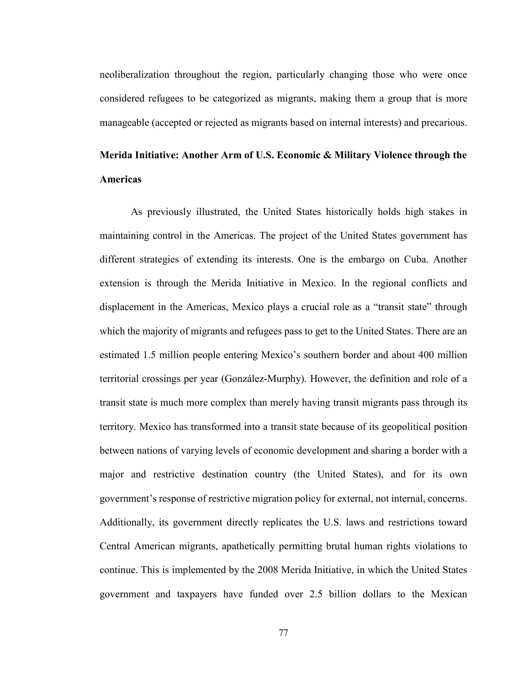neoliberalization throughout the region, particularly changing those who were once considered refugees to be categorized as migrants, making them a group that is more manageable (accepted or rejected as migrants based on internal interests) and precarious.

# **Merida Initiative: Another Arm of U.S. Economic & Military Violence through the Americas**

As previously illustrated, the United States historically holds high stakes in maintaining control in the Americas. The project of the United States government has different strategies of extending its interests. One is the embargo on Cuba. Another extension is through the Merida Initiative in Mexico. In the regional conflicts and displacement in the Americas, Mexico plays a crucial role as a "transit state" through which the majority of migrants and refugees pass to get to the United States. There are an estimated 1.5 million people entering Mexico's southern border and about 400 million territorial crossings per year (González-Murphy). However, the definition and role of a transit state is much more complex than merely having transit migrants pass through its territory. Mexico has transformed into a transit state because of its geopolitical position between nations of varying levels of economic development and sharing a border with a major and restrictive destination country (the United States), and for its own government's response of restrictive migration policy for external, not internal, concerns. Additionally, its government directly replicates the U.S. laws and restrictions toward Central American migrants, apathetically permitting brutal human rights violations to continue. This is implemented by the 2008 Merida Initiative, in which the United States government and taxpayers have funded over 2.5 billion dollars to the Mexican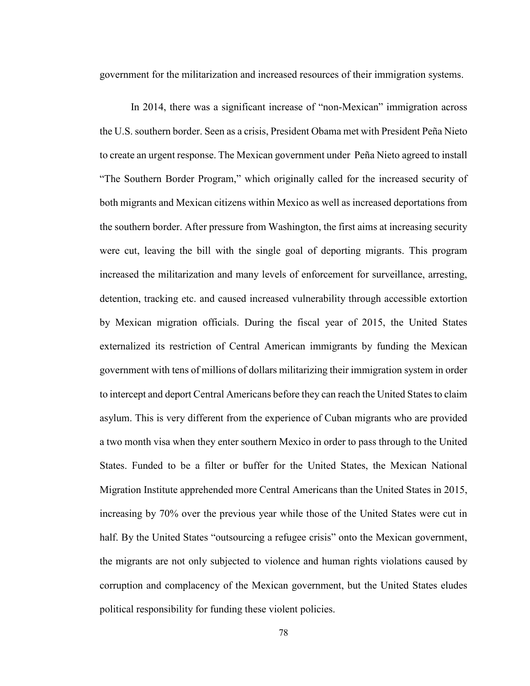government for the militarization and increased resources of their immigration systems.

In 2014, there was a significant increase of "non-Mexican" immigration across the U.S. southern border. Seen as a crisis, President Obama met with President Peña Nieto to create an urgent response. The Mexican government under Peña Nieto agreed to install "The Southern Border Program," which originally called for the increased security of both migrants and Mexican citizens within Mexico as well as increased deportations from the southern border. After pressure from Washington, the first aims at increasing security were cut, leaving the bill with the single goal of deporting migrants. This program increased the militarization and many levels of enforcement for surveillance, arresting, detention, tracking etc. and caused increased vulnerability through accessible extortion by Mexican migration officials. During the fiscal year of 2015, the United States externalized its restriction of Central American immigrants by funding the Mexican government with tens of millions of dollars militarizing their immigration system in order to intercept and deport Central Americans before they can reach the United States to claim asylum. This is very different from the experience of Cuban migrants who are provided a two month visa when they enter southern Mexico in order to pass through to the United States. Funded to be a filter or buffer for the United States, the Mexican National Migration Institute apprehended more Central Americans than the United States in 2015, increasing by 70% over the previous year while those of the United States were cut in half. By the United States "outsourcing a refugee crisis" onto the Mexican government, the migrants are not only subjected to violence and human rights violations caused by corruption and complacency of the Mexican government, but the United States eludes political responsibility for funding these violent policies.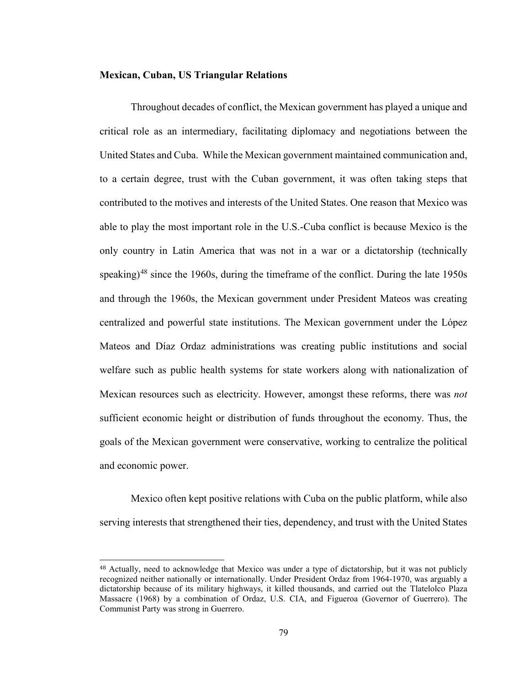#### **Mexican, Cuban, US Triangular Relations**

Throughout decades of conflict, the Mexican government has played a unique and critical role as an intermediary, facilitating diplomacy and negotiations between the United States and Cuba. While the Mexican government maintained communication and, to a certain degree, trust with the Cuban government, it was often taking steps that contributed to the motives and interests of the United States. One reason that Mexico was able to play the most important role in the U.S.-Cuba conflict is because Mexico is the only country in Latin America that was not in a war or a dictatorship (technically speaking)<sup>[48](#page-83-0)</sup> since the 1960s, during the timeframe of the conflict. During the late 1950s and through the 1960s, the Mexican government under President Mateos was creating centralized and powerful state institutions. The Mexican government under the López Mateos and Díaz Ordaz administrations was creating public institutions and social welfare such as public health systems for state workers along with nationalization of Mexican resources such as electricity. However, amongst these reforms, there was *not*  sufficient economic height or distribution of funds throughout the economy. Thus, the goals of the Mexican government were conservative, working to centralize the political and economic power.

Mexico often kept positive relations with Cuba on the public platform, while also serving interests that strengthened their ties, dependency, and trust with the United States

<span id="page-83-0"></span> <sup>48</sup> Actually, need to acknowledge that Mexico was under a type of dictatorship, but it was not publicly recognized neither nationally or internationally. Under President Ordaz from 1964-1970, was arguably a dictatorship because of its military highways, it killed thousands, and carried out the Tlatelolco Plaza Massacre (1968) by a combination of Ordaz, U.S. CIA, and Figueroa (Governor of Guerrero). The Communist Party was strong in Guerrero.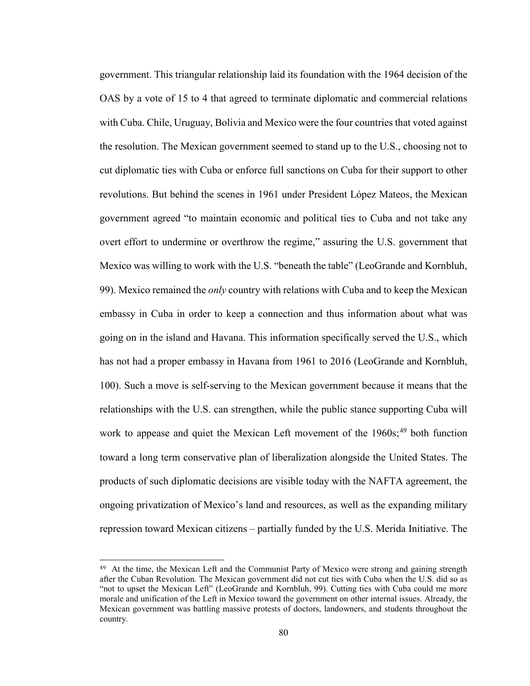government. This triangular relationship laid its foundation with the 1964 decision of the OAS by a vote of 15 to 4 that agreed to terminate diplomatic and commercial relations with Cuba. Chile, Uruguay, Bolivia and Mexico were the four countries that voted against the resolution. The Mexican government seemed to stand up to the U.S., choosing not to cut diplomatic ties with Cuba or enforce full sanctions on Cuba for their support to other revolutions. But behind the scenes in 1961 under President López Mateos, the Mexican government agreed "to maintain economic and political ties to Cuba and not take any overt effort to undermine or overthrow the regime," assuring the U.S. government that Mexico was willing to work with the U.S. "beneath the table" (LeoGrande and Kornbluh, 99). Mexico remained the *only* country with relations with Cuba and to keep the Mexican embassy in Cuba in order to keep a connection and thus information about what was going on in the island and Havana. This information specifically served the U.S., which has not had a proper embassy in Havana from 1961 to 2016 (LeoGrande and Kornbluh, 100). Such a move is self-serving to the Mexican government because it means that the relationships with the U.S. can strengthen, while the public stance supporting Cuba will work to appease and quiet the Mexican Left movement of the  $1960s$ ;<sup>[49](#page-84-0)</sup> both function toward a long term conservative plan of liberalization alongside the United States. The products of such diplomatic decisions are visible today with the NAFTA agreement, the ongoing privatization of Mexico's land and resources, as well as the expanding military repression toward Mexican citizens – partially funded by the U.S. Merida Initiative. The

<span id="page-84-0"></span><sup>&</sup>lt;sup>49</sup> At the time, the Mexican Left and the Communist Party of Mexico were strong and gaining strength after the Cuban Revolution. The Mexican government did not cut ties with Cuba when the U.S. did so as "not to upset the Mexican Left" (LeoGrande and Kornbluh, 99). Cutting ties with Cuba could me more morale and unification of the Left in Mexico toward the government on other internal issues. Already, the Mexican government was battling massive protests of doctors, landowners, and students throughout the country.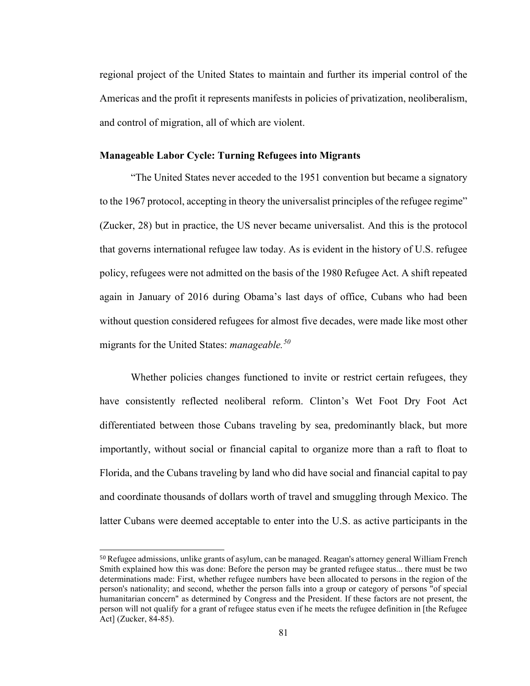regional project of the United States to maintain and further its imperial control of the Americas and the profit it represents manifests in policies of privatization, neoliberalism, and control of migration, all of which are violent.

### **Manageable Labor Cycle: Turning Refugees into Migrants**

"The United States never acceded to the 1951 convention but became a signatory to the 1967 protocol, accepting in theory the universalist principles of the refugee regime" (Zucker, 28) but in practice, the US never became universalist. And this is the protocol that governs international refugee law today. As is evident in the history of U.S. refugee policy, refugees were not admitted on the basis of the 1980 Refugee Act. A shift repeated again in January of 2016 during Obama's last days of office, Cubans who had been without question considered refugees for almost five decades, were made like most other migrants for the United States: *manageable.[50](#page-85-0)*

Whether policies changes functioned to invite or restrict certain refugees, they have consistently reflected neoliberal reform. Clinton's Wet Foot Dry Foot Act differentiated between those Cubans traveling by sea, predominantly black, but more importantly, without social or financial capital to organize more than a raft to float to Florida, and the Cubans traveling by land who did have social and financial capital to pay and coordinate thousands of dollars worth of travel and smuggling through Mexico. The latter Cubans were deemed acceptable to enter into the U.S. as active participants in the

<span id="page-85-0"></span> <sup>50</sup> Refugee admissions, unlike grants of asylum, can be managed. Reagan's attorney general William French Smith explained how this was done: Before the person may be granted refugee status... there must be two determinations made: First, whether refugee numbers have been allocated to persons in the region of the person's nationality; and second, whether the person falls into a group or category of persons "of special humanitarian concern" as determined by Congress and the President. If these factors are not present, the person will not qualify for a grant of refugee status even if he meets the refugee definition in [the Refugee Act] (Zucker, 84-85).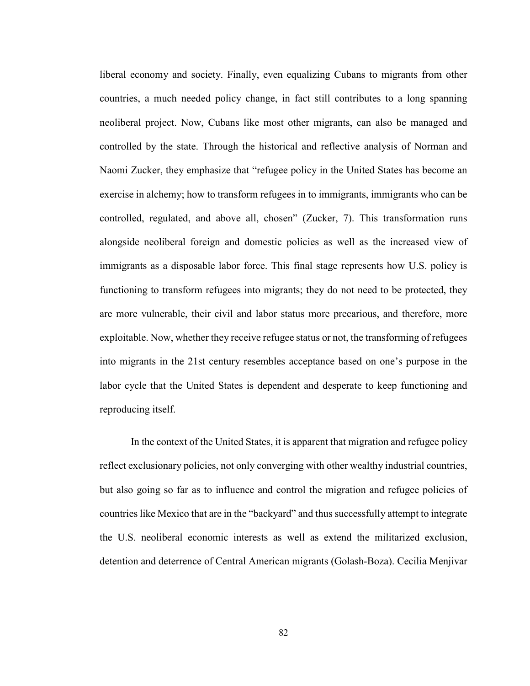liberal economy and society. Finally, even equalizing Cubans to migrants from other countries, a much needed policy change, in fact still contributes to a long spanning neoliberal project. Now, Cubans like most other migrants, can also be managed and controlled by the state. Through the historical and reflective analysis of Norman and Naomi Zucker, they emphasize that "refugee policy in the United States has become an exercise in alchemy; how to transform refugees in to immigrants, immigrants who can be controlled, regulated, and above all, chosen" (Zucker, 7). This transformation runs alongside neoliberal foreign and domestic policies as well as the increased view of immigrants as a disposable labor force. This final stage represents how U.S. policy is functioning to transform refugees into migrants; they do not need to be protected, they are more vulnerable, their civil and labor status more precarious, and therefore, more exploitable. Now, whether they receive refugee status or not, the transforming of refugees into migrants in the 21st century resembles acceptance based on one's purpose in the labor cycle that the United States is dependent and desperate to keep functioning and reproducing itself.

In the context of the United States, it is apparent that migration and refugee policy reflect exclusionary policies, not only converging with other wealthy industrial countries, but also going so far as to influence and control the migration and refugee policies of countries like Mexico that are in the "backyard" and thus successfully attempt to integrate the U.S. neoliberal economic interests as well as extend the militarized exclusion, detention and deterrence of Central American migrants (Golash-Boza). Cecilia Menjivar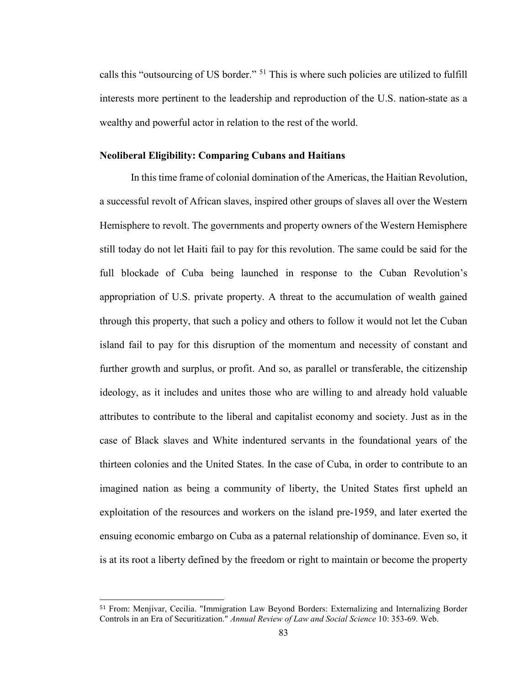calls this "outsourcing of US border." [51](#page-87-0) This is where such policies are utilized to fulfill interests more pertinent to the leadership and reproduction of the U.S. nation-state as a wealthy and powerful actor in relation to the rest of the world.

#### **Neoliberal Eligibility: Comparing Cubans and Haitians**

In this time frame of colonial domination of the Americas, the Haitian Revolution, a successful revolt of African slaves, inspired other groups of slaves all over the Western Hemisphere to revolt. The governments and property owners of the Western Hemisphere still today do not let Haiti fail to pay for this revolution. The same could be said for the full blockade of Cuba being launched in response to the Cuban Revolution's appropriation of U.S. private property. A threat to the accumulation of wealth gained through this property, that such a policy and others to follow it would not let the Cuban island fail to pay for this disruption of the momentum and necessity of constant and further growth and surplus, or profit. And so, as parallel or transferable, the citizenship ideology, as it includes and unites those who are willing to and already hold valuable attributes to contribute to the liberal and capitalist economy and society. Just as in the case of Black slaves and White indentured servants in the foundational years of the thirteen colonies and the United States. In the case of Cuba, in order to contribute to an imagined nation as being a community of liberty, the United States first upheld an exploitation of the resources and workers on the island pre-1959, and later exerted the ensuing economic embargo on Cuba as a paternal relationship of dominance. Even so, it is at its root a liberty defined by the freedom or right to maintain or become the property

<span id="page-87-0"></span> <sup>51</sup> From: Menjivar, Cecilia. "Immigration Law Beyond Borders: Externalizing and Internalizing Border Controls in an Era of Securitization." *Annual Review of Law and Social Science* 10: 353-69. Web.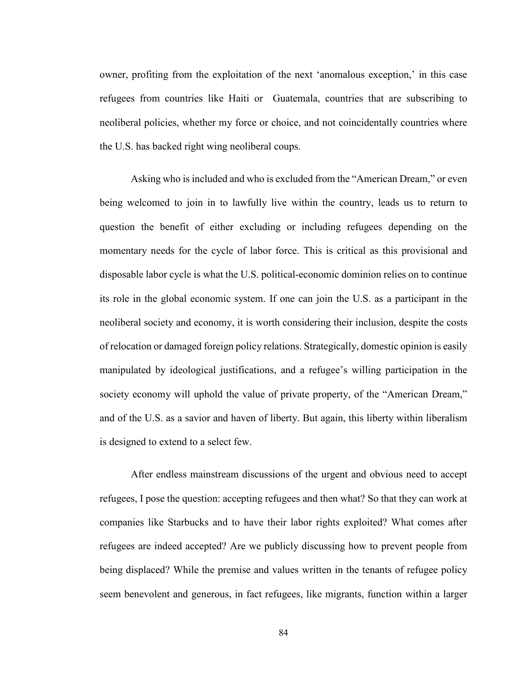owner, profiting from the exploitation of the next 'anomalous exception,' in this case refugees from countries like Haiti or Guatemala, countries that are subscribing to neoliberal policies, whether my force or choice, and not coincidentally countries where the U.S. has backed right wing neoliberal coups.

Asking who is included and who is excluded from the "American Dream," or even being welcomed to join in to lawfully live within the country, leads us to return to question the benefit of either excluding or including refugees depending on the momentary needs for the cycle of labor force. This is critical as this provisional and disposable labor cycle is what the U.S. political-economic dominion relies on to continue its role in the global economic system. If one can join the U.S. as a participant in the neoliberal society and economy, it is worth considering their inclusion, despite the costs of relocation or damaged foreign policy relations. Strategically, domestic opinion is easily manipulated by ideological justifications, and a refugee's willing participation in the society economy will uphold the value of private property, of the "American Dream," and of the U.S. as a savior and haven of liberty. But again, this liberty within liberalism is designed to extend to a select few.

After endless mainstream discussions of the urgent and obvious need to accept refugees, I pose the question: accepting refugees and then what? So that they can work at companies like Starbucks and to have their labor rights exploited? What comes after refugees are indeed accepted? Are we publicly discussing how to prevent people from being displaced? While the premise and values written in the tenants of refugee policy seem benevolent and generous, in fact refugees, like migrants, function within a larger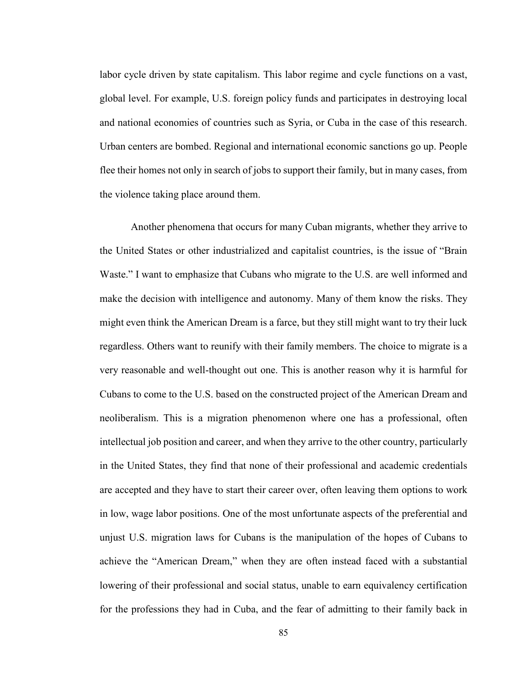labor cycle driven by state capitalism. This labor regime and cycle functions on a vast, global level. For example, U.S. foreign policy funds and participates in destroying local and national economies of countries such as Syria, or Cuba in the case of this research. Urban centers are bombed. Regional and international economic sanctions go up. People flee their homes not only in search of jobs to support their family, but in many cases, from the violence taking place around them.

Another phenomena that occurs for many Cuban migrants, whether they arrive to the United States or other industrialized and capitalist countries, is the issue of "Brain Waste." I want to emphasize that Cubans who migrate to the U.S. are well informed and make the decision with intelligence and autonomy. Many of them know the risks. They might even think the American Dream is a farce, but they still might want to try their luck regardless. Others want to reunify with their family members. The choice to migrate is a very reasonable and well-thought out one. This is another reason why it is harmful for Cubans to come to the U.S. based on the constructed project of the American Dream and neoliberalism. This is a migration phenomenon where one has a professional, often intellectual job position and career, and when they arrive to the other country, particularly in the United States, they find that none of their professional and academic credentials are accepted and they have to start their career over, often leaving them options to work in low, wage labor positions. One of the most unfortunate aspects of the preferential and unjust U.S. migration laws for Cubans is the manipulation of the hopes of Cubans to achieve the "American Dream," when they are often instead faced with a substantial lowering of their professional and social status, unable to earn equivalency certification for the professions they had in Cuba, and the fear of admitting to their family back in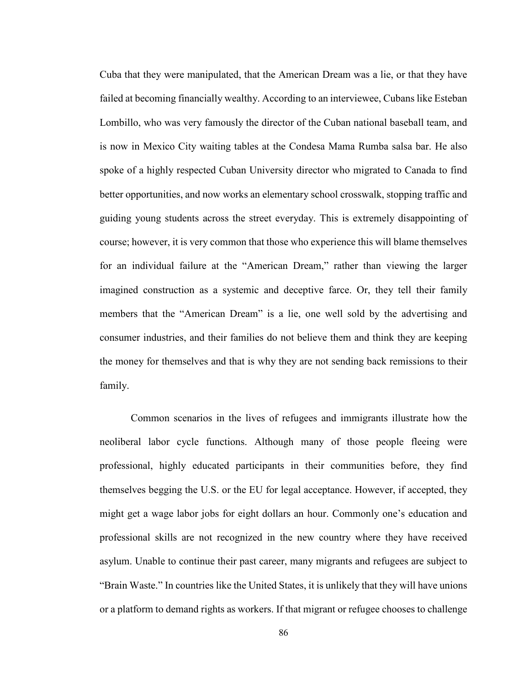Cuba that they were manipulated, that the American Dream was a lie, or that they have failed at becoming financially wealthy. According to an interviewee, Cubans like Esteban Lombillo, who was very famously the director of the Cuban national baseball team, and is now in Mexico City waiting tables at the Condesa Mama Rumba salsa bar. He also spoke of a highly respected Cuban University director who migrated to Canada to find better opportunities, and now works an elementary school crosswalk, stopping traffic and guiding young students across the street everyday. This is extremely disappointing of course; however, it is very common that those who experience this will blame themselves for an individual failure at the "American Dream," rather than viewing the larger imagined construction as a systemic and deceptive farce. Or, they tell their family members that the "American Dream" is a lie, one well sold by the advertising and consumer industries, and their families do not believe them and think they are keeping the money for themselves and that is why they are not sending back remissions to their family.

Common scenarios in the lives of refugees and immigrants illustrate how the neoliberal labor cycle functions. Although many of those people fleeing were professional, highly educated participants in their communities before, they find themselves begging the U.S. or the EU for legal acceptance. However, if accepted, they might get a wage labor jobs for eight dollars an hour. Commonly one's education and professional skills are not recognized in the new country where they have received asylum. Unable to continue their past career, many migrants and refugees are subject to "Brain Waste." In countries like the United States, it is unlikely that they will have unions or a platform to demand rights as workers. If that migrant or refugee chooses to challenge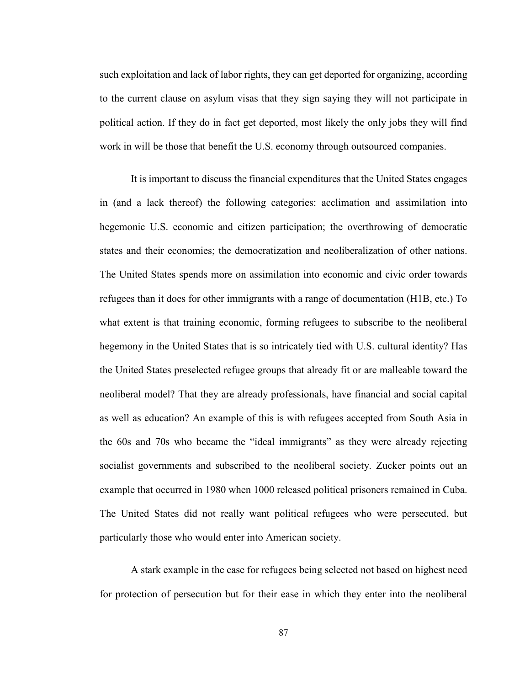such exploitation and lack of labor rights, they can get deported for organizing, according to the current clause on asylum visas that they sign saying they will not participate in political action. If they do in fact get deported, most likely the only jobs they will find work in will be those that benefit the U.S. economy through outsourced companies.

It is important to discuss the financial expenditures that the United States engages in (and a lack thereof) the following categories: acclimation and assimilation into hegemonic U.S. economic and citizen participation; the overthrowing of democratic states and their economies; the democratization and neoliberalization of other nations. The United States spends more on assimilation into economic and civic order towards refugees than it does for other immigrants with a range of documentation (H1B, etc.) To what extent is that training economic, forming refugees to subscribe to the neoliberal hegemony in the United States that is so intricately tied with U.S. cultural identity? Has the United States preselected refugee groups that already fit or are malleable toward the neoliberal model? That they are already professionals, have financial and social capital as well as education? An example of this is with refugees accepted from South Asia in the 60s and 70s who became the "ideal immigrants" as they were already rejecting socialist governments and subscribed to the neoliberal society. Zucker points out an example that occurred in 1980 when 1000 released political prisoners remained in Cuba. The United States did not really want political refugees who were persecuted, but particularly those who would enter into American society.

A stark example in the case for refugees being selected not based on highest need for protection of persecution but for their ease in which they enter into the neoliberal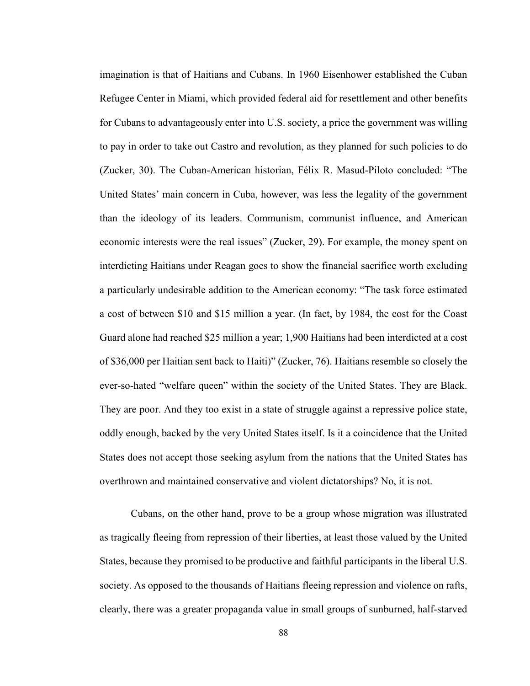imagination is that of Haitians and Cubans. In 1960 Eisenhower established the Cuban Refugee Center in Miami, which provided federal aid for resettlement and other benefits for Cubans to advantageously enter into U.S. society, a price the government was willing to pay in order to take out Castro and revolution, as they planned for such policies to do (Zucker, 30). The Cuban-American historian, Félix R. Masud-Piloto concluded: "The United States' main concern in Cuba, however, was less the legality of the government than the ideology of its leaders. Communism, communist influence, and American economic interests were the real issues" (Zucker, 29). For example, the money spent on interdicting Haitians under Reagan goes to show the financial sacrifice worth excluding a particularly undesirable addition to the American economy: "The task force estimated a cost of between \$10 and \$15 million a year. (In fact, by 1984, the cost for the Coast Guard alone had reached \$25 million a year; 1,900 Haitians had been interdicted at a cost of \$36,000 per Haitian sent back to Haiti)" (Zucker, 76). Haitians resemble so closely the ever-so-hated "welfare queen" within the society of the United States. They are Black. They are poor. And they too exist in a state of struggle against a repressive police state, oddly enough, backed by the very United States itself. Is it a coincidence that the United States does not accept those seeking asylum from the nations that the United States has overthrown and maintained conservative and violent dictatorships? No, it is not.

Cubans, on the other hand, prove to be a group whose migration was illustrated as tragically fleeing from repression of their liberties, at least those valued by the United States, because they promised to be productive and faithful participants in the liberal U.S. society. As opposed to the thousands of Haitians fleeing repression and violence on rafts, clearly, there was a greater propaganda value in small groups of sunburned, half-starved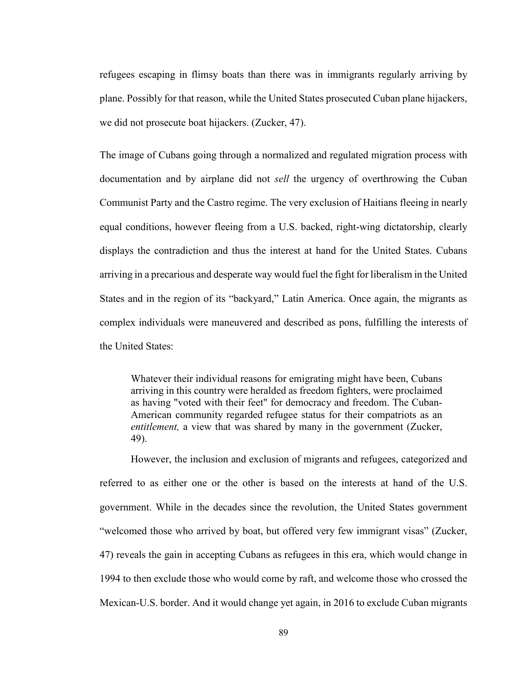refugees escaping in flimsy boats than there was in immigrants regularly arriving by plane. Possibly for that reason, while the United States prosecuted Cuban plane hijackers, we did not prosecute boat hijackers. (Zucker, 47).

The image of Cubans going through a normalized and regulated migration process with documentation and by airplane did not *sell* the urgency of overthrowing the Cuban Communist Party and the Castro regime. The very exclusion of Haitians fleeing in nearly equal conditions, however fleeing from a U.S. backed, right-wing dictatorship, clearly displays the contradiction and thus the interest at hand for the United States. Cubans arriving in a precarious and desperate way would fuel the fight for liberalism in the United States and in the region of its "backyard," Latin America. Once again, the migrants as complex individuals were maneuvered and described as pons, fulfilling the interests of the United States:

Whatever their individual reasons for emigrating might have been, Cubans arriving in this country were heralded as freedom fighters, were proclaimed as having "voted with their feet" for democracy and freedom. The Cuban-American community regarded refugee status for their compatriots as an *entitlement,* a view that was shared by many in the government (Zucker, 49).

However, the inclusion and exclusion of migrants and refugees, categorized and referred to as either one or the other is based on the interests at hand of the U.S. government. While in the decades since the revolution, the United States government "welcomed those who arrived by boat, but offered very few immigrant visas" (Zucker, 47) reveals the gain in accepting Cubans as refugees in this era, which would change in 1994 to then exclude those who would come by raft, and welcome those who crossed the Mexican-U.S. border. And it would change yet again, in 2016 to exclude Cuban migrants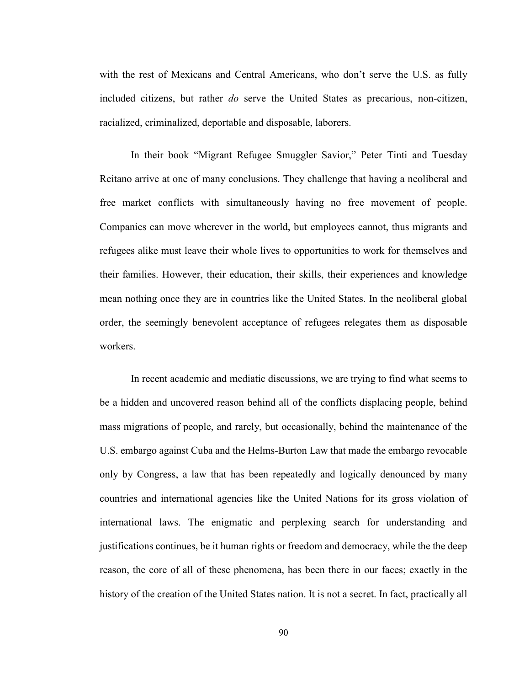with the rest of Mexicans and Central Americans, who don't serve the U.S. as fully included citizens, but rather *do* serve the United States as precarious, non-citizen, racialized, criminalized, deportable and disposable, laborers.

In their book "Migrant Refugee Smuggler Savior," Peter Tinti and Tuesday Reitano arrive at one of many conclusions. They challenge that having a neoliberal and free market conflicts with simultaneously having no free movement of people. Companies can move wherever in the world, but employees cannot, thus migrants and refugees alike must leave their whole lives to opportunities to work for themselves and their families. However, their education, their skills, their experiences and knowledge mean nothing once they are in countries like the United States. In the neoliberal global order, the seemingly benevolent acceptance of refugees relegates them as disposable workers.

In recent academic and mediatic discussions, we are trying to find what seems to be a hidden and uncovered reason behind all of the conflicts displacing people, behind mass migrations of people, and rarely, but occasionally, behind the maintenance of the U.S. embargo against Cuba and the Helms-Burton Law that made the embargo revocable only by Congress, a law that has been repeatedly and logically denounced by many countries and international agencies like the United Nations for its gross violation of international laws. The enigmatic and perplexing search for understanding and justifications continues, be it human rights or freedom and democracy, while the the deep reason, the core of all of these phenomena, has been there in our faces; exactly in the history of the creation of the United States nation. It is not a secret. In fact, practically all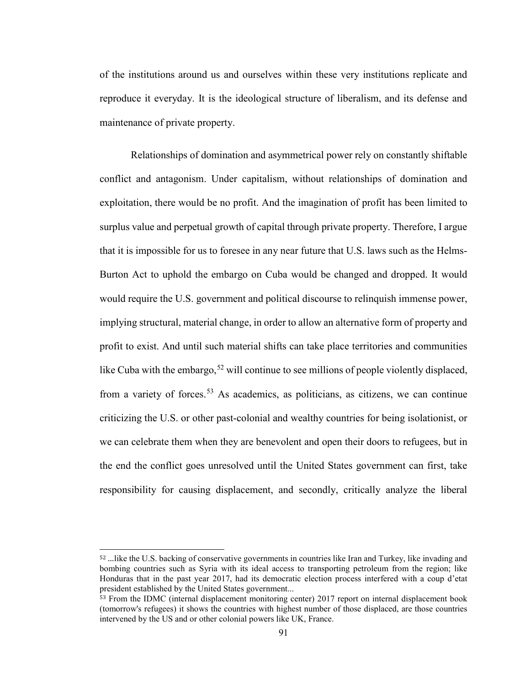of the institutions around us and ourselves within these very institutions replicate and reproduce it everyday. It is the ideological structure of liberalism, and its defense and maintenance of private property.

Relationships of domination and asymmetrical power rely on constantly shiftable conflict and antagonism. Under capitalism, without relationships of domination and exploitation, there would be no profit. And the imagination of profit has been limited to surplus value and perpetual growth of capital through private property. Therefore, I argue that it is impossible for us to foresee in any near future that U.S. laws such as the Helms-Burton Act to uphold the embargo on Cuba would be changed and dropped. It would would require the U.S. government and political discourse to relinquish immense power, implying structural, material change, in order to allow an alternative form of property and profit to exist. And until such material shifts can take place territories and communities like Cuba with the embargo,  $52$  will continue to see millions of people violently displaced, from a variety of forces.<sup>[53](#page-95-1)</sup> As academics, as politicians, as citizens, we can continue criticizing the U.S. or other past-colonial and wealthy countries for being isolationist, or we can celebrate them when they are benevolent and open their doors to refugees, but in the end the conflict goes unresolved until the United States government can first, take responsibility for causing displacement, and secondly, critically analyze the liberal

<span id="page-95-0"></span> <sup>52</sup> …like the U.S. backing of conservative governments in countries like Iran and Turkey, like invading and bombing countries such as Syria with its ideal access to transporting petroleum from the region; like Honduras that in the past year 2017, had its democratic election process interfered with a coup d'etat president established by the United States government...

<span id="page-95-1"></span><sup>&</sup>lt;sup>53</sup> From the IDMC (internal displacement monitoring center) 2017 report on internal displacement book (tomorrow's refugees) it shows the countries with highest number of those displaced, are those countries intervened by the US and or other colonial powers like UK, France.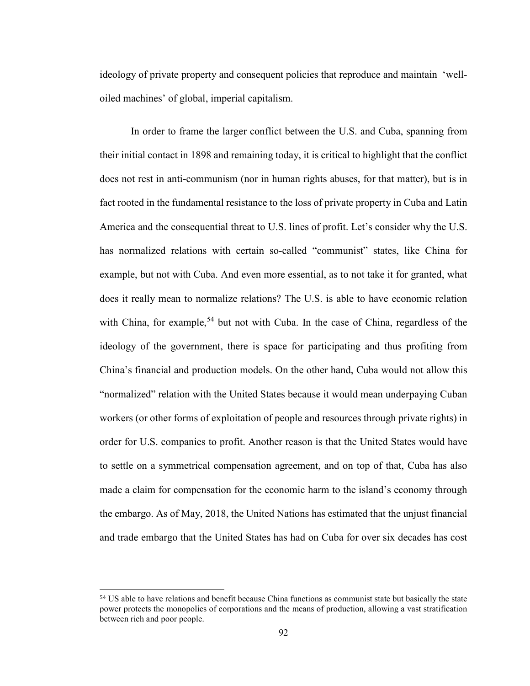ideology of private property and consequent policies that reproduce and maintain 'welloiled machines' of global, imperial capitalism.

In order to frame the larger conflict between the U.S. and Cuba, spanning from their initial contact in 1898 and remaining today, it is critical to highlight that the conflict does not rest in anti-communism (nor in human rights abuses, for that matter), but is in fact rooted in the fundamental resistance to the loss of private property in Cuba and Latin America and the consequential threat to U.S. lines of profit. Let's consider why the U.S. has normalized relations with certain so-called "communist" states, like China for example, but not with Cuba. And even more essential, as to not take it for granted, what does it really mean to normalize relations? The U.S. is able to have economic relation with China, for example,<sup>[54](#page-96-0)</sup> but not with Cuba. In the case of China, regardless of the ideology of the government, there is space for participating and thus profiting from China's financial and production models. On the other hand, Cuba would not allow this "normalized" relation with the United States because it would mean underpaying Cuban workers (or other forms of exploitation of people and resources through private rights) in order for U.S. companies to profit. Another reason is that the United States would have to settle on a symmetrical compensation agreement, and on top of that, Cuba has also made a claim for compensation for the economic harm to the island's economy through the embargo. As of May, 2018, the United Nations has estimated that the unjust financial and trade embargo that the United States has had on Cuba for over six decades has cost

<span id="page-96-0"></span> <sup>54</sup> US able to have relations and benefit because China functions as communist state but basically the state power protects the monopolies of corporations and the means of production, allowing a vast stratification between rich and poor people.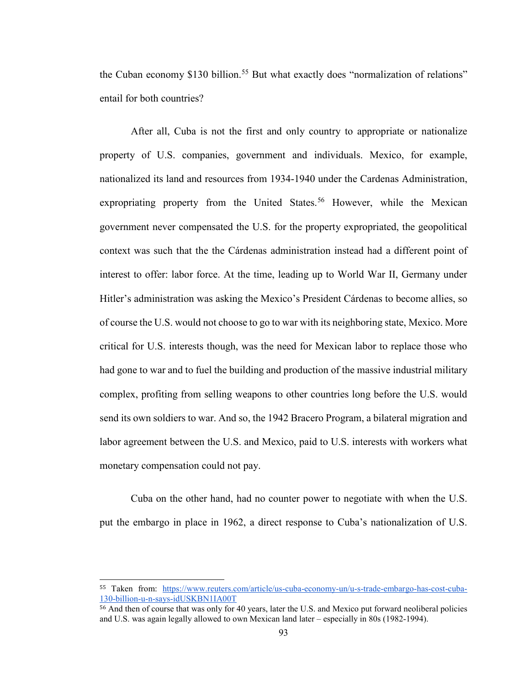the Cuban economy \$130 billion.<sup>[55](#page-97-0)</sup> But what exactly does "normalization of relations" entail for both countries?

After all, Cuba is not the first and only country to appropriate or nationalize property of U.S. companies, government and individuals. Mexico, for example, nationalized its land and resources from 1934-1940 under the Cardenas Administration, expropriating property from the United States.<sup>[56](#page-97-1)</sup> However, while the Mexican government never compensated the U.S. for the property expropriated, the geopolitical context was such that the the Cárdenas administration instead had a different point of interest to offer: labor force. At the time, leading up to World War II, Germany under Hitler's administration was asking the Mexico's President Cárdenas to become allies, so of course the U.S. would not choose to go to war with its neighboring state, Mexico. More critical for U.S. interests though, was the need for Mexican labor to replace those who had gone to war and to fuel the building and production of the massive industrial military complex, profiting from selling weapons to other countries long before the U.S. would send its own soldiers to war. And so, the 1942 Bracero Program, a bilateral migration and labor agreement between the U.S. and Mexico, paid to U.S. interests with workers what monetary compensation could not pay.

Cuba on the other hand, had no counter power to negotiate with when the U.S. put the embargo in place in 1962, a direct response to Cuba's nationalization of U.S.

<span id="page-97-0"></span> <sup>55</sup> Taken from: [https://www.reuters.com/article/us-cuba-economy-un/u-s-trade-embargo-has-cost-cuba-](https://www.reuters.com/article/us-cuba-economy-un/u-s-trade-embargo-has-cost-cuba-130-billion-u-n-says-idUSKBN1IA00T)[130-billion-u-n-says-idUSKBN1IA00T](https://www.reuters.com/article/us-cuba-economy-un/u-s-trade-embargo-has-cost-cuba-130-billion-u-n-says-idUSKBN1IA00T)

<span id="page-97-1"></span><sup>56</sup> And then of course that was only for 40 years, later the U.S. and Mexico put forward neoliberal policies and U.S. was again legally allowed to own Mexican land later – especially in 80s (1982-1994).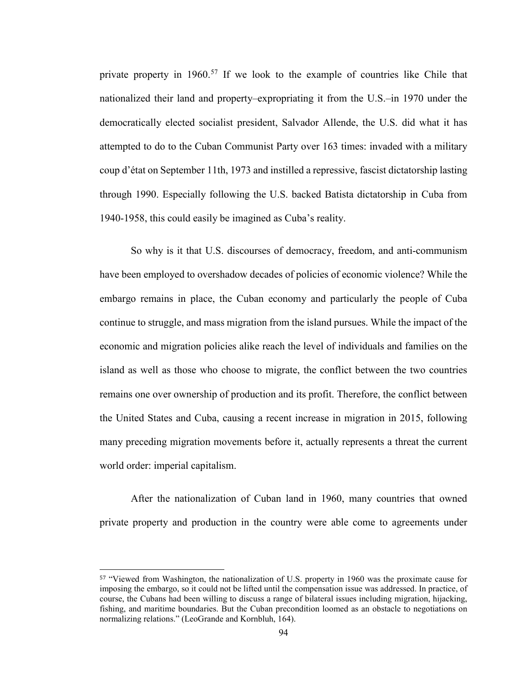private property in 1960.<sup>[57](#page-98-0)</sup> If we look to the example of countries like Chile that nationalized their land and property–expropriating it from the U.S.–in 1970 under the democratically elected socialist president, Salvador Allende, the U.S. did what it has attempted to do to the Cuban Communist Party over 163 times: invaded with a military coup d'état on September 11th, 1973 and instilled a repressive, fascist dictatorship lasting through 1990. Especially following the U.S. backed Batista dictatorship in Cuba from 1940-1958, this could easily be imagined as Cuba's reality.

So why is it that U.S. discourses of democracy, freedom, and anti-communism have been employed to overshadow decades of policies of economic violence? While the embargo remains in place, the Cuban economy and particularly the people of Cuba continue to struggle, and mass migration from the island pursues. While the impact of the economic and migration policies alike reach the level of individuals and families on the island as well as those who choose to migrate, the conflict between the two countries remains one over ownership of production and its profit. Therefore, the conflict between the United States and Cuba, causing a recent increase in migration in 2015, following many preceding migration movements before it, actually represents a threat the current world order: imperial capitalism.

After the nationalization of Cuban land in 1960, many countries that owned private property and production in the country were able come to agreements under

<span id="page-98-0"></span> <sup>57</sup> "Viewed from Washington, the nationalization of U.S. property in 1960 was the proximate cause for imposing the embargo, so it could not be lifted until the compensation issue was addressed. In practice, of course, the Cubans had been willing to discuss a range of bilateral issues including migration, hijacking, fishing, and maritime boundaries. But the Cuban precondition loomed as an obstacle to negotiations on normalizing relations." (LeoGrande and Kornbluh, 164).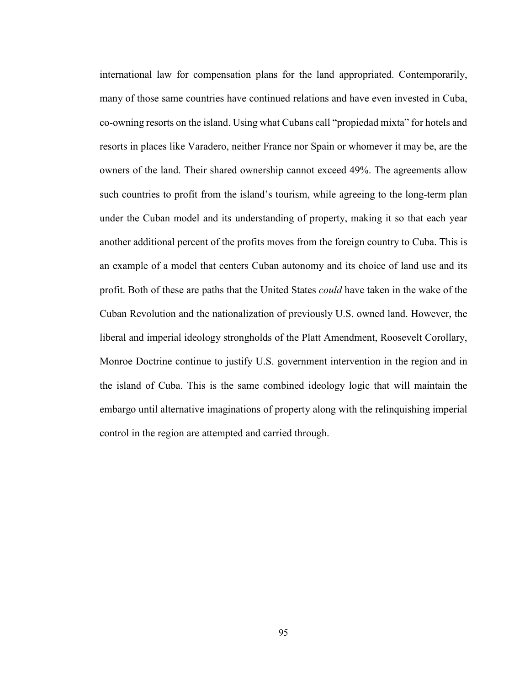international law for compensation plans for the land appropriated. Contemporarily, many of those same countries have continued relations and have even invested in Cuba, co-owning resorts on the island. Using what Cubans call "propiedad mixta" for hotels and resorts in places like Varadero, neither France nor Spain or whomever it may be, are the owners of the land. Their shared ownership cannot exceed 49%. The agreements allow such countries to profit from the island's tourism, while agreeing to the long-term plan under the Cuban model and its understanding of property, making it so that each year another additional percent of the profits moves from the foreign country to Cuba. This is an example of a model that centers Cuban autonomy and its choice of land use and its profit. Both of these are paths that the United States *could* have taken in the wake of the Cuban Revolution and the nationalization of previously U.S. owned land. However, the liberal and imperial ideology strongholds of the Platt Amendment, Roosevelt Corollary, Monroe Doctrine continue to justify U.S. government intervention in the region and in the island of Cuba. This is the same combined ideology logic that will maintain the embargo until alternative imaginations of property along with the relinquishing imperial control in the region are attempted and carried through.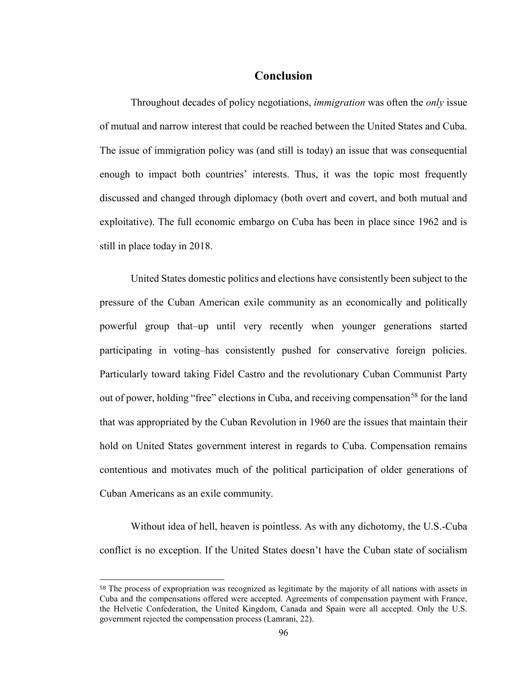# **Conclusion**

Throughout decades of policy negotiations, *immigration* was often the *only* issue of mutual and narrow interest that could be reached between the United States and Cuba. The issue of immigration policy was (and still is today) an issue that was consequential enough to impact both countries' interests. Thus, it was the topic most frequently discussed and changed through diplomacy (both overt and covert, and both mutual and exploitative). The full economic embargo on Cuba has been in place since 1962 and is still in place today in 2018.

United States domestic politics and elections have consistently been subject to the pressure of the Cuban American exile community as an economically and politically powerful group that–up until very recently when younger generations started participating in voting–has consistently pushed for conservative foreign policies. Particularly toward taking Fidel Castro and the revolutionary Cuban Communist Party out of power, holding "free" elections in Cuba, and receiving compensation<sup>[58](#page-100-0)</sup> for the land that was appropriated by the Cuban Revolution in 1960 are the issues that maintain their hold on United States government interest in regards to Cuba. Compensation remains contentious and motivates much of the political participation of older generations of Cuban Americans as an exile community.

Without idea of hell, heaven is pointless. As with any dichotomy, the U.S.-Cuba conflict is no exception. If the United States doesn't have the Cuban state of socialism

<span id="page-100-0"></span> <sup>58</sup> The process of expropriation was recognized as legitimate by the majority of all nations with assets in Cuba and the compensations offered were accepted. Agreements of compensation payment with France, the Helvetic Confederation, the United Kingdom, Canada and Spain were all accepted. Only the U.S. government rejected the compensation process (Lamrani, 22).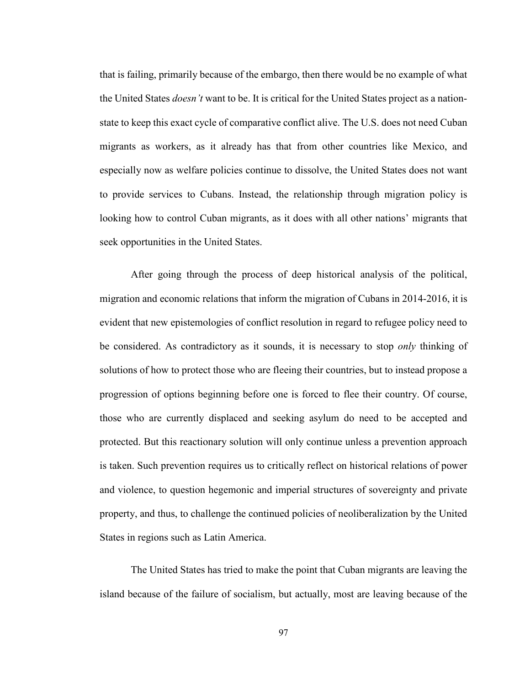that is failing, primarily because of the embargo, then there would be no example of what the United States *doesn't* want to be. It is critical for the United States project as a nationstate to keep this exact cycle of comparative conflict alive. The U.S. does not need Cuban migrants as workers, as it already has that from other countries like Mexico, and especially now as welfare policies continue to dissolve, the United States does not want to provide services to Cubans. Instead, the relationship through migration policy is looking how to control Cuban migrants, as it does with all other nations' migrants that seek opportunities in the United States.

After going through the process of deep historical analysis of the political, migration and economic relations that inform the migration of Cubans in 2014-2016, it is evident that new epistemologies of conflict resolution in regard to refugee policy need to be considered. As contradictory as it sounds, it is necessary to stop *only* thinking of solutions of how to protect those who are fleeing their countries, but to instead propose a progression of options beginning before one is forced to flee their country. Of course, those who are currently displaced and seeking asylum do need to be accepted and protected. But this reactionary solution will only continue unless a prevention approach is taken. Such prevention requires us to critically reflect on historical relations of power and violence, to question hegemonic and imperial structures of sovereignty and private property, and thus, to challenge the continued policies of neoliberalization by the United States in regions such as Latin America.

The United States has tried to make the point that Cuban migrants are leaving the island because of the failure of socialism, but actually, most are leaving because of the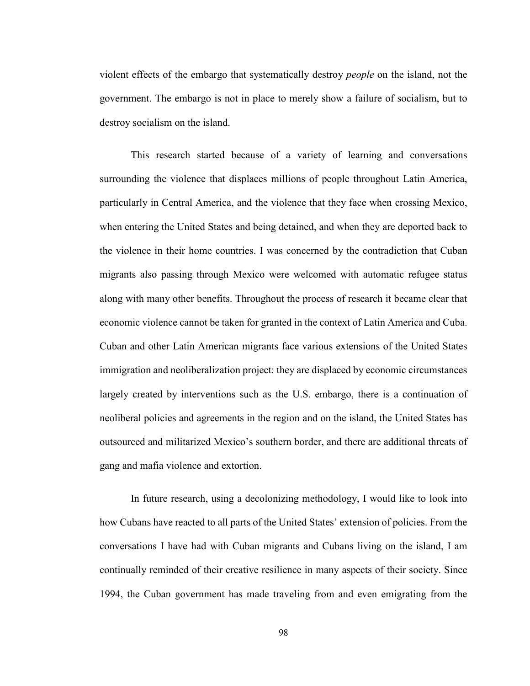violent effects of the embargo that systematically destroy *people* on the island, not the government. The embargo is not in place to merely show a failure of socialism, but to destroy socialism on the island.

This research started because of a variety of learning and conversations surrounding the violence that displaces millions of people throughout Latin America, particularly in Central America, and the violence that they face when crossing Mexico, when entering the United States and being detained, and when they are deported back to the violence in their home countries. I was concerned by the contradiction that Cuban migrants also passing through Mexico were welcomed with automatic refugee status along with many other benefits. Throughout the process of research it became clear that economic violence cannot be taken for granted in the context of Latin America and Cuba. Cuban and other Latin American migrants face various extensions of the United States immigration and neoliberalization project: they are displaced by economic circumstances largely created by interventions such as the U.S. embargo, there is a continuation of neoliberal policies and agreements in the region and on the island, the United States has outsourced and militarized Mexico's southern border, and there are additional threats of gang and mafia violence and extortion.

In future research, using a decolonizing methodology, I would like to look into how Cubans have reacted to all parts of the United States' extension of policies. From the conversations I have had with Cuban migrants and Cubans living on the island, I am continually reminded of their creative resilience in many aspects of their society. Since 1994, the Cuban government has made traveling from and even emigrating from the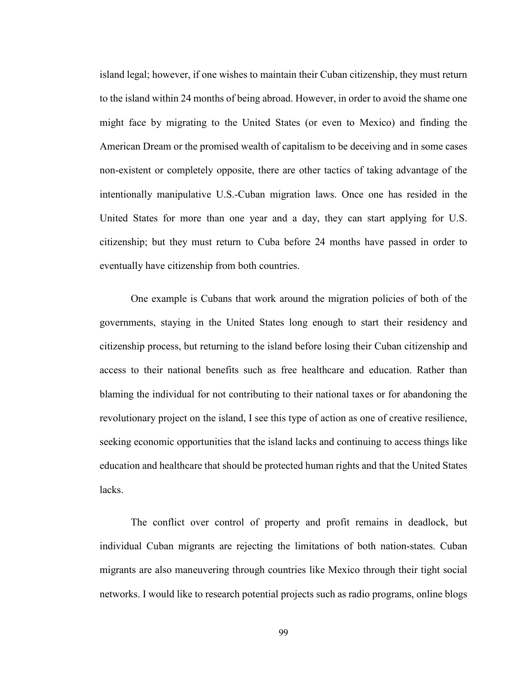island legal; however, if one wishes to maintain their Cuban citizenship, they must return to the island within 24 months of being abroad. However, in order to avoid the shame one might face by migrating to the United States (or even to Mexico) and finding the American Dream or the promised wealth of capitalism to be deceiving and in some cases non-existent or completely opposite, there are other tactics of taking advantage of the intentionally manipulative U.S.-Cuban migration laws. Once one has resided in the United States for more than one year and a day, they can start applying for U.S. citizenship; but they must return to Cuba before 24 months have passed in order to eventually have citizenship from both countries.

One example is Cubans that work around the migration policies of both of the governments, staying in the United States long enough to start their residency and citizenship process, but returning to the island before losing their Cuban citizenship and access to their national benefits such as free healthcare and education. Rather than blaming the individual for not contributing to their national taxes or for abandoning the revolutionary project on the island, I see this type of action as one of creative resilience, seeking economic opportunities that the island lacks and continuing to access things like education and healthcare that should be protected human rights and that the United States lacks.

The conflict over control of property and profit remains in deadlock, but individual Cuban migrants are rejecting the limitations of both nation-states. Cuban migrants are also maneuvering through countries like Mexico through their tight social networks. I would like to research potential projects such as radio programs, online blogs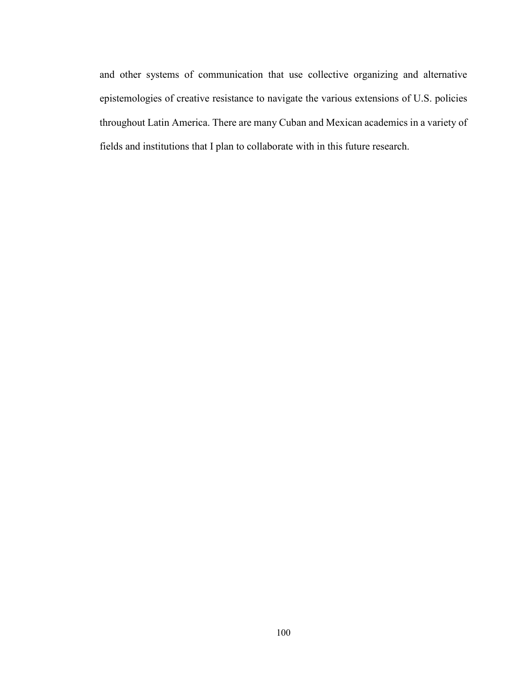and other systems of communication that use collective organizing and alternative epistemologies of creative resistance to navigate the various extensions of U.S. policies throughout Latin America. There are many Cuban and Mexican academics in a variety of fields and institutions that I plan to collaborate with in this future research.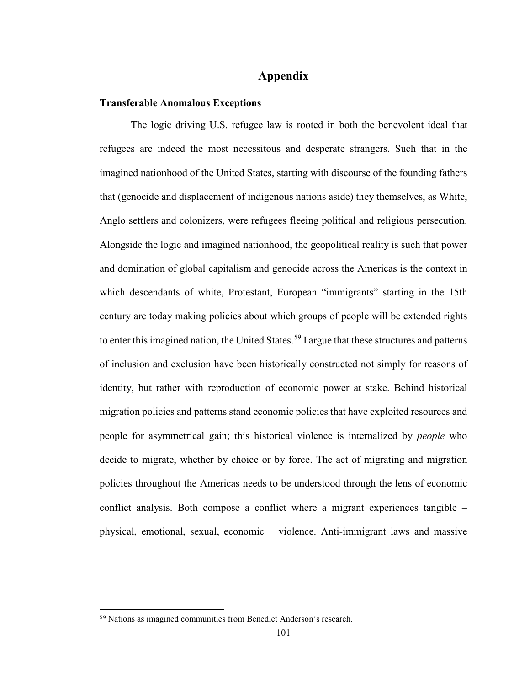# **Appendix**

#### **Transferable Anomalous Exceptions**

The logic driving U.S. refugee law is rooted in both the benevolent ideal that refugees are indeed the most necessitous and desperate strangers. Such that in the imagined nationhood of the United States, starting with discourse of the founding fathers that (genocide and displacement of indigenous nations aside) they themselves, as White, Anglo settlers and colonizers, were refugees fleeing political and religious persecution. Alongside the logic and imagined nationhood, the geopolitical reality is such that power and domination of global capitalism and genocide across the Americas is the context in which descendants of white, Protestant, European "immigrants" starting in the 15th century are today making policies about which groups of people will be extended rights to enter this imagined nation, the United States.<sup>[59](#page-105-0)</sup> I argue that these structures and patterns of inclusion and exclusion have been historically constructed not simply for reasons of identity, but rather with reproduction of economic power at stake. Behind historical migration policies and patterns stand economic policies that have exploited resources and people for asymmetrical gain; this historical violence is internalized by *people* who decide to migrate, whether by choice or by force. The act of migrating and migration policies throughout the Americas needs to be understood through the lens of economic conflict analysis. Both compose a conflict where a migrant experiences tangible – physical, emotional, sexual, economic – violence. Anti-immigrant laws and massive

<span id="page-105-0"></span> <sup>59</sup> Nations as imagined communities from Benedict Anderson's research.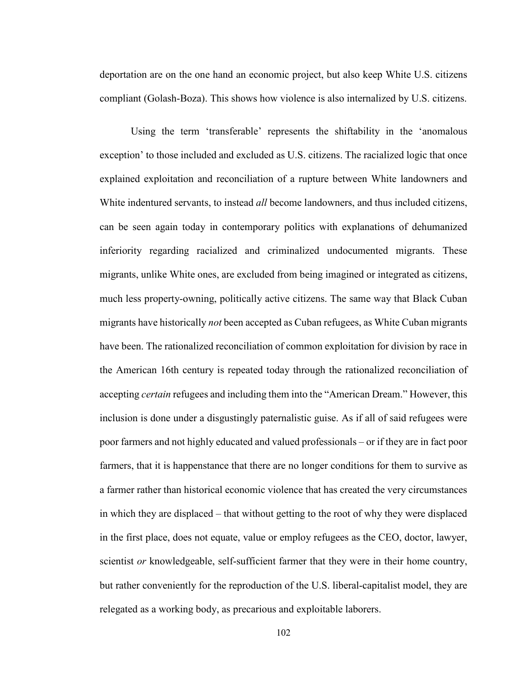deportation are on the one hand an economic project, but also keep White U.S. citizens compliant (Golash-Boza). This shows how violence is also internalized by U.S. citizens.

Using the term 'transferable' represents the shiftability in the 'anomalous exception' to those included and excluded as U.S. citizens. The racialized logic that once explained exploitation and reconciliation of a rupture between White landowners and White indentured servants, to instead *all* become landowners, and thus included citizens, can be seen again today in contemporary politics with explanations of dehumanized inferiority regarding racialized and criminalized undocumented migrants. These migrants, unlike White ones, are excluded from being imagined or integrated as citizens, much less property-owning, politically active citizens. The same way that Black Cuban migrants have historically *not* been accepted as Cuban refugees, as White Cuban migrants have been. The rationalized reconciliation of common exploitation for division by race in the American 16th century is repeated today through the rationalized reconciliation of accepting *certain* refugees and including them into the "American Dream." However, this inclusion is done under a disgustingly paternalistic guise. As if all of said refugees were poor farmers and not highly educated and valued professionals – or if they are in fact poor farmers, that it is happenstance that there are no longer conditions for them to survive as a farmer rather than historical economic violence that has created the very circumstances in which they are displaced – that without getting to the root of why they were displaced in the first place, does not equate, value or employ refugees as the CEO, doctor, lawyer, scientist *or* knowledgeable, self-sufficient farmer that they were in their home country, but rather conveniently for the reproduction of the U.S. liberal-capitalist model, they are relegated as a working body, as precarious and exploitable laborers.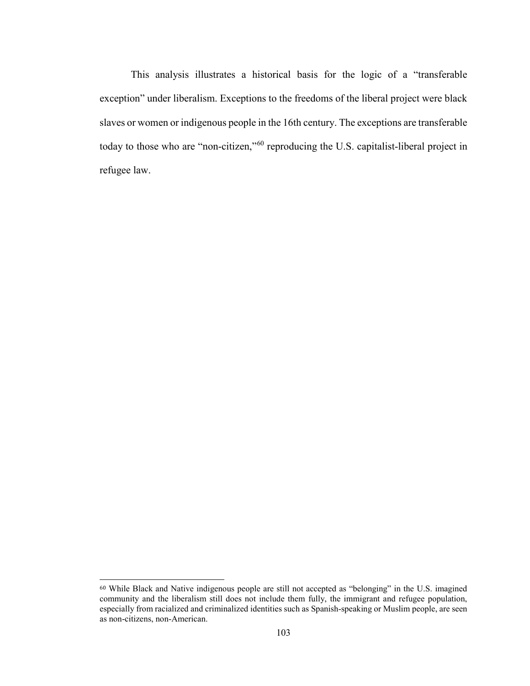This analysis illustrates a historical basis for the logic of a "transferable exception" under liberalism. Exceptions to the freedoms of the liberal project were black slaves or women or indigenous people in the 16th century. The exceptions are transferable today to those who are "non-citizen,"[60](#page-107-0) reproducing the U.S. capitalist-liberal project in refugee law.

<span id="page-107-0"></span> <sup>60</sup> While Black and Native indigenous people are still not accepted as "belonging" in the U.S. imagined community and the liberalism still does not include them fully, the immigrant and refugee population, especially from racialized and criminalized identities such as Spanish-speaking or Muslim people, are seen as non-citizens, non-American.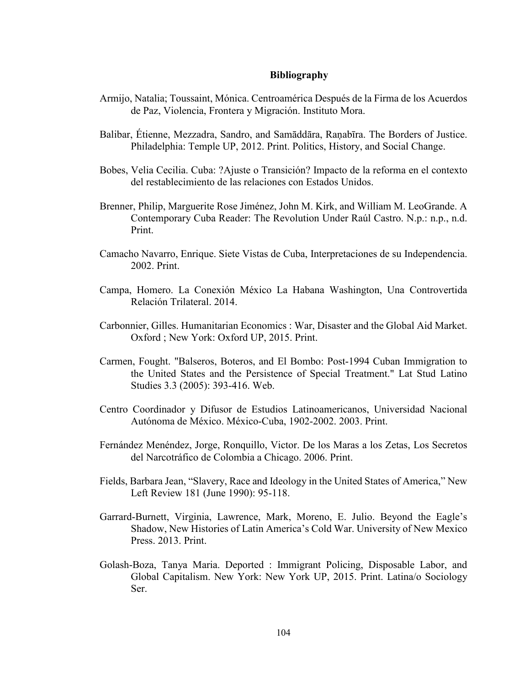## **Bibliography**

- Armijo, Natalia; Toussaint, Mónica. Centroamérica Después de la Firma de los Acuerdos de Paz, Violencia, Frontera y Migración. Instituto Mora.
- Balibar, Étienne, Mezzadra, Sandro, and Samāddāra, Raṇabīra. The Borders of Justice. Philadelphia: Temple UP, 2012. Print. Politics, History, and Social Change.
- Bobes, Velia Cecilia. Cuba: ?Ajuste o Transición? Impacto de la reforma en el contexto del restablecimiento de las relaciones con Estados Unidos.
- Brenner, Philip, Marguerite Rose Jiménez, John M. Kirk, and William M. LeoGrande. A Contemporary Cuba Reader: The Revolution Under Raúl Castro. N.p.: n.p., n.d. Print.
- Camacho Navarro, Enrique. Siete Vistas de Cuba, Interpretaciones de su Independencia. 2002. Print.
- Campa, Homero. La Conexión México La Habana Washington, Una Controvertida Relación Trilateral. 2014.
- Carbonnier, Gilles. Humanitarian Economics : War, Disaster and the Global Aid Market. Oxford ; New York: Oxford UP, 2015. Print.
- Carmen, Fought. "Balseros, Boteros, and El Bombo: Post-1994 Cuban Immigration to the United States and the Persistence of Special Treatment." Lat Stud Latino Studies 3.3 (2005): 393-416. Web.
- Centro Coordinador y Difusor de Estudios Latinoamericanos, Universidad Nacional Autónoma de México. México-Cuba, 1902-2002. 2003. Print.
- Fernández Menéndez, Jorge, Ronquillo, Victor. De los Maras a los Zetas, Los Secretos del Narcotráfico de Colombia a Chicago. 2006. Print.
- Fields, Barbara Jean, "Slavery, Race and Ideology in the United States of America," New Left Review 181 (June 1990): 95-118.
- Garrard-Burnett, Virginia, Lawrence, Mark, Moreno, E. Julio. Beyond the Eagle's Shadow, New Histories of Latin America's Cold War. University of New Mexico Press. 2013. Print.
- Golash-Boza, Tanya Maria. Deported : Immigrant Policing, Disposable Labor, and Global Capitalism. New York: New York UP, 2015. Print. Latina/o Sociology Ser.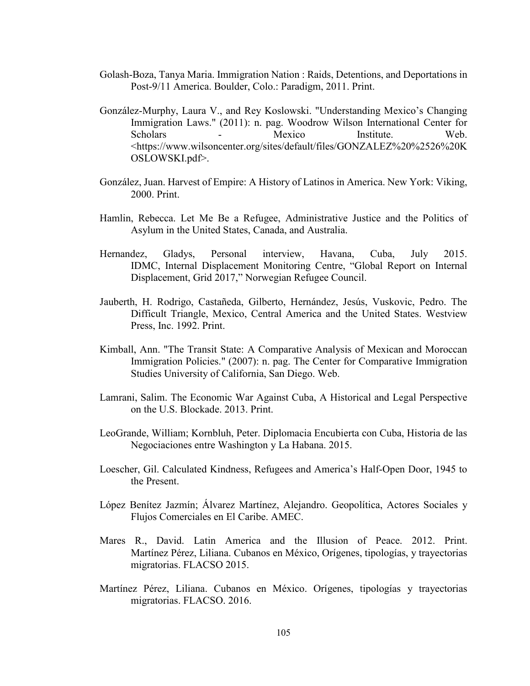- Golash-Boza, Tanya Maria. Immigration Nation : Raids, Detentions, and Deportations in Post-9/11 America. Boulder, Colo.: Paradigm, 2011. Print.
- González-Murphy, Laura V., and Rey Koslowski. "Understanding Mexico's Changing Immigration Laws." (2011): n. pag. Woodrow Wilson International Center for Scholars - Mexico Institute. Web. <https://www.wilsoncenter.org/sites/default/files/GONZALEZ%20%2526%20K OSLOWSKI.pdf>.
- González, Juan. Harvest of Empire: A History of Latinos in America. New York: Viking, 2000. Print.
- Hamlin, Rebecca. Let Me Be a Refugee, Administrative Justice and the Politics of Asylum in the United States, Canada, and Australia.
- Hernandez, Gladys, Personal interview, Havana, Cuba, July 2015. IDMC, Internal Displacement Monitoring Centre, "Global Report on Internal Displacement, Grid 2017," Norwegian Refugee Council.
- Jauberth, H. Rodrigo, Castañeda, Gilberto, Hernández, Jesús, Vuskovic, Pedro. The Difficult Triangle, Mexico, Central America and the United States. Westview Press, Inc. 1992. Print.
- Kimball, Ann. "The Transit State: A Comparative Analysis of Mexican and Moroccan Immigration Policies." (2007): n. pag. The Center for Comparative Immigration Studies University of California, San Diego. Web.
- Lamrani, Salim. The Economic War Against Cuba, A Historical and Legal Perspective on the U.S. Blockade. 2013. Print.
- LeoGrande, William; Kornbluh, Peter. Diplomacia Encubierta con Cuba, Historia de las Negociaciones entre Washington y La Habana. 2015.
- Loescher, Gil. Calculated Kindness, Refugees and America's Half-Open Door, 1945 to the Present.
- López Benítez Jazmín; Álvarez Martínez, Alejandro. Geopolítica, Actores Sociales y Flujos Comerciales en El Caribe. AMEC.
- Mares R., David. Latin America and the Illusion of Peace. 2012. Print. Martínez Pérez, Liliana. Cubanos en México, Orígenes, tipologías, y trayectorias migratorias. FLACSO 2015.
- Martínez Pérez, Liliana. Cubanos en México. Orígenes, tipologías y trayectorias migratorias. FLACSO. 2016.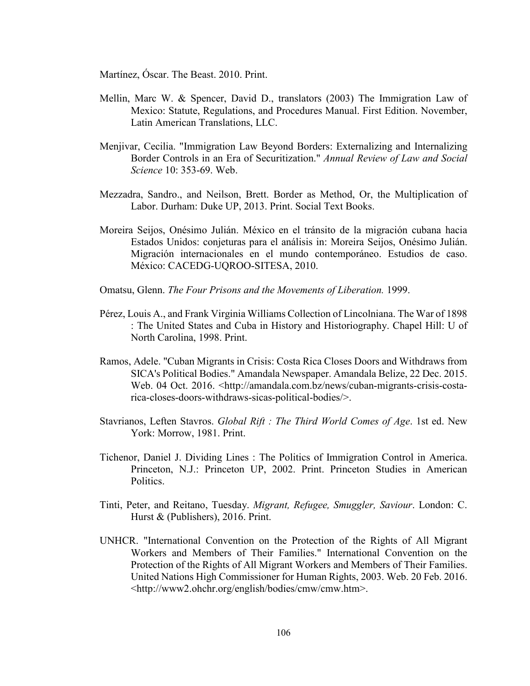Martínez, Óscar. The Beast. 2010. Print.

- Mellin, Marc W. & Spencer, David D., translators (2003) The Immigration Law of Mexico: Statute, Regulations, and Procedures Manual. First Edition. November, Latin American Translations, LLC.
- Menjivar, Cecilia. "Immigration Law Beyond Borders: Externalizing and Internalizing Border Controls in an Era of Securitization." *Annual Review of Law and Social Science* 10: 353-69. Web.
- Mezzadra, Sandro., and Neilson, Brett. Border as Method, Or, the Multiplication of Labor. Durham: Duke UP, 2013. Print. Social Text Books.
- Moreira Seijos, Onésimo Julián. México en el tránsito de la migración cubana hacia Estados Unidos: conjeturas para el análisis in: Moreira Seijos, Onésimo Julián. Migración internacionales en el mundo contemporáneo. Estudios de caso. México: CACEDG-UQROO-SITESA, 2010.
- Omatsu, Glenn. *The Four Prisons and the Movements of Liberation.* 1999.
- Pérez, Louis A., and Frank Virginia Williams Collection of Lincolniana. The War of 1898 : The United States and Cuba in History and Historiography. Chapel Hill: U of North Carolina, 1998. Print.
- Ramos, Adele. "Cuban Migrants in Crisis: Costa Rica Closes Doors and Withdraws from SICA's Political Bodies." Amandala Newspaper. Amandala Belize, 22 Dec. 2015. Web. 04 Oct. 2016. <http://amandala.com.bz/news/cuban-migrants-crisis-costarica-closes-doors-withdraws-sicas-political-bodies/>.
- Stavrianos, Leften Stavros. *Global Rift : The Third World Comes of Age*. 1st ed. New York: Morrow, 1981. Print.
- Tichenor, Daniel J. Dividing Lines : The Politics of Immigration Control in America. Princeton, N.J.: Princeton UP, 2002. Print. Princeton Studies in American Politics.
- Tinti, Peter, and Reitano, Tuesday. *Migrant, Refugee, Smuggler, Saviour*. London: C. Hurst & (Publishers), 2016. Print.
- UNHCR. "International Convention on the Protection of the Rights of All Migrant Workers and Members of Their Families." International Convention on the Protection of the Rights of All Migrant Workers and Members of Their Families. United Nations High Commissioner for Human Rights, 2003. Web. 20 Feb. 2016. <http://www2.ohchr.org/english/bodies/cmw/cmw.htm>.